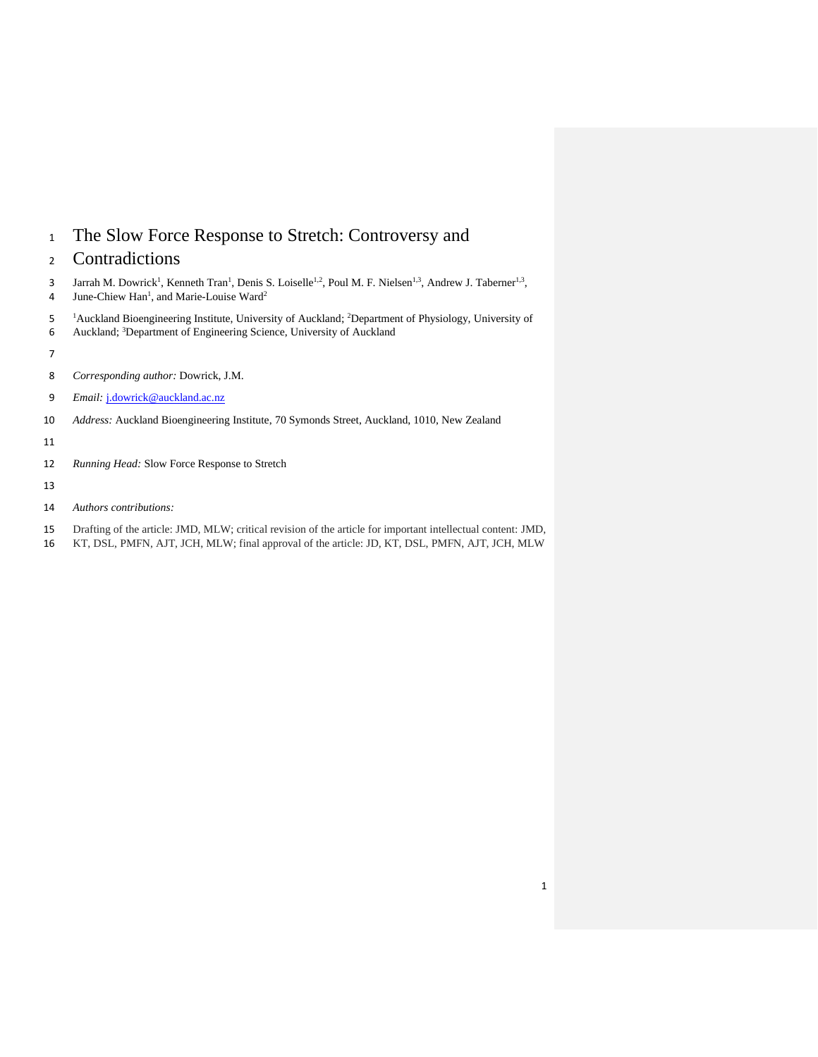- The Slow Force Response to Stretch: Controversy and
- Contradictions
- 3 Jarrah M. Dowrick<sup>1</sup>, Kenneth Tran<sup>1</sup>, Denis S. Loiselle<sup>1,2</sup>, Poul M. F. Nielsen<sup>1,3</sup>, Andrew J. Taberner<sup>1,3</sup>, 4 June-Chiew Han<sup>1</sup>, and Marie-Louise Ward<sup>2</sup>
- <sup>1</sup>Auckland Bioengineering Institute, University of Auckland; <sup>2</sup>Department of Physiology, University of
- 6 Auckland; <sup>3</sup>Department of Engineering Science, University of Auckland
- 
- *Corresponding author:* Dowrick, J.M.
- *Email:* [j.dowrick@auckland.ac.nz](mailto:j.dowrick@auckland.ac.nz)
- *Address:* Auckland Bioengineering Institute, 70 Symonds Street, Auckland, 1010, New Zealand
- 
- *Running Head:* Slow Force Response to Stretch
- 
- *Authors contributions:*
- Drafting of the article: JMD, MLW; critical revision of the article for important intellectual content: JMD,
- KT, DSL, PMFN, AJT, JCH, MLW; final approval of the article: JD, KT, DSL, PMFN, AJT, JCH, MLW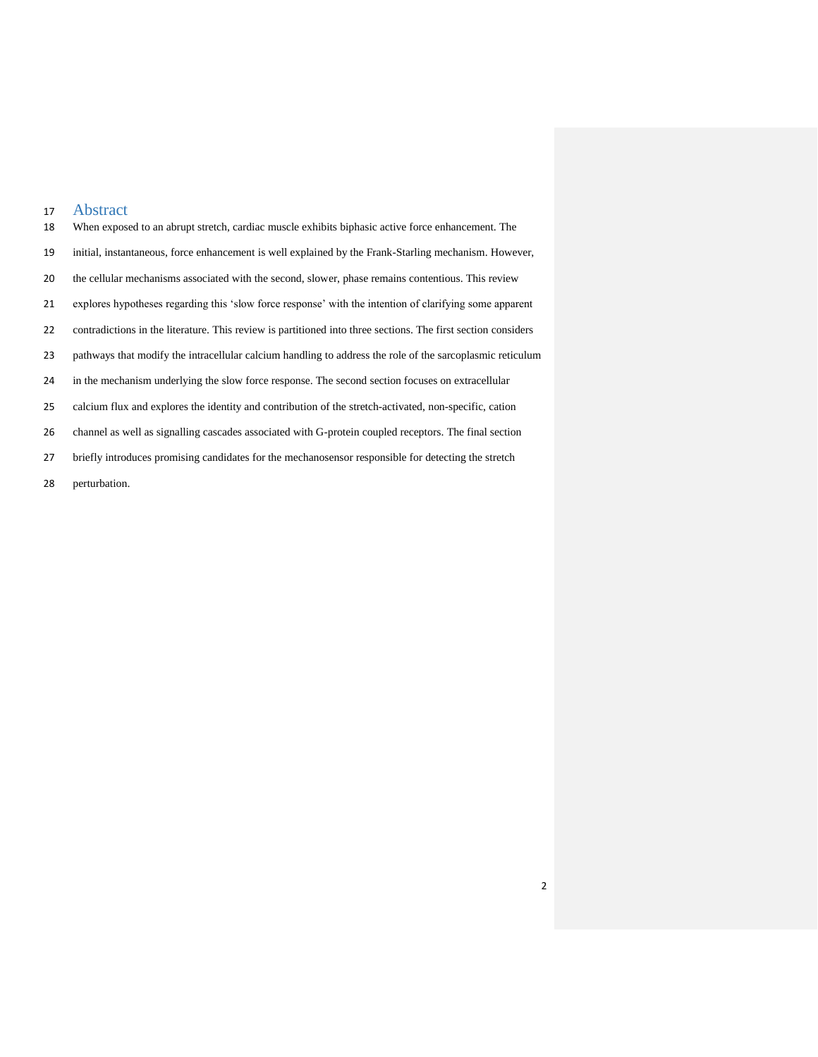# Abstract

| 18 | When exposed to an abrupt stretch, cardiac muscle exhibits biphasic active force enhancement. The             |
|----|---------------------------------------------------------------------------------------------------------------|
| 19 | initial, instantaneous, force enhancement is well explained by the Frank-Starling mechanism. However,         |
| 20 | the cellular mechanisms associated with the second, slower, phase remains contentious. This review            |
| 21 | explores hypotheses regarding this 'slow force response' with the intention of clarifying some apparent       |
| 22 | contradictions in the literature. This review is partitioned into three sections. The first section considers |
| 23 | pathways that modify the intracellular calcium handling to address the role of the sarcoplasmic reticulum     |
| 24 | in the mechanism underlying the slow force response. The second section focuses on extracellular              |
| 25 | calcium flux and explores the identity and contribution of the stretch-activated, non-specific, cation        |
| 26 | channel as well as signalling cascades associated with G-protein coupled receptors. The final section         |
| 27 | briefly introduces promising candidates for the mechanosens or responsible for detecting the stretch          |

perturbation.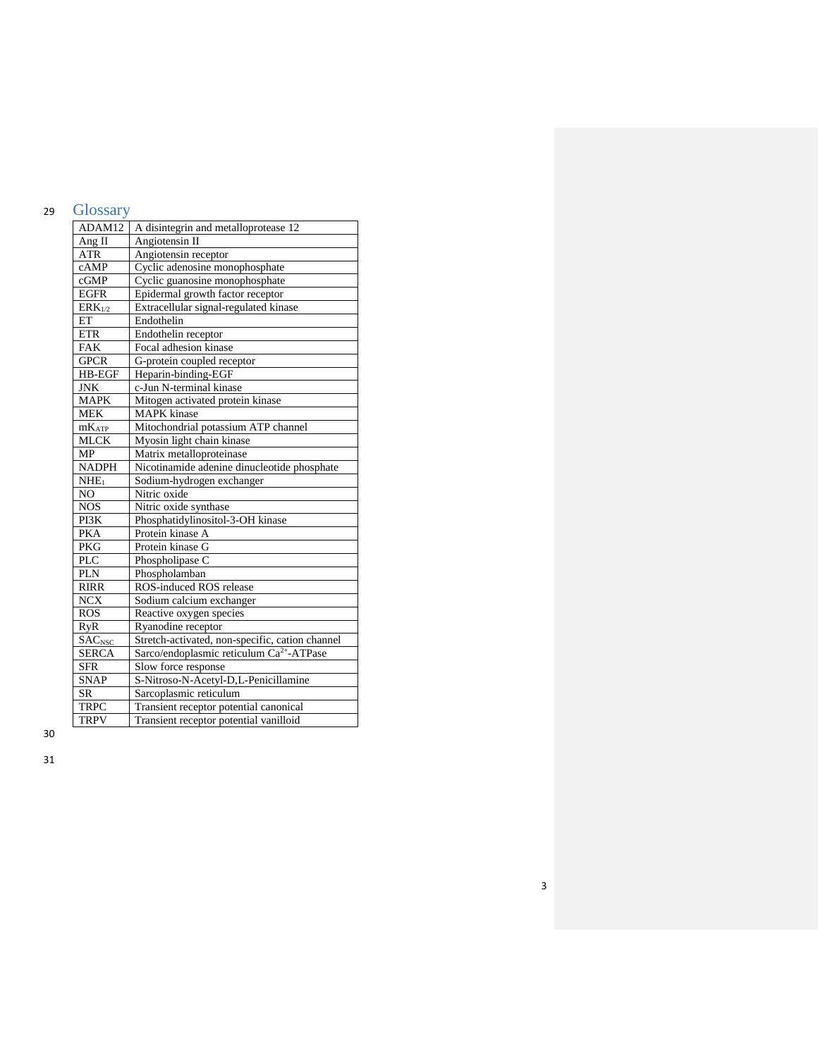# <sup>29</sup> Glossary

| ADAM12                    | A disintegrin and metalloprotease 12                 |
|---------------------------|------------------------------------------------------|
| Ang II                    | Angiotensin II                                       |
| <b>ATR</b>                | Angiotensin receptor                                 |
| cAMP                      | Cyclic adenosine monophosphate                       |
| cGMP                      | Cyclic guanosine monophosphate                       |
| <b>EGFR</b>               | Epidermal growth factor receptor                     |
| $ERK_{1/2}$               | Extracellular signal-regulated kinase                |
| ET                        | Endothelin                                           |
| <b>ETR</b>                | Endothelin receptor                                  |
| FAK                       | Focal adhesion kinase                                |
| <b>GPCR</b>               | G-protein coupled receptor                           |
| HB-EGF                    | Heparin-binding-EGF                                  |
| <b>JNK</b>                | c-Jun N-terminal kinase                              |
| <b>MAPK</b>               | Mitogen activated protein kinase                     |
| <b>MEK</b>                | <b>MAPK</b> kinase                                   |
| $mK_{ATP}$                | Mitochondrial potassium ATP channel                  |
| <b>MLCK</b>               | Myosin light chain kinase                            |
| <b>MP</b>                 | Matrix metalloproteinase                             |
| <b>NADPH</b>              | Nicotinamide adenine dinucleotide phosphate          |
| $NHE_1$                   | Sodium-hydrogen exchanger                            |
| N <sub>O</sub>            | Nitric oxide                                         |
| <b>NOS</b>                | Nitric oxide synthase                                |
| PI3K                      | Phosphatidylinositol-3-OH kinase                     |
| <b>PKA</b>                | Protein kinase A                                     |
| <b>PKG</b>                | Protein kinase G                                     |
| <b>PLC</b>                | Phospholipase C                                      |
| <b>PLN</b>                | Phospholamban                                        |
| <b>RIRR</b>               | ROS-induced ROS release                              |
| <b>NCX</b>                | Sodium calcium exchanger                             |
| <b>ROS</b>                | Reactive oxygen species                              |
| <b>RyR</b>                | Ryanodine receptor                                   |
| <b>SAC</b> <sub>NSC</sub> | Stretch-activated, non-specific, cation channel      |
| <b>SERCA</b>              | Sarco/endoplasmic reticulum Ca <sup>2+</sup> -ATPase |
| <b>SFR</b>                | Slow force response                                  |
| <b>SNAP</b>               | S-Nitroso-N-Acetyl-D,L-Penicillamine                 |
| <b>SR</b>                 | Sarcoplasmic reticulum                               |
| <b>TRPC</b>               | Transient receptor potential canonical               |
| <b>TRPV</b>               | Transient receptor potential vanilloid               |

30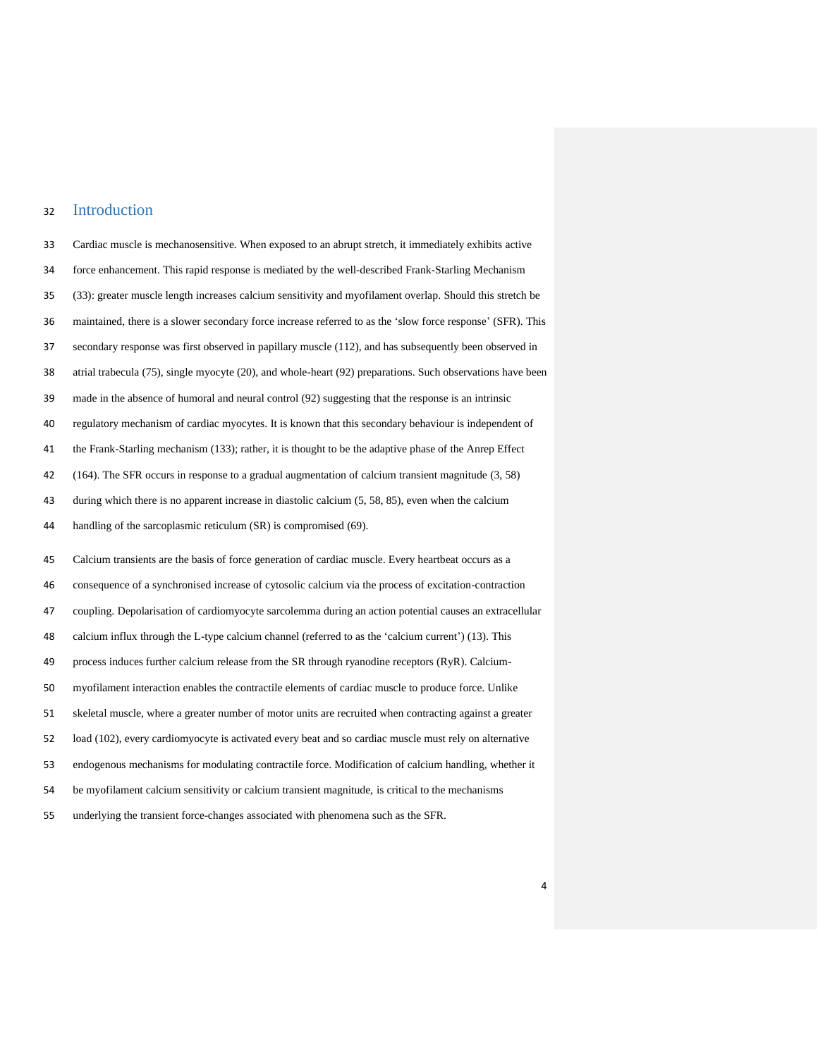# Introduction

 Cardiac muscle is mechanosensitive. When exposed to an abrupt stretch, it immediately exhibits active force enhancement. This rapid response is mediated by the well-described Frank-Starling Mechanism (33): greater muscle length increases calcium sensitivity and myofilament overlap. Should this stretch be maintained, there is a slower secondary force increase referred to as the 'slow force response' (SFR). This secondary response was first observed in papillary muscle (112), and has subsequently been observed in atrial trabecula (75), single myocyte (20), and whole-heart (92) preparations. Such observations have been made in the absence of humoral and neural control (92) suggesting that the response is an intrinsic regulatory mechanism of cardiac myocytes. It is known that this secondary behaviour is independent of the Frank-Starling mechanism (133); rather, it is thought to be the adaptive phase of the Anrep Effect (164). The SFR occurs in response to a gradual augmentation of calcium transient magnitude (3, 58) during which there is no apparent increase in diastolic calcium (5, 58, 85), even when the calcium 44 handling of the sarcoplasmic reticulum (SR) is compromised (69). Calcium transients are the basis of force generation of cardiac muscle. Every heartbeat occurs as a consequence of a synchronised increase of cytosolic calcium via the process of excitation-contraction coupling. Depolarisation of cardiomyocyte sarcolemma during an action potential causes an extracellular calcium influx through the L-type calcium channel (referred to as the 'calcium current') (13). This process induces further calcium release from the SR through ryanodine receptors (RyR). Calcium- myofilament interaction enables the contractile elements of cardiac muscle to produce force. Unlike skeletal muscle, where a greater number of motor units are recruited when contracting against a greater load (102), every cardiomyocyte is activated every beat and so cardiac muscle must rely on alternative endogenous mechanisms for modulating contractile force. Modification of calcium handling, whether it be myofilament calcium sensitivity or calcium transient magnitude, is critical to the mechanisms underlying the transient force-changes associated with phenomena such as the SFR.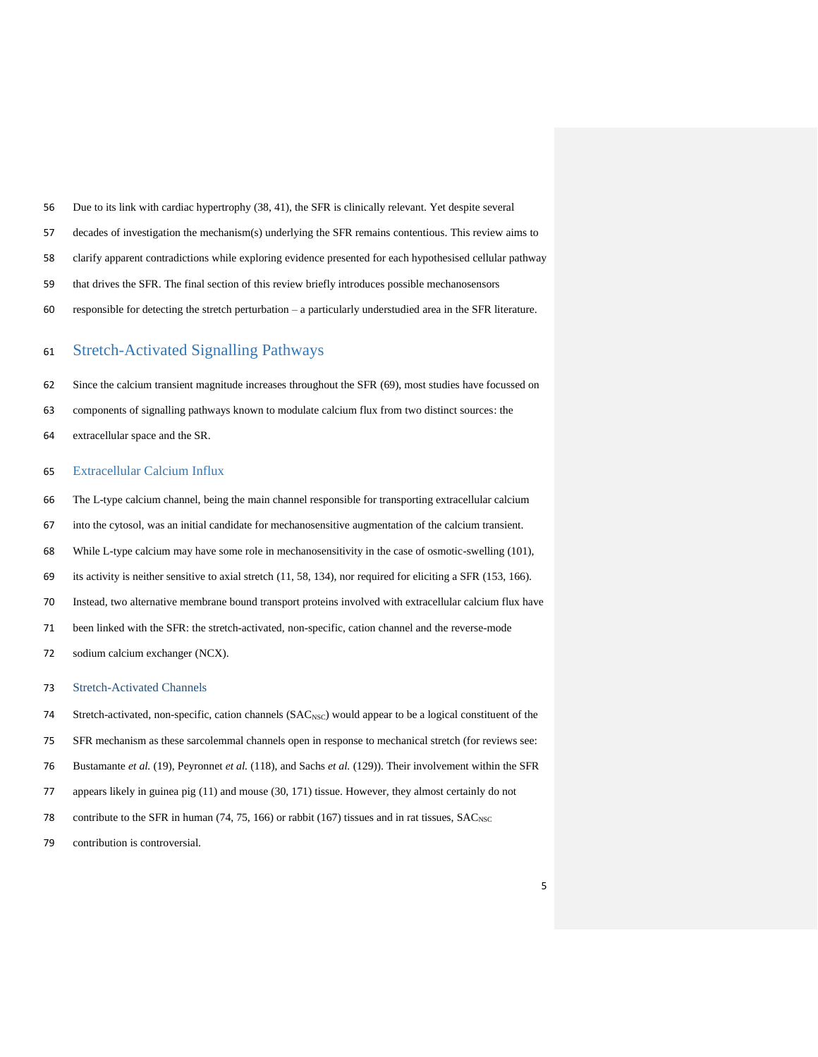- Due to its link with cardiac hypertrophy (38, 41), the SFR is clinically relevant. Yet despite several
- decades of investigation the mechanism(s) underlying the SFR remains contentious. This review aims to
- clarify apparent contradictions while exploring evidence presented for each hypothesised cellular pathway
- that drives the SFR. The final section of this review briefly introduces possible mechanosensors
- responsible for detecting the stretch perturbation a particularly understudied area in the SFR literature.

# Stretch-Activated Signalling Pathways

- Since the calcium transient magnitude increases throughout the SFR (69), most studies have focussed on
- components of signalling pathways known to modulate calcium flux from two distinct sources: the
- extracellular space and the SR.

### Extracellular Calcium Influx

- The L-type calcium channel, being the main channel responsible for transporting extracellular calcium
- into the cytosol, was an initial candidate for mechanosensitive augmentation of the calcium transient.
- While L-type calcium may have some role in mechanosensitivity in the case of osmotic-swelling (101),
- its activity is neither sensitive to axial stretch (11, 58, 134), nor required for eliciting a SFR (153, 166).
- Instead, two alternative membrane bound transport proteins involved with extracellular calcium flux have
- been linked with the SFR: the stretch-activated, non-specific, cation channel and the reverse-mode
- sodium calcium exchanger (NCX).

#### Stretch-Activated Channels

- 74 Stretch-activated, non-specific, cation channels (SAC<sub>NSC</sub>) would appear to be a logical constituent of the
- SFR mechanism as these sarcolemmal channels open in response to mechanical stretch (for reviews see:
- Bustamante *et al.* (19), Peyronnet *et al.* (118), and Sachs *et al.* (129)). Their involvement within the SFR
- appears likely in guinea pig (11) and mouse (30, 171) tissue. However, they almost certainly do not
- 78 contribute to the SFR in human  $(74, 75, 166)$  or rabbit (167) tissues and in rat tissues, SAC<sub>NSC</sub>
- contribution is controversial.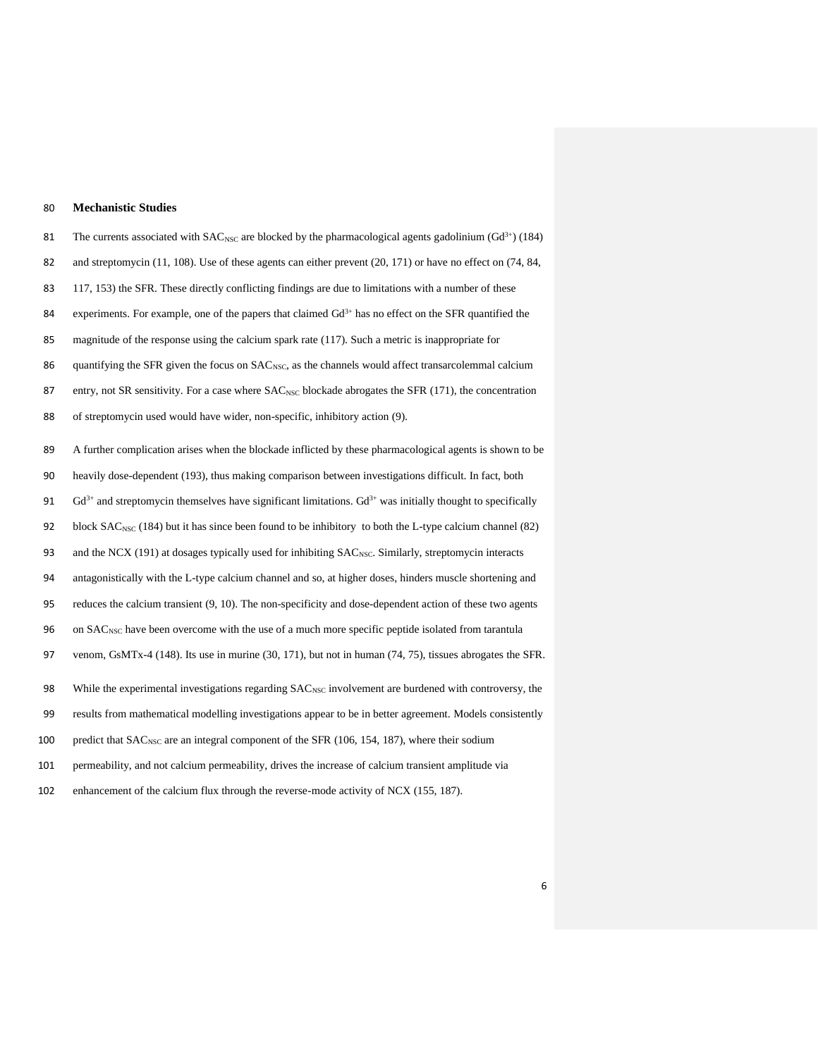# 80 **Mechanistic Studies**

81 The currents associated with SAC<sub>NSC</sub> are blocked by the pharmacological agents gadolinium (Gd<sup>3+</sup>) (184) 82 and streptomycin (11, 108). Use of these agents can either prevent (20, 171) or have no effect on (74, 84, 83 117, 153) the SFR. These directly conflicting findings are due to limitations with a number of these experiments. For example, one of the papers that claimed  $Gd<sup>3+</sup>$  has no effect on the SFR quantified the 85 magnitude of the response using the calcium spark rate (117). Such a metric is inappropriate for 86 quantifying the SFR given the focus on SAC<sub>NSC</sub>, as the channels would affect transarcolemmal calcium 87 entry, not SR sensitivity. For a case where SAC<sub>NSC</sub> blockade abrogates the SFR (171), the concentration 88 of streptomycin used would have wider, non-specific, inhibitory action (9). 89 A further complication arises when the blockade inflicted by these pharmacological agents is shown to be 90 heavily dose-dependent (193), thus making comparison between investigations difficult. In fact, both  $Gd<sup>3+</sup>$  and streptomycin themselves have significant limitations.  $Gd<sup>3+</sup>$  was initially thought to specifically 92 block SAC<sub>NSC</sub> (184) but it has since been found to be inhibitory to both the L-type calcium channel (82) 93 and the NCX (191) at dosages typically used for inhibiting SAC<sub>NSC</sub>. Similarly, streptomycin interacts 94 antagonistically with the L-type calcium channel and so, at higher doses, hinders muscle shortening and 95 reduces the calcium transient (9, 10). The non-specificity and dose-dependent action of these two agents 96 on SAC<sub>NSC</sub> have been overcome with the use of a much more specific peptide isolated from tarantula 97 venom, GsMTx-4 (148). Its use in murine (30, 171), but not in human (74, 75), tissues abrogates the SFR. 98 While the experimental investigations regarding SAC<sub>NSC</sub> involvement are burdened with controversy, the 99 results from mathematical modelling investigations appear to be in better agreement. Models consistently 100 predict that SAC<sub>NSC</sub> are an integral component of the SFR (106, 154, 187), where their sodium 101 permeability, and not calcium permeability, drives the increase of calcium transient amplitude via

102 enhancement of the calcium flux through the reverse-mode activity of NCX (155, 187).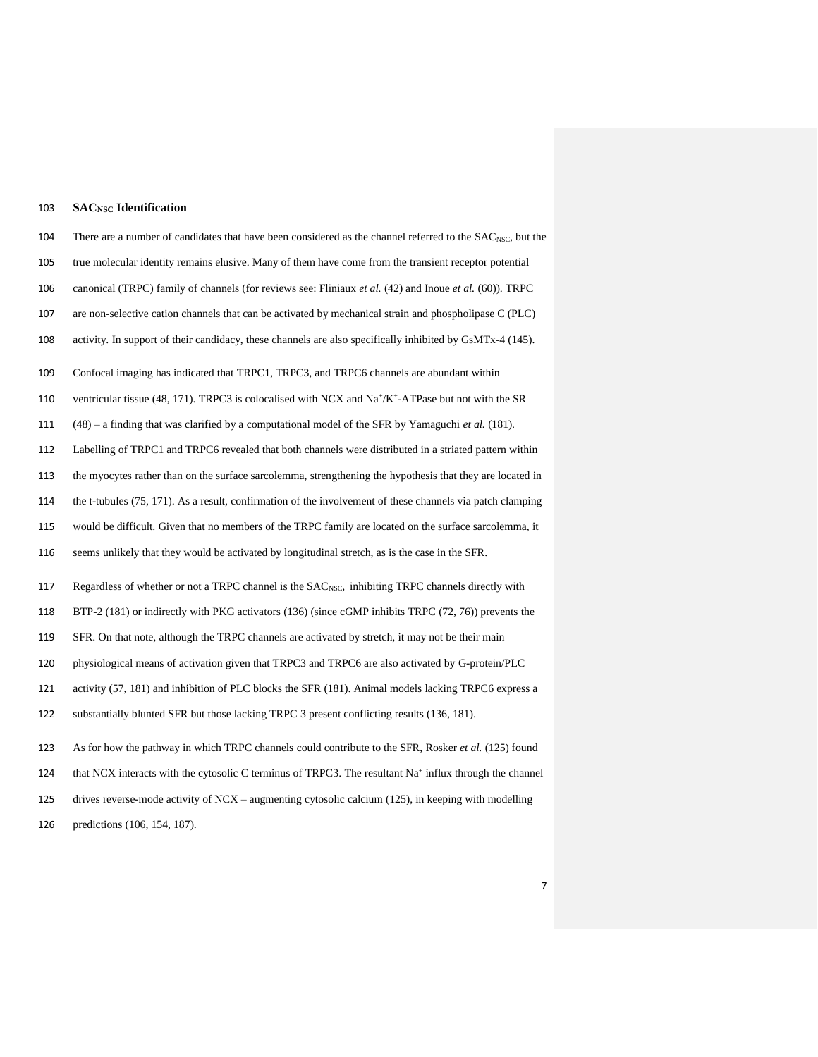# **SACNSC Identification**

| 104 | There are a number of candidates that have been considered as the channel referred to the SAC <sub>NSC</sub> , but the     |
|-----|----------------------------------------------------------------------------------------------------------------------------|
| 105 | true molecular identity remains elusive. Many of them have come from the transient receptor potential                      |
| 106 | canonical (TRPC) family of channels (for reviews see: Fliniaux et al. (42) and Inoue et al. (60)). TRPC                    |
| 107 | are non-selective cation channels that can be activated by mechanical strain and phospholipase C (PLC)                     |
| 108 | activity. In support of their candidacy, these channels are also specifically inhibited by GsMTx-4 (145).                  |
| 109 | Confocal imaging has indicated that TRPC1, TRPC3, and TRPC6 channels are abundant within                                   |
| 110 | ventricular tissue (48, 171). TRPC3 is colocalised with NCX and $\text{Na}^+\text{/K}^+\text{-ATPase}$ but not with the SR |
| 111 | $(48)$ – a finding that was clarified by a computational model of the SFR by Yamaguchi <i>et al.</i> (181).                |
| 112 | Labelling of TRPC1 and TRPC6 revealed that both channels were distributed in a striated pattern within                     |
| 113 | the myocytes rather than on the surface sarcolemma, strengthening the hypothesis that they are located in                  |
| 114 | the t-tubules (75, 171). As a result, confirmation of the involvement of these channels via patch clamping                 |
| 115 | would be difficult. Given that no members of the TRPC family are located on the surface sarcolemma, it                     |
| 116 | seems unlikely that they would be activated by longitudinal stretch, as is the case in the SFR.                            |
| 117 | Regardless of whether or not a TRPC channel is the SAC <sub>NSC</sub> , inhibiting TRPC channels directly with             |
| 118 | BTP-2 (181) or indirectly with PKG activators (136) (since cGMP inhibits TRPC (72, 76)) prevents the                       |
| 119 | SFR. On that note, although the TRPC channels are activated by stretch, it may not be their main                           |
| 120 | physiological means of activation given that TRPC3 and TRPC6 are also activated by G-protein/PLC                           |
| 121 | activity (57, 181) and inhibition of PLC blocks the SFR (181). Animal models lacking TRPC6 express a                       |
| 122 | substantially blunted SFR but those lacking TRPC 3 present conflicting results (136, 181).                                 |
| 123 | As for how the pathway in which TRPC channels could contribute to the SFR, Rosker et al. (125) found                       |
| 124 | that NCX interacts with the cytosolic C terminus of TRPC3. The resultant $Na+$ influx through the channel                  |
| 125 | drives reverse-mode activity of $NCX$ – augmenting cytosolic calcium (125), in keeping with modelling                      |

predictions (106, 154, 187).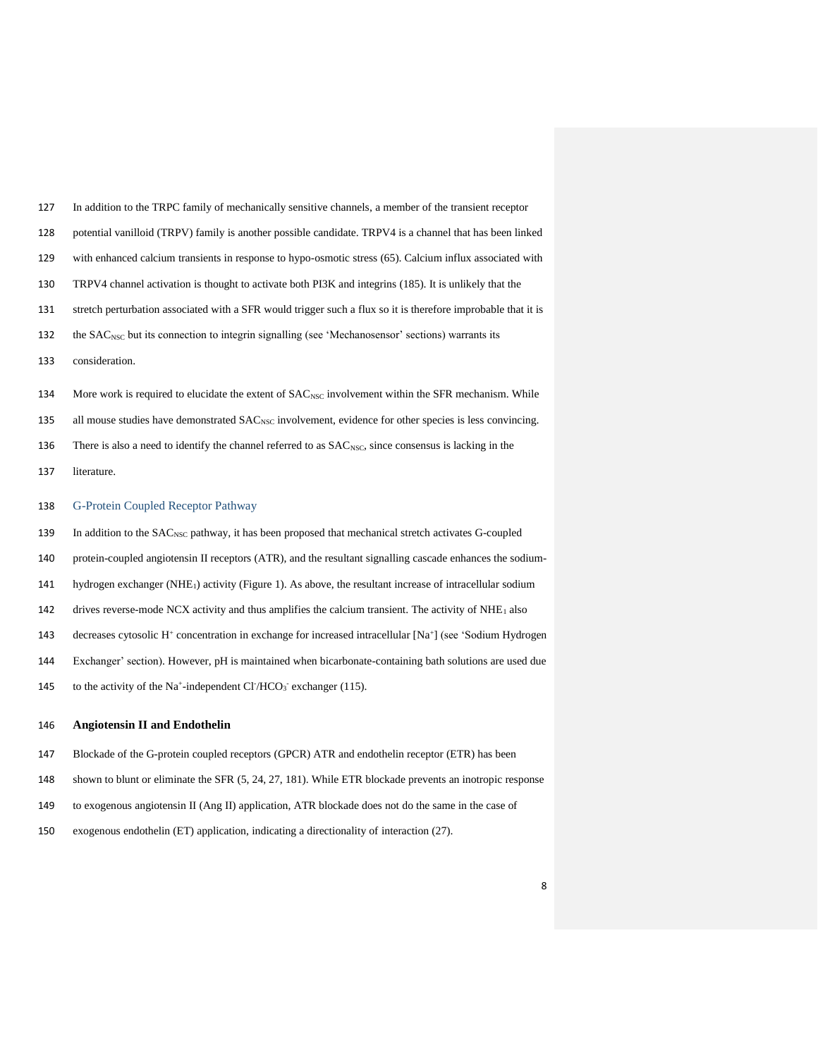| 127 | In addition to the TRPC family of mechanically sensitive channels, a member of the transient receptor                             |
|-----|-----------------------------------------------------------------------------------------------------------------------------------|
| 128 | potential vanilloid (TRPV) family is another possible candidate. TRPV4 is a channel that has been linked                          |
| 129 | with enhanced calcium transients in response to hypo-osmotic stress (65). Calcium influx associated with                          |
| 130 | TRPV4 channel activation is thought to activate both PI3K and integrins (185). It is unlikely that the                            |
| 131 | stretch perturbation associated with a SFR would trigger such a flux so it is therefore improbable that it is                     |
| 132 | the SAC <sub>NSC</sub> but its connection to integrin signalling (see 'Mechanosensor' sections) warrants its                      |
| 133 | consideration.                                                                                                                    |
| 134 | More work is required to elucidate the extent of SAC <sub>NSC</sub> involvement within the SFR mechanism. While                   |
|     |                                                                                                                                   |
| 135 | all mouse studies have demonstrated SAC <sub>NSC</sub> involvement, evidence for other species is less convincing.                |
| 136 | There is also a need to identify the channel referred to as SAC <sub>NSC</sub> , since consensus is lacking in the                |
| 137 | literature.                                                                                                                       |
|     |                                                                                                                                   |
| 138 | G-Protein Coupled Receptor Pathway                                                                                                |
| 139 | In addition to the SAC <sub>NSC</sub> pathway, it has been proposed that mechanical stretch activates G-coupled                   |
| 140 | protein-coupled angiotensin II receptors (ATR), and the resultant signalling cascade enhances the sodium-                         |
| 141 | hydrogen exchanger ( $NHE_1$ ) activity (Figure 1). As above, the resultant increase of intracellular sodium                      |
| 142 | drives reverse-mode NCX activity and thus amplifies the calcium transient. The activity of $NHE1$ also                            |
| 143 | decreases cytosolic H <sup>+</sup> concentration in exchange for increased intracellular [Na <sup>+</sup> ] (see 'Sodium Hydrogen |

- Exchanger' section). However, pH is maintained when bicarbonate-containing bath solutions are used due
- 145 to the activity of the Na<sup>+</sup>-independent Cl<sup>-</sup>/HCO<sub>3</sub><sup>-</sup> exchanger (115).

# **Angiotensin II and Endothelin**

- Blockade of the G-protein coupled receptors (GPCR) ATR and endothelin receptor (ETR) has been
- shown to blunt or eliminate the SFR (5, 24, 27, 181). While ETR blockade prevents an inotropic response
- to exogenous angiotensin II (Ang II) application, ATR blockade does not do the same in the case of
- exogenous endothelin (ET) application, indicating a directionality of interaction (27).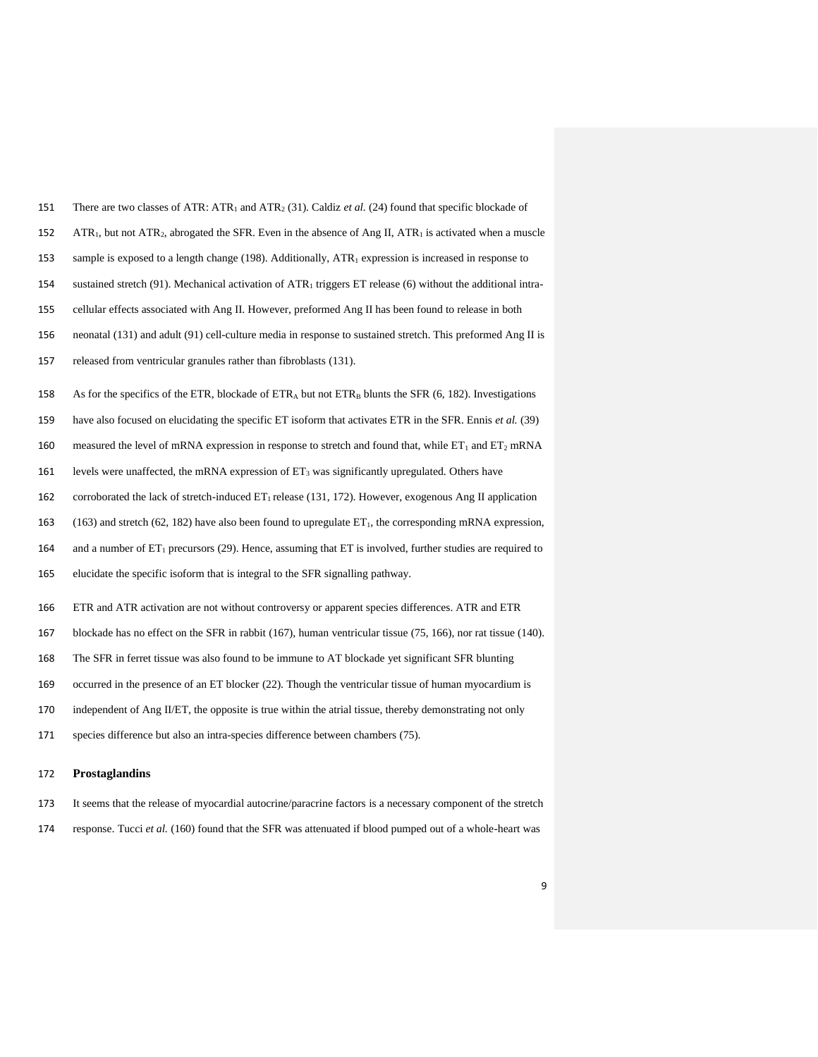| 151 | There are two classes of ATR: ATR <sub>1</sub> and ATR <sub>2</sub> (31). Caldiz <i>et al.</i> (24) found that specific blockade of |
|-----|-------------------------------------------------------------------------------------------------------------------------------------|
| 152 | $ATR_1$ , but not $ATR_2$ , abrogated the SFR. Even in the absence of Ang II, $ATR_1$ is activated when a muscle                    |
| 153 | sample is exposed to a length change (198). Additionally, $ATR_1$ expression is increased in response to                            |
| 154 | sustained stretch (91). Mechanical activation of $ATR_1$ triggers ET release (6) without the additional intra-                      |
| 155 | cellular effects associated with Ang II. However, preformed Ang II has been found to release in both                                |
| 156 | neonatal (131) and adult (91) cell-culture media in response to sustained stretch. This preformed Ang II is                         |
| 157 | released from ventricular granules rather than fibroblasts (131).                                                                   |
| 158 | As for the specifics of the ETR, blockade of ETR <sub>A</sub> but not ETR <sub>B</sub> blunts the SFR $(6, 182)$ . Investigations   |
| 159 | have also focused on elucidating the specific ET isoform that activates ETR in the SFR. Ennis et al. (39)                           |
| 160 | measured the level of mRNA expression in response to stretch and found that, while $ET_1$ and $ET_2$ mRNA                           |
| 161 | levels were unaffected, the mRNA expression of $ET_3$ was significantly upregulated. Others have                                    |
| 162 | corroborated the lack of stretch-induced $ET_1$ release (131, 172). However, exogenous Ang II application                           |
| 163 | $(163)$ and stretch $(62, 182)$ have also been found to upregulate $ET_1$ , the corresponding mRNA expression,                      |
| 164 | and a number of $ET_1$ precursors (29). Hence, assuming that $ET$ is involved, further studies are required to                      |
| 165 | elucidate the specific isoform that is integral to the SFR signalling pathway.                                                      |
| 166 | ETR and ATR activation are not without controversy or apparent species differences. ATR and ETR                                     |
| 167 | blockade has no effect on the SFR in rabbit $(167)$ , human ventricular tissue $(75, 166)$ , nor rat tissue $(140)$ .               |
| 168 | The SFR in ferret tissue was also found to be immune to AT blockade yet significant SFR blunting                                    |
| 169 | occurred in the presence of an ET blocker (22). Though the ventricular tissue of human myocardium is                                |
| 170 | independent of Ang II/ET, the opposite is true within the atrial tissue, thereby demonstrating not only                             |
| 171 | species difference but also an intra-species difference between chambers (75).                                                      |
|     |                                                                                                                                     |

# 172 **Prostaglandins**

- 173 It seems that the release of myocardial autocrine/paracrine factors is a necessary component of the stretch
- 174 response. Tucci *et al.* (160) found that the SFR was attenuated if blood pumped out of a whole-heart was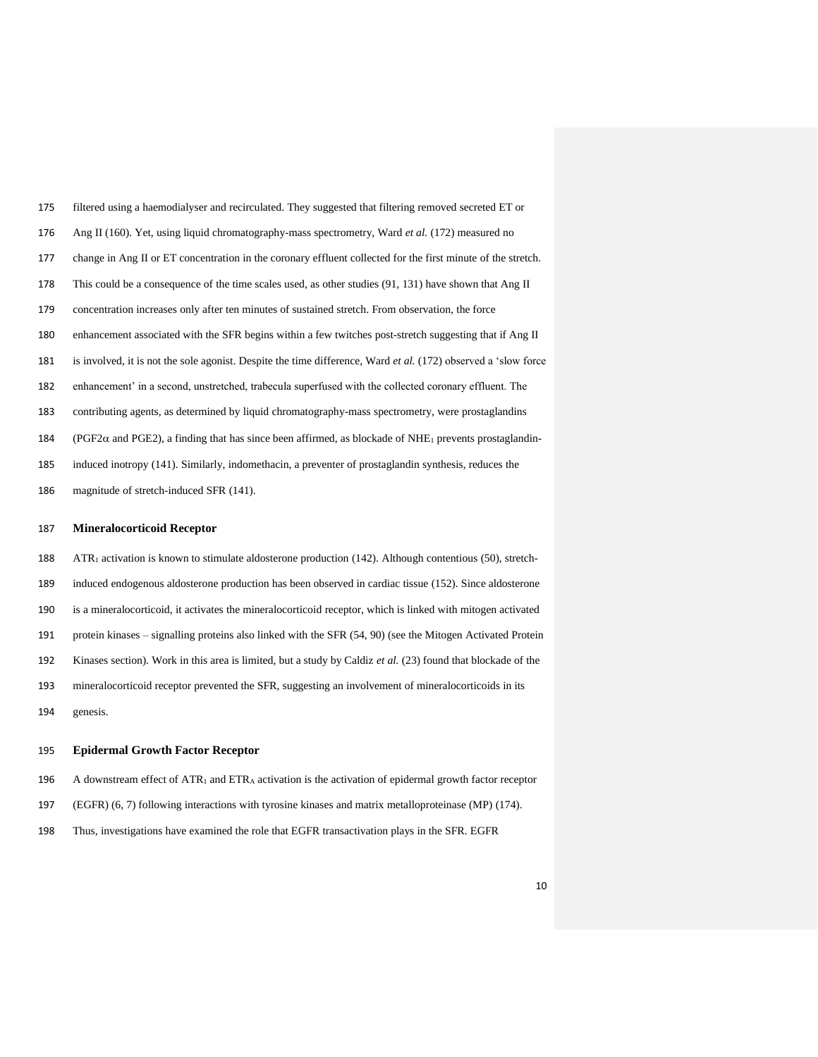| 175 | filtered using a haemodialyser and recirculated. They suggested that filtering removed secreted ET or                      |
|-----|----------------------------------------------------------------------------------------------------------------------------|
| 176 | Ang II (160). Yet, using liquid chromatography-mass spectrometry, Ward <i>et al.</i> (172) measured no                     |
| 177 | change in Ang II or ET concentration in the coronary effluent collected for the first minute of the stretch.               |
| 178 | This could be a consequence of the time scales used, as other studies (91, 131) have shown that Ang II                     |
| 179 | concentration increases only after ten minutes of sustained stretch. From observation, the force                           |
| 180 | enhancement associated with the SFR begins within a few twitches post-stretch suggesting that if Ang II                    |
| 181 | is involved, it is not the sole agonist. Despite the time difference, Ward <i>et al.</i> (172) observed a 'slow force      |
| 182 | enhancement' in a second, unstretched, trabecula superfused with the collected coronary effluent. The                      |
| 183 | contributing agents, as determined by liquid chromatography-mass spectrometry, were prostaglandins                         |
| 184 | (PGF2 $\alpha$ and PGE2), a finding that has since been affirmed, as blockade of NHE <sub>1</sub> prevents prostagland in- |
| 185 | induced inotropy (141). Similarly, indomethacin, a preventer of prostaglandin synthesis, reduces the                       |
| 186 | magnitude of stretch-induced SFR (141).                                                                                    |

## **Mineralocorticoid Receptor**

188 ATR<sub>1</sub> activation is known to stimulate aldosterone production (142). Although contentious (50), stretch- induced endogenous aldosterone production has been observed in cardiac tissue (152). Since aldosterone is a mineralocorticoid, it activates the mineralocorticoid receptor, which is linked with mitogen activated protein kinases – signalling proteins also linked with the SFR (54, 90) (see the Mitogen Activated Protein Kinases section). Work in this area is limited, but a study by Caldiz *et al.* (23) found that blockade of the mineralocorticoid receptor prevented the SFR, suggesting an involvement of mineralocorticoids in its genesis.

## **Epidermal Growth Factor Receptor**

- 196 A downstream effect of ATR<sub>1</sub> and ETR<sub>A</sub> activation is the activation of epidermal growth factor receptor
- (EGFR) (6, 7) following interactions with tyrosine kinases and matrix metalloproteinase (MP) (174).
- Thus, investigations have examined the role that EGFR transactivation plays in the SFR. EGFR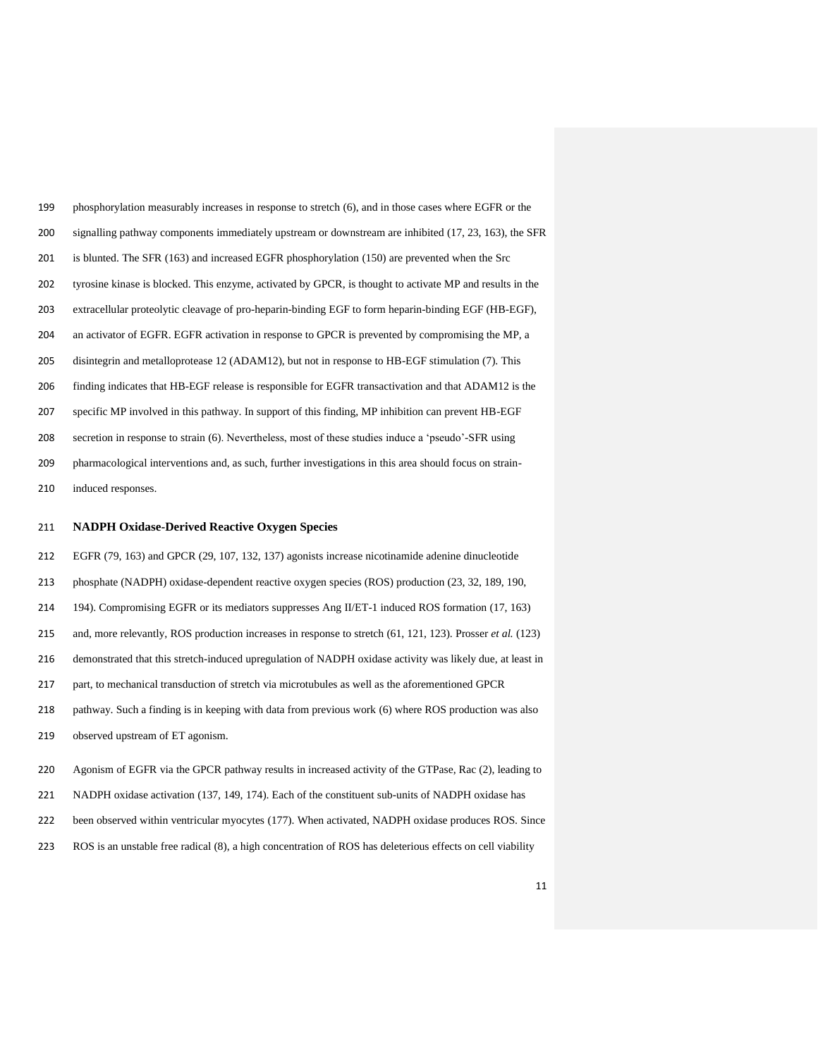| 199 | phosphorylation measurably increases in response to stretch (6), and in those cases where EGFR or the    |
|-----|----------------------------------------------------------------------------------------------------------|
| 200 | signalling pathway components immediately upstream or downstream are inhibited (17, 23, 163), the SFR    |
| 201 | is blunted. The SFR $(163)$ and increased EGFR phosphorylation $(150)$ are prevented when the Src        |
| 202 | tyrosine kinase is blocked. This enzyme, activated by GPCR, is thought to activate MP and results in the |
| 203 | extracellular proteolytic cleavage of pro-heparin-binding EGF to form heparin-binding EGF (HB-EGF),      |
| 204 | an activator of EGFR. EGFR activation in response to GPCR is prevented by compromising the MP, a         |
| 205 | disintegrin and metalloprotease 12 (ADAM12), but not in response to HB-EGF stimulation (7). This         |
| 206 | finding indicates that HB-EGF release is responsible for EGFR transactivation and that ADAM12 is the     |
| 207 | specific MP involved in this pathway. In support of this finding, MP inhibition can prevent HB-EGF       |
| 208 | secretion in response to strain (6). Nevertheless, most of these studies induce a 'pseudo'-SFR using     |
| 209 | pharmacological interventions and, as such, further investigations in this area should focus on strain-  |
| 210 | induced responses.                                                                                       |

# **NADPH Oxidase-Derived Reactive Oxygen Species**

 EGFR (79, 163) and GPCR (29, 107, 132, 137) agonists increase nicotinamide adenine dinucleotide phosphate (NADPH) oxidase-dependent reactive oxygen species (ROS) production (23, 32, 189, 190, 194). Compromising EGFR or its mediators suppresses Ang II/ET-1 induced ROS formation (17, 163) and, more relevantly, ROS production increases in response to stretch (61, 121, 123). Prosser *et al.* (123) demonstrated that this stretch-induced upregulation of NADPH oxidase activity was likely due, at least in part, to mechanical transduction of stretch via microtubules as well as the aforementioned GPCR pathway. Such a finding is in keeping with data from previous work (6) where ROS production was also observed upstream of ET agonism. Agonism of EGFR via the GPCR pathway results in increased activity of the GTPase, Rac (2), leading to

- NADPH oxidase activation (137, 149, 174). Each of the constituent sub-units of NADPH oxidase has
- been observed within ventricular myocytes (177). When activated, NADPH oxidase produces ROS. Since
- ROS is an unstable free radical (8), a high concentration of ROS has deleterious effects on cell viability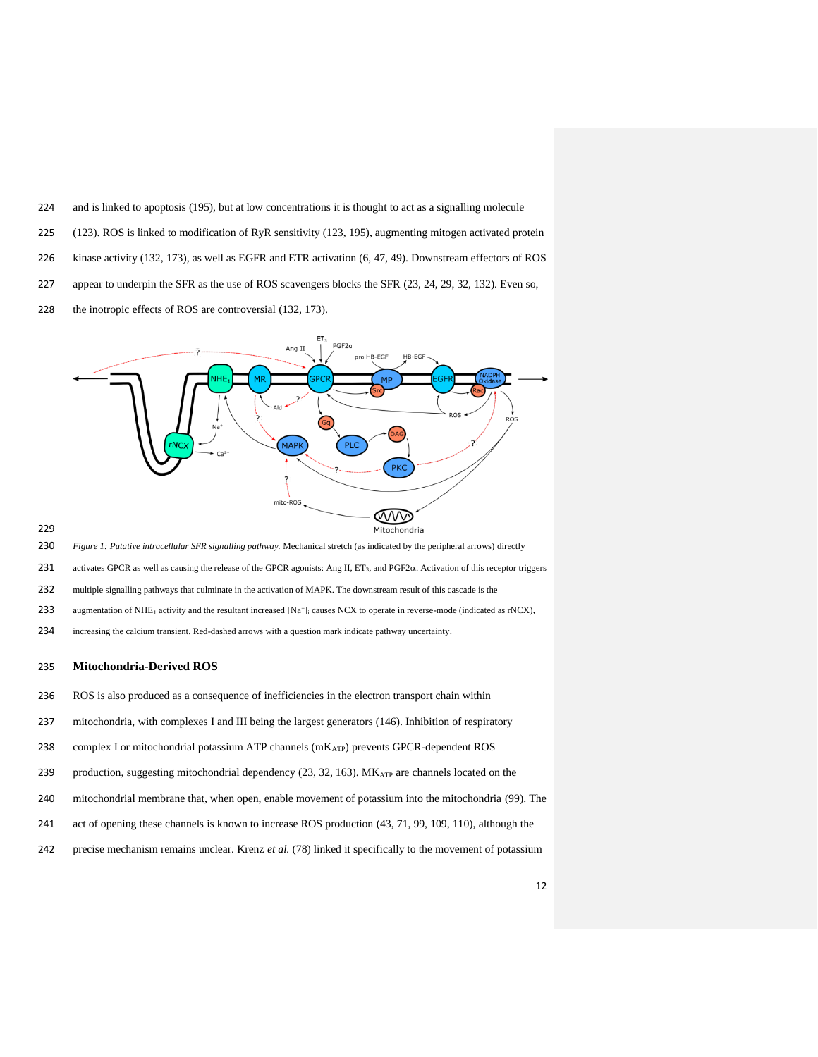- and is linked to apoptosis (195), but at low concentrations it is thought to act as a signalling molecule
- (123). ROS is linked to modification of RyR sensitivity (123, 195), augmenting mitogen activated protein
- kinase activity (132, 173), as well as EGFR and ETR activation (6, 47, 49). Downstream effectors of ROS
- appear to underpin the SFR as the use of ROS scavengers blocks the SFR (23, 24, 29, 32, 132). Even so,
- 228 the inotropic effects of ROS are controversial (132, 173).



## 

- <span id="page-11-0"></span>*Figure 1: Putative intracellular SFR signalling pathway.* Mechanical stretch (as indicated by the peripheral arrows) directly
- 231 activates GPCR as well as causing the release of the GPCR agonists: Ang II,  $ET_3$ , and  $PGF2\alpha$ . Activation of this receptor triggers
- multiple signalling pathways that culminate in the activation of MAPK. The downstream result of this cascade is the
- 233 augmentation of NHE<sub>1</sub> activity and the resultant increased [Na<sup>+</sup>]<sub>i</sub> causes NCX to operate in reverse-mode (indicated as rNCX),
- increasing the calcium transient. Red-dashed arrows with a question mark indicate pathway uncertainty.

### **Mitochondria-Derived ROS**

- ROS is also produced as a consequence of inefficiencies in the electron transport chain within
- mitochondria, with complexes I and III being the largest generators (146). Inhibition of respiratory
- 238 complex I or mitochondrial potassium ATP channels (mK<sub>ATP</sub>) prevents GPCR-dependent ROS
- 239 production, suggesting mitochondrial dependency  $(23, 32, 163)$ .  $MK_{ATP}$  are channels located on the
- mitochondrial membrane that, when open, enable movement of potassium into the mitochondria (99). The
- act of opening these channels is known to increase ROS production (43, 71, 99, 109, 110), although the
- precise mechanism remains unclear. Krenz *et al.* (78) linked it specifically to the movement of potassium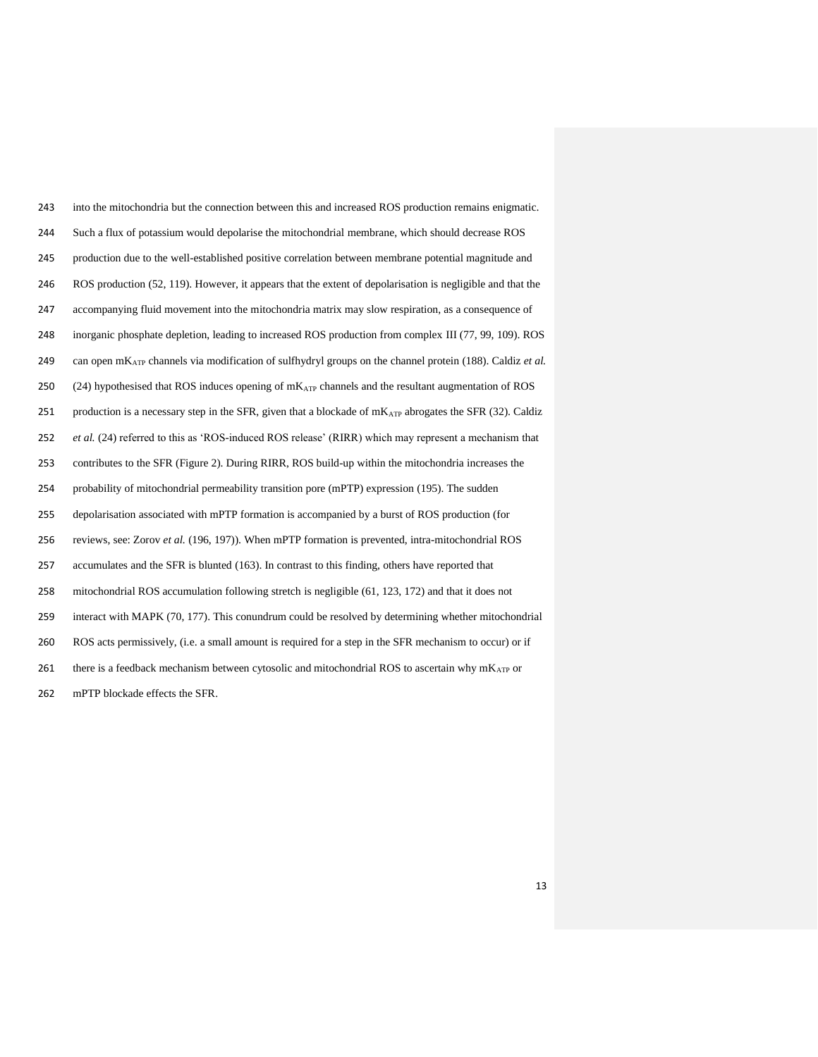| 243 | into the mitochondria but the connection between this and increased ROS production remains enigmatic.                |
|-----|----------------------------------------------------------------------------------------------------------------------|
| 244 | Such a flux of potassium would depolarise the mitochondrial membrane, which should decrease ROS                      |
| 245 | production due to the well-established positive correlation between membrane potential magnitude and                 |
| 246 | ROS production (52, 119). However, it appears that the extent of depolarisation is negligible and that the           |
| 247 | accompanying fluid movement into the mitochondria matrix may slow respiration, as a consequence of                   |
| 248 | inorganic phosphate depletion, leading to increased ROS production from complex III (77, 99, 109). ROS               |
| 249 | can open mKATP channels via modification of sulfhydryl groups on the channel protein (188). Caldiz et al.            |
| 250 | $(24)$ hypothesised that ROS induces opening of m $K_{ATP}$ channels and the resultant augmentation of ROS           |
| 251 | production is a necessary step in the SFR, given that a blockade of mK <sub>ATP</sub> abrogates the SFR (32). Caldiz |
| 252 | et al. (24) referred to this as 'ROS-induced ROS release' (RIRR) which may represent a mechanism that                |
| 253 | contributes to the SFR (Figure 2). During RIRR, ROS build-up within the mitochondria increases the                   |
| 254 | probability of mitochondrial permeability transition pore (mPTP) expression (195). The sudden                        |
| 255 | depolarisation associated with mPTP formation is accompanied by a burst of ROS production (for                       |
| 256 | reviews, see: Zorov et al. (196, 197)). When mPTP formation is prevented, intra-mitochondrial ROS                    |
| 257 | accumulates and the SFR is blunted (163). In contrast to this finding, others have reported that                     |
| 258 | mitochondrial ROS accumulation following stretch is negligible (61, 123, 172) and that it does not                   |
| 259 | interact with MAPK (70, 177). This conundrum could be resolved by determining whether mitochondrial                  |
| 260 | ROS acts permissively, (i.e. a small amount is required for a step in the SFR mechanism to occur) or if              |
| 261 | there is a feedback mechanism between cytosolic and mitochondrial ROS to ascertain why $mK_{ATP}$ or                 |
| 262 | mPTP blockade effects the SFR.                                                                                       |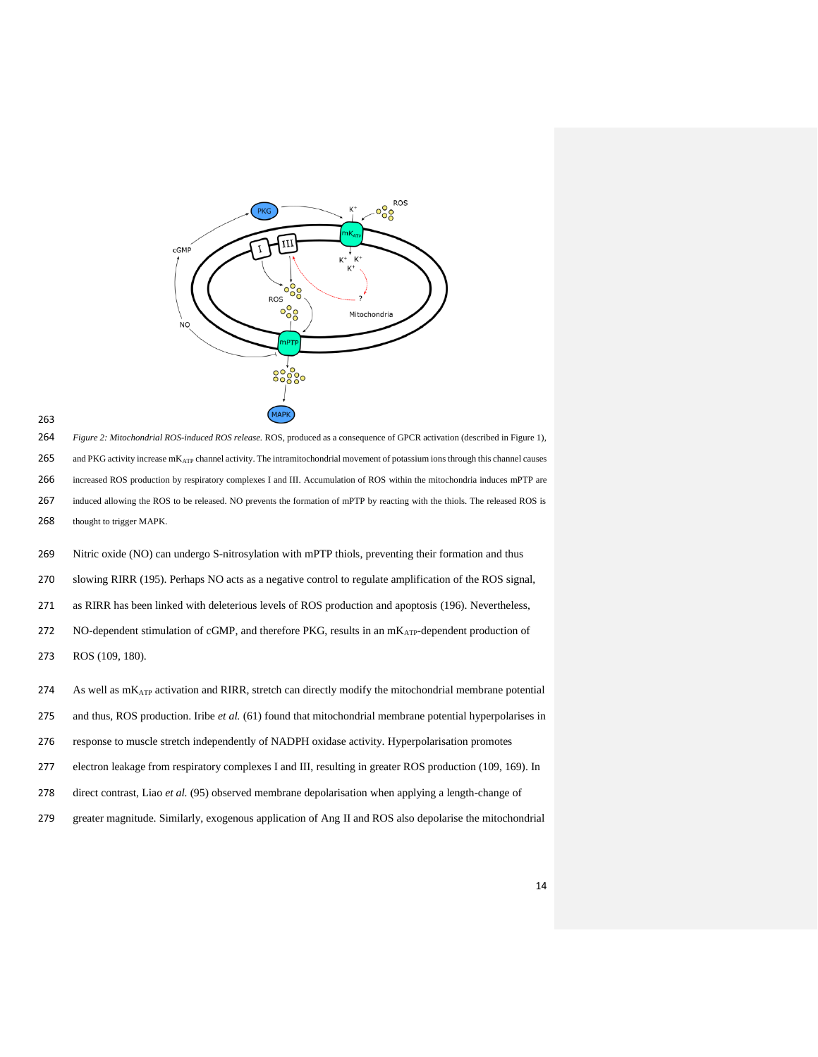

<span id="page-13-0"></span> *Figure 2: Mitochondrial ROS-induced ROS release.* ROS, produced as a consequence of GPCR activation (described in Figure 1), 265 and PKG activity increase mK<sub>ATP</sub> channel activity. The intramitochondrial movement of potassium ions through this channel causes increased ROS production by respiratory complexes I and III. Accumulation of ROS within the mitochondria induces mPTP are induced allowing the ROS to be released. NO prevents the formation of mPTP by reacting with the thiols. The released ROS is thought to trigger MAPK.

 Nitric oxide (NO) can undergo S-nitrosylation with mPTP thiols, preventing their formation and thus slowing RIRR (195). Perhaps NO acts as a negative control to regulate amplification of the ROS signal, as RIRR has been linked with deleterious levels of ROS production and apoptosis (196). Nevertheless, 272 NO-dependent stimulation of cGMP, and therefore PKG, results in an mKATP-dependent production of ROS (109, 180).

274 As well as  $m_{ATP}$  activation and RIRR, stretch can directly modify the mitochondrial membrane potential and thus, ROS production. Iribe *et al.* (61) found that mitochondrial membrane potential hyperpolarises in response to muscle stretch independently of NADPH oxidase activity. Hyperpolarisation promotes electron leakage from respiratory complexes I and III, resulting in greater ROS production (109, 169). In direct contrast, Liao *et al.* (95) observed membrane depolarisation when applying a length-change of greater magnitude. Similarly, exogenous application of Ang II and ROS also depolarise the mitochondrial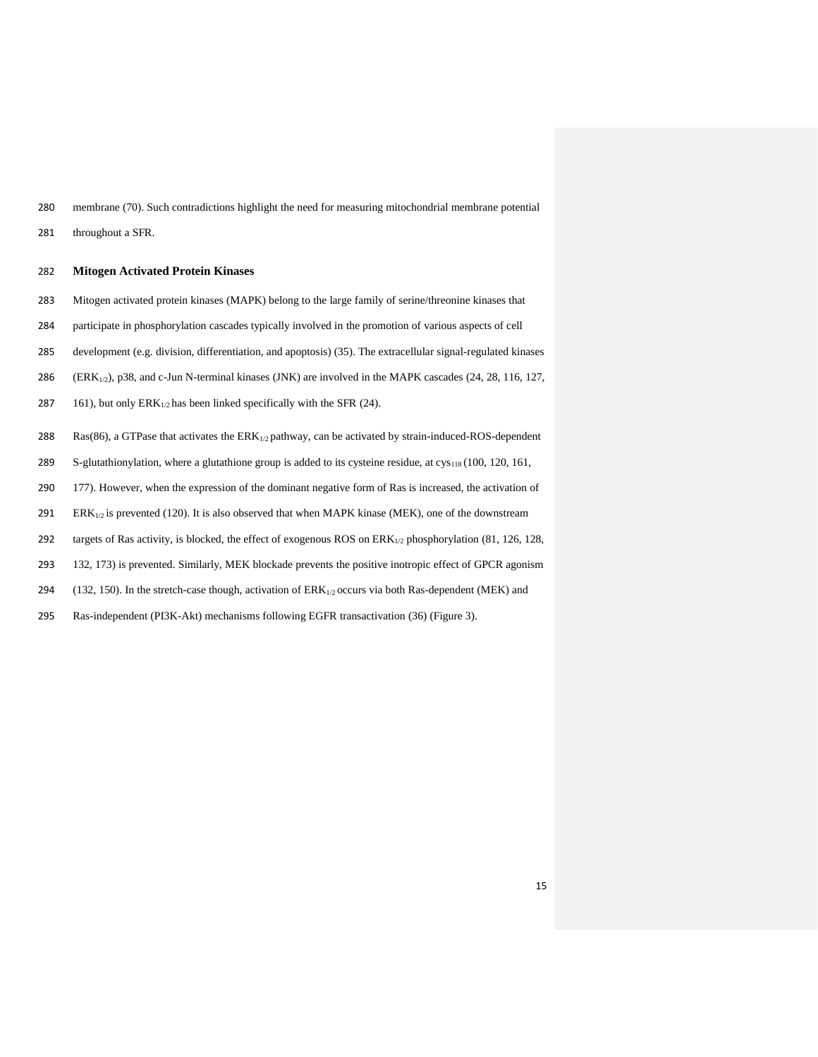280 membrane (70). Such contradictions highlight the need for measuring mitochondrial membrane potential

281 throughout a SFR.

## 282 **Mitogen Activated Protein Kinases**

- 283 Mitogen activated protein kinases (MAPK) belong to the large family of serine/threonine kinases that
- 284 participate in phosphorylation cascades typically involved in the promotion of various aspects of cell
- 285 development (e.g. division, differentiation, and apoptosis) (35). The extracellular signal-regulated kinases
- 286 (ERK<sub>1/2</sub>), p38, and c-Jun N-terminal kinases (JNK) are involved in the MAPK cascades (24, 28, 116, 127,
- 287 161), but only  $ERK_{1/2}$  has been linked specifically with the SFR (24).
- 288 Ras(86), a GTPase that activates the  $ERK_{1/2}$  pathway, can be activated by strain-induced-ROS-dependent
- 289 S-glutathionylation, where a glutathione group is added to its cysteine residue, at  $\text{cys}_{118} (100, 120, 161, 161)$
- 290 177). However, when the expression of the dominant negative form of Ras is increased, the activation of
- 291 ERK $_{1/2}$  is prevented (120). It is also observed that when MAPK kinase (MEK), one of the downstream
- 292 targets of Ras activity, is blocked, the effect of exogenous ROS on ERK<sub>1/2</sub> phosphorylation (81, 126, 128,
- 293 132, 173) is prevented. Similarly, MEK blockade prevents the positive inotropic effect of GPCR agonism
- 294 (132, 150). In the stretch-case though, activation of  $ERK_{1/2}$  occurs via both Ras-dependent (MEK) and
- 295 Ras-independent (PI3K-Akt) mechanisms following EGFR transactivation (36) [\(Figure 3\)](#page-15-0).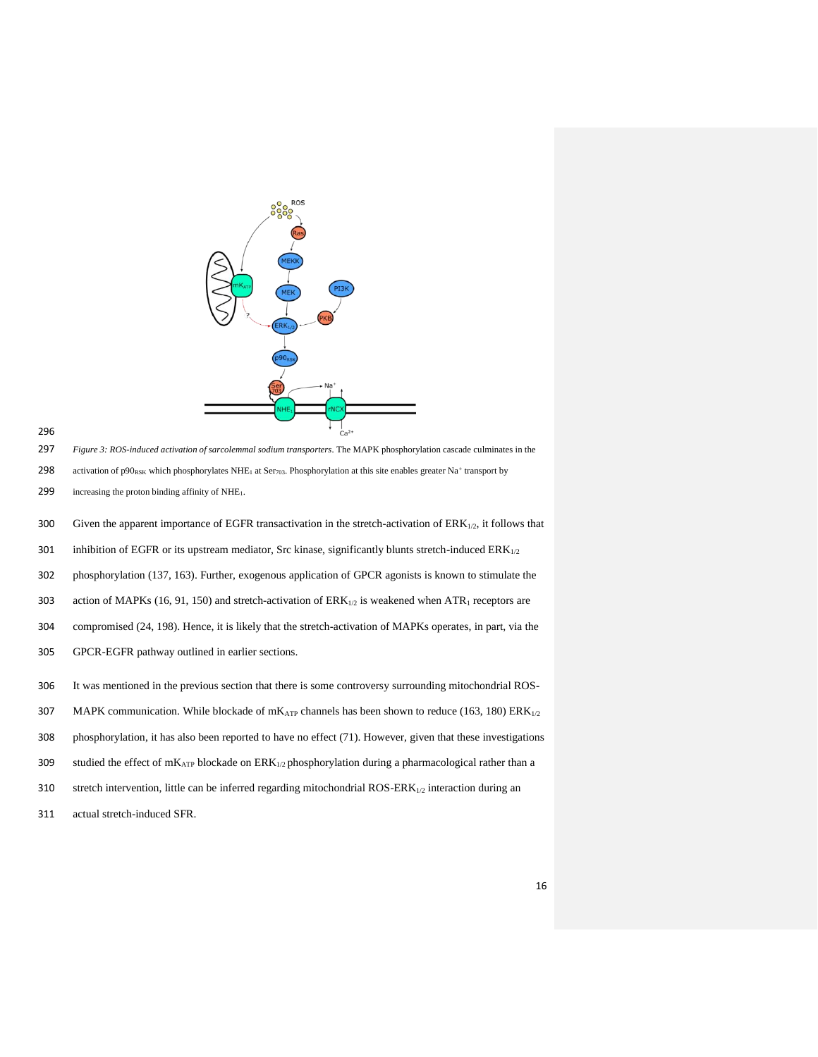



<span id="page-15-0"></span>297 *Figure 3: ROS-induced activation of sarcolemmal sodium transporters*. The MAPK phosphorylation cascade culminates in the

298 activation of p90<sub>RSK</sub> which phosphorylates NHE<sub>1</sub> at Ser<sub>703</sub>. Phosphorylation at this site enables greater Na<sup>+</sup> transport by

299 increasing the proton binding affinity of NHE1.

300 Given the apparent importance of EGFR transactivation in the stretch-activation of ERK<sub>1/2</sub>, it follows that

301 inhibition of EGFR or its upstream mediator, Src kinase, significantly blunts stretch-induced  $ERK_{1/2}$ 

302 phosphorylation (137, 163). Further, exogenous application of GPCR agonists is known to stimulate the

303 action of MAPKs (16, 91, 150) and stretch-activation of  $ERK_{1/2}$  is weakened when  $ATR_1$  receptors are

304 compromised (24, 198). Hence, it is likely that the stretch-activation of MAPKs operates, in part, via the

- 305 GPCR-EGFR pathway outlined in earlier sections.
- 306 It was mentioned in the previous section that there is some controversy surrounding mitochondrial ROS-
- 307 MAPK communication. While blockade of  $mK<sub>ATP</sub>$  channels has been shown to reduce (163, 180) ERK $_{1/2}$
- 308 phosphorylation, it has also been reported to have no effect (71). However, given that these investigations
- 309 studied the effect of  $mK_{ATP}$  blockade on  $ERK_{1/2}$  phosphorylation during a pharmacological rather than a
- 310 stretch intervention, little can be inferred regarding mitochondrial ROS-ERK $_{1/2}$  interaction during an
- 311 actual stretch-induced SFR.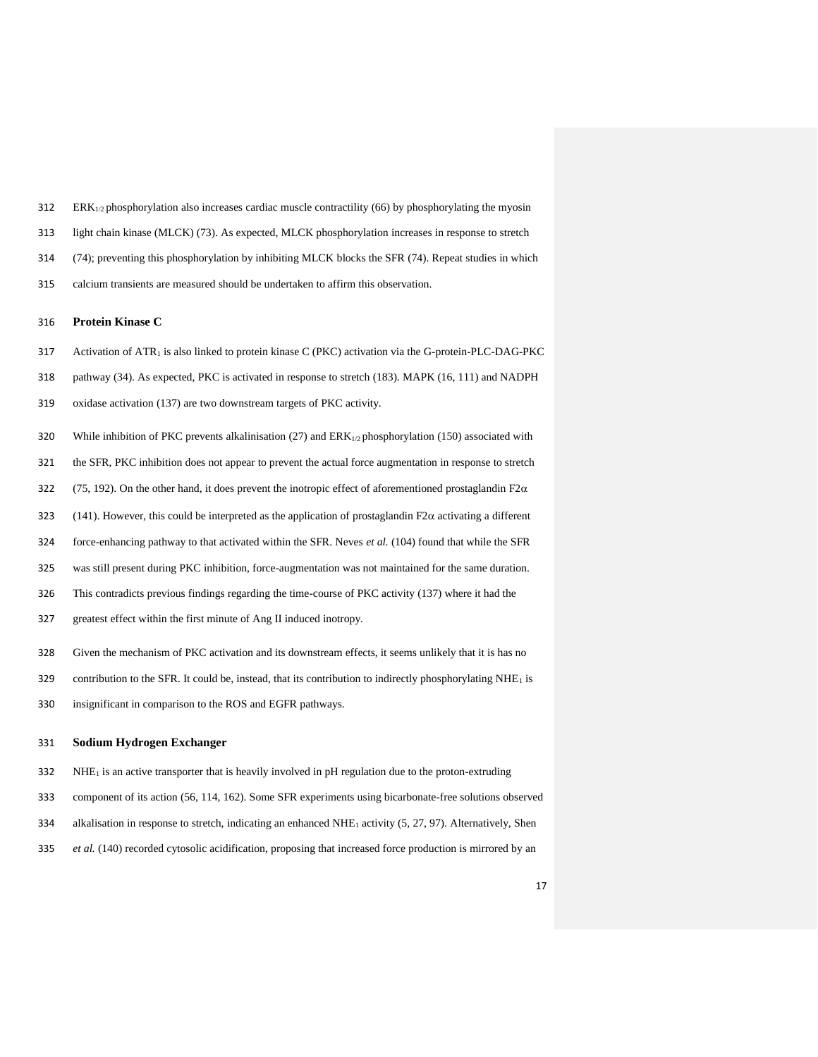- ERK<sub>1/2</sub> phosphorylation also increases cardiac muscle contractility (66) by phosphorylating the myosin
- light chain kinase (MLCK) (73). As expected, MLCK phosphorylation increases in response to stretch
- (74); preventing this phosphorylation by inhibiting MLCK blocks the SFR (74). Repeat studies in which
- calcium transients are measured should be undertaken to affirm this observation.

# **Protein Kinase C**

- Activation of ATR<sup>1</sup> is also linked to protein kinase C (PKC) activation via the G-protein-PLC-DAG-PKC
- pathway (34). As expected, PKC is activated in response to stretch (183). MAPK (16, 111) and NADPH
- oxidase activation (137) are two downstream targets of PKC activity.
- 320 While inhibition of PKC prevents alkalinisation (27) and  $ERK_{1/2}$  phosphorylation (150) associated with
- the SFR, PKC inhibition does not appear to prevent the actual force augmentation in response to stretch
- 322 (75, 192). On the other hand, it does prevent the inotropic effect of aforementioned prostaglandin F2 $\alpha$
- 323 (141). However, this could be interpreted as the application of prostaglandin F2 $\alpha$  activating a different
- force-enhancing pathway to that activated within the SFR. Neves *et al.* (104) found that while the SFR
- was still present during PKC inhibition, force-augmentation was not maintained for the same duration.
- This contradicts previous findings regarding the time-course of PKC activity (137) where it had the
- greatest effect within the first minute of Ang II induced inotropy.
- Given the mechanism of PKC activation and its downstream effects, it seems unlikely that it is has no
- contribution to the SFR. It could be, instead, that its contribution to indirectly phosphorylating NHE<sup>1</sup> is
- insignificant in comparison to the ROS and EGFR pathways.

### **Sodium Hydrogen Exchanger**

- NHE<sub>1</sub> is an active transporter that is heavily involved in pH regulation due to the proton-extruding
- component of its action (56, 114, 162). Some SFR experiments using bicarbonate-free solutions observed
- alkalisation in response to stretch, indicating an enhanced NHE<sup>1</sup> activity (5, 27, 97). Alternatively, Shen
- *et al.* (140) recorded cytosolic acidification, proposing that increased force production is mirrored by an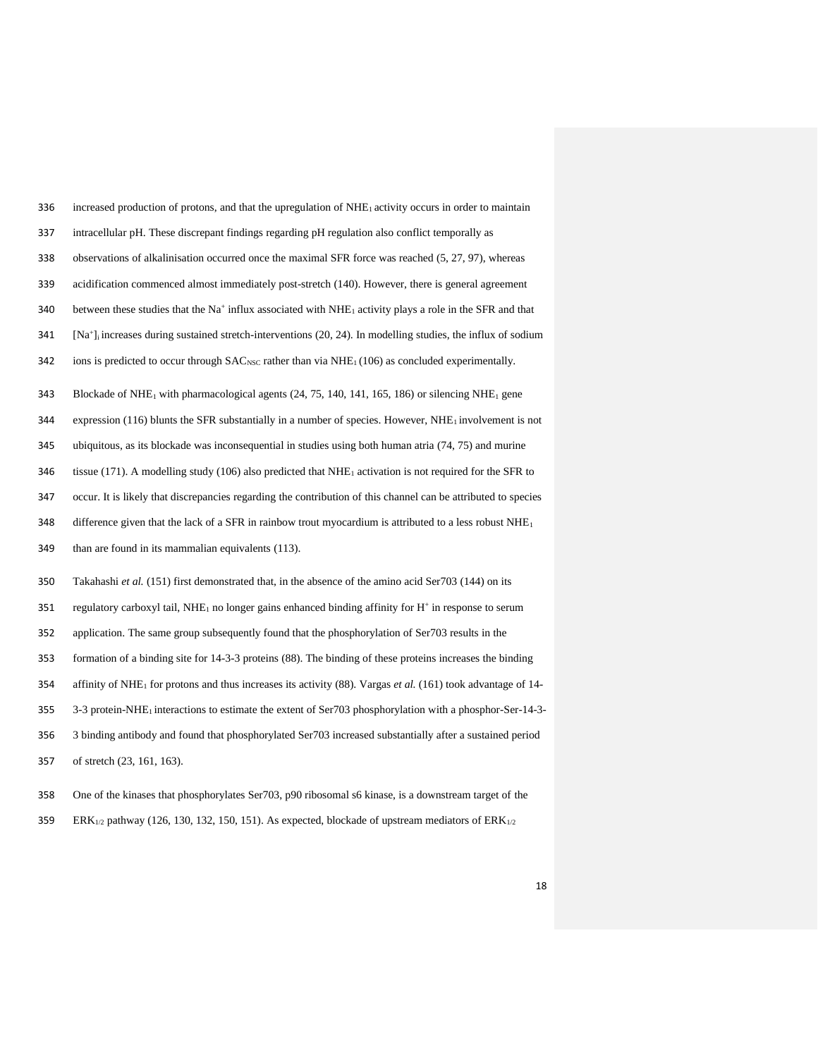| 336 | increased production of protons, and that the upregulation of NHE <sub>1</sub> activity occurs in order to maintain              |
|-----|----------------------------------------------------------------------------------------------------------------------------------|
| 337 | intracellular pH. These discrepant findings regarding pH regulation also conflict temporally as                                  |
| 338 | observations of alkalinisation occurred once the maximal SFR force was reached (5, 27, 97), whereas                              |
| 339 | acidification commenced almost immediately post-stretch (140). However, there is general agreement                               |
| 340 | between these studies that the Na <sup>+</sup> influx associated with NHE <sub>1</sub> activity plays a role in the SFR and that |
| 341 | [ $Na+$ ] increases during sustained stretch-interventions (20, 24). In modelling studies, the influx of sodium                  |
| 342 | ions is predicted to occur through $SAC_{NSC}$ rather than via $NHE_1(106)$ as concluded experimentally.                         |
| 343 | Blockade of NHE <sub>1</sub> with pharmacological agents $(24, 75, 140, 141, 165, 186)$ or silencing NHE <sub>1</sub> gene       |
| 344 | expression (116) blunts the SFR substantially in a number of species. However, $NHE_1$ involvement is not                        |
| 345 | ubiquitous, as its blockade was inconsequential in studies using both human atria $(74, 75)$ and murine                          |
| 346 | tissue (171). A modelling study (106) also predicted that $NHE_1$ activation is not required for the SFR to                      |
| 347 | occur. It is likely that discrepancies regarding the contribution of this channel can be attributed to species                   |
| 348 | difference given that the lack of a SFR in rainbow trout myocardium is attributed to a less robust $NHE_1$                       |
| 349 | than are found in its mammalian equivalents (113).                                                                               |
| 350 | Takahashi et al. (151) first demonstrated that, in the absence of the amino acid Ser703 (144) on its                             |
| 351 | regulatory carboxyl tail, NHE <sub>1</sub> no longer gains enhanced binding affinity for $H^+$ in response to serum              |
| 352 | application. The same group subsequently found that the phosphorylation of Ser703 results in the                                 |
| 353 | formation of a binding site for 14-3-3 proteins (88). The binding of these proteins increases the binding                        |
| 354 | affinity of NHE <sub>1</sub> for protons and thus increases its activity (88). Vargas <i>et al.</i> (161) took advantage of 14-  |
| 355 | 3-3 protein-NHE <sub>1</sub> interactions to estimate the extent of Ser703 phosphorylation with a phosphor-Ser-14-3-             |
| 356 | 3 binding antibody and found that phosphorylated Ser703 increased substantially after a sustained period                         |
| 357 | of stretch (23, 161, 163).                                                                                                       |
|     |                                                                                                                                  |

- One of the kinases that phosphorylates Ser703, p90 ribosomal s6 kinase, is a downstream target of the
- 359 ERK<sub>1/2</sub> pathway (126, 130, 132, 150, 151). As expected, blockade of upstream mediators of  $ERK_{1/2}$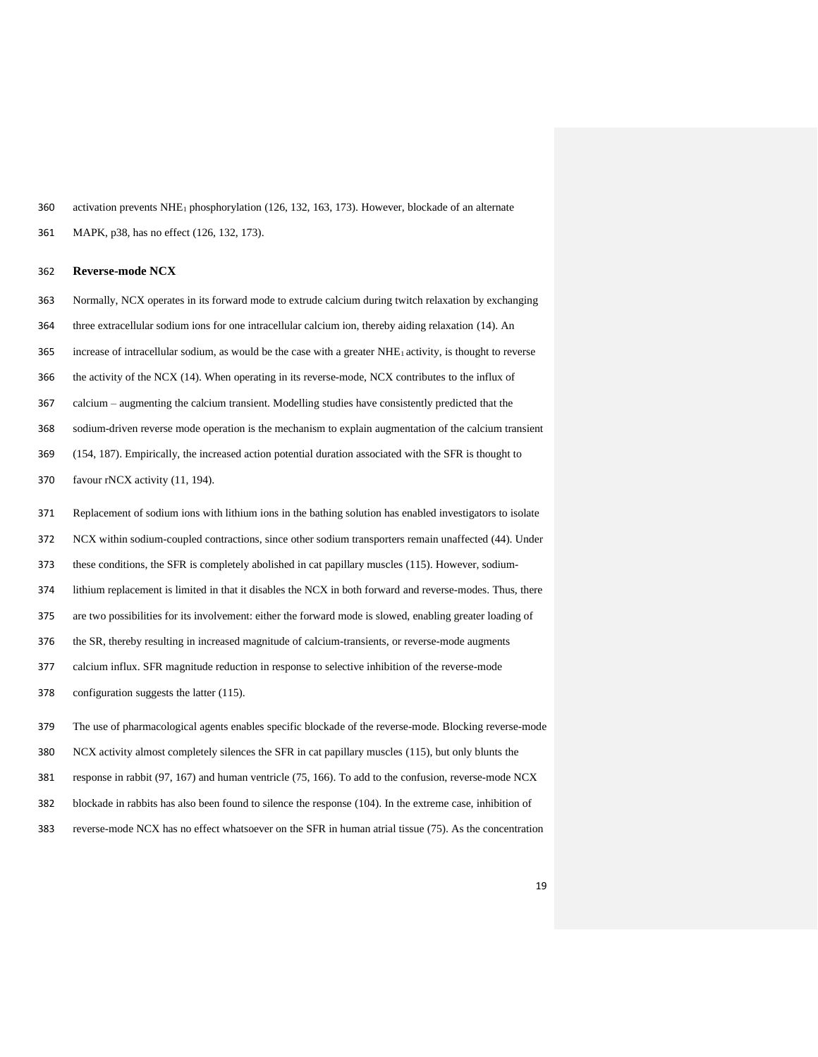activation prevents NHE<sup>1</sup> phosphorylation (126, 132, 163, 173). However, blockade of an alternate

MAPK, p38, has no effect (126, 132, 173).

**Reverse-mode NCX**

- Normally, NCX operates in its forward mode to extrude calcium during twitch relaxation by exchanging
- three extracellular sodium ions for one intracellular calcium ion, thereby aiding relaxation (14). An
- increase of intracellular sodium, as would be the case with a greater NHE1 activity, is thought to reverse
- the activity of the NCX (14). When operating in its reverse-mode, NCX contributes to the influx of
- calcium augmenting the calcium transient. Modelling studies have consistently predicted that the
- sodium-driven reverse mode operation is the mechanism to explain augmentation of the calcium transient
- (154, 187). Empirically, the increased action potential duration associated with the SFR is thought to
- favour rNCX activity (11, 194).
- Replacement of sodium ions with lithium ions in the bathing solution has enabled investigators to isolate
- NCX within sodium-coupled contractions, since other sodium transporters remain unaffected (44). Under
- these conditions, the SFR is completely abolished in cat papillary muscles (115). However, sodium-
- lithium replacement is limited in that it disables the NCX in both forward and reverse-modes. Thus, there
- are two possibilities for its involvement: either the forward mode is slowed, enabling greater loading of
- the SR, thereby resulting in increased magnitude of calcium-transients, or reverse-mode augments
- calcium influx. SFR magnitude reduction in response to selective inhibition of the reverse-mode
- configuration suggests the latter (115).
- The use of pharmacological agents enables specific blockade of the reverse-mode. Blocking reverse-mode
- NCX activity almost completely silences the SFR in cat papillary muscles (115), but only blunts the
- response in rabbit (97, 167) and human ventricle (75, 166). To add to the confusion, reverse-mode NCX
- blockade in rabbits has also been found to silence the response (104). In the extreme case, inhibition of
- reverse-mode NCX has no effect whatsoever on the SFR in human atrial tissue (75). As the concentration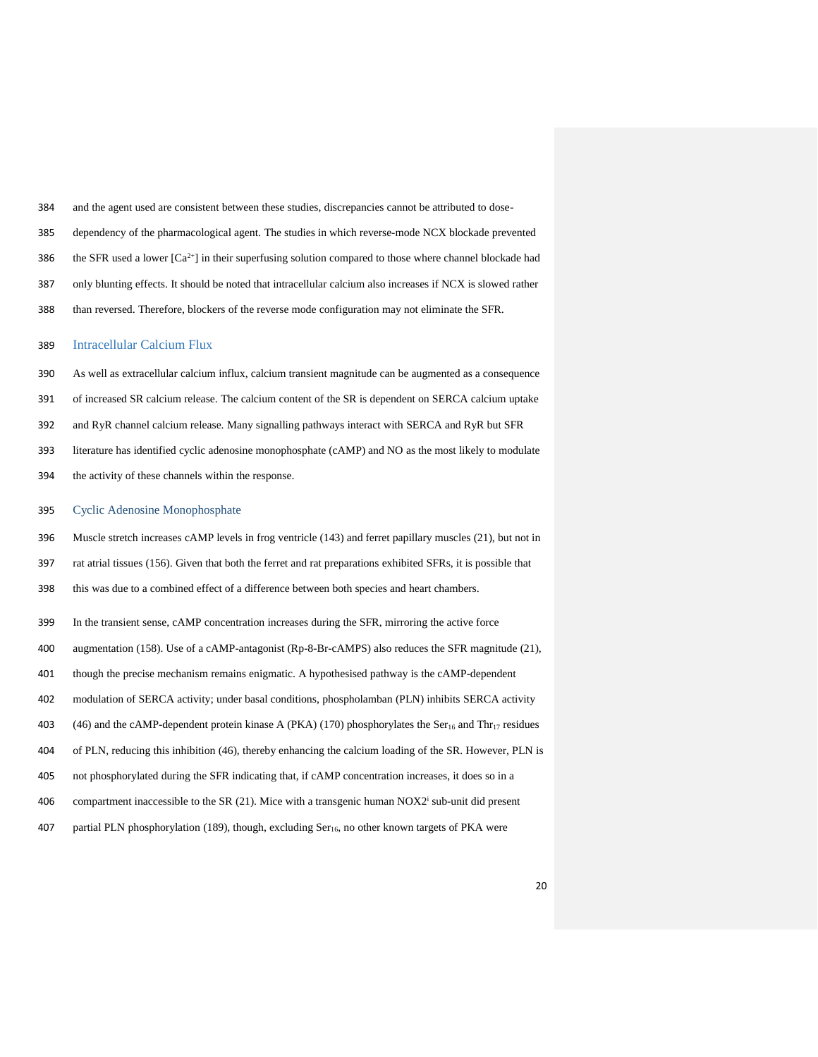- and the agent used are consistent between these studies, discrepancies cannot be attributed to dose-
- dependency of the pharmacological agent. The studies in which reverse-mode NCX blockade prevented
- 386 the SFR used a lower  $[Ca^{2+}]}$  in their superfusing solution compared to those where channel blockade had
- only blunting effects. It should be noted that intracellular calcium also increases if NCX is slowed rather
- than reversed. Therefore, blockers of the reverse mode configuration may not eliminate the SFR.

## Intracellular Calcium Flux

 As well as extracellular calcium influx, calcium transient magnitude can be augmented as a consequence of increased SR calcium release. The calcium content of the SR is dependent on SERCA calcium uptake and RyR channel calcium release. Many signalling pathways interact with SERCA and RyR but SFR literature has identified cyclic adenosine monophosphate (cAMP) and NO as the most likely to modulate the activity of these channels within the response.

#### Cyclic Adenosine Monophosphate

- Muscle stretch increases cAMP levels in frog ventricle (143) and ferret papillary muscles (21), but not in
- rat atrial tissues (156). Given that both the ferret and rat preparations exhibited SFRs, it is possible that
- this was due to a combined effect of a difference between both species and heart chambers.
- In the transient sense, cAMP concentration increases during the SFR, mirroring the active force
- augmentation (158). Use of a cAMP-antagonist (Rp-8-Br-cAMPS) also reduces the SFR magnitude (21),
- though the precise mechanism remains enigmatic. A hypothesised pathway is the cAMP-dependent
- modulation of SERCA activity; under basal conditions, phospholamban (PLN) inhibits SERCA activity
- 403 (46) and the cAMP-dependent protein kinase A (PKA) (170) phosphorylates the Ser<sub>16</sub> and Thr<sub>17</sub> residues
- of PLN, reducing this inhibition (46), thereby enhancing the calcium loading of the SR. However, PLN is
- not phosphorylated during the SFR indicating that, if cAMP concentration increases, it does so in a
- 406 compartment inaccessible to the SR  $(21)$ . Mice with a transgenic human NOX2<sup>i</sup> sub-unit did present
- 407 partial PLN phosphorylation (189), though, excluding Ser<sub>16</sub>, no other known targets of PKA were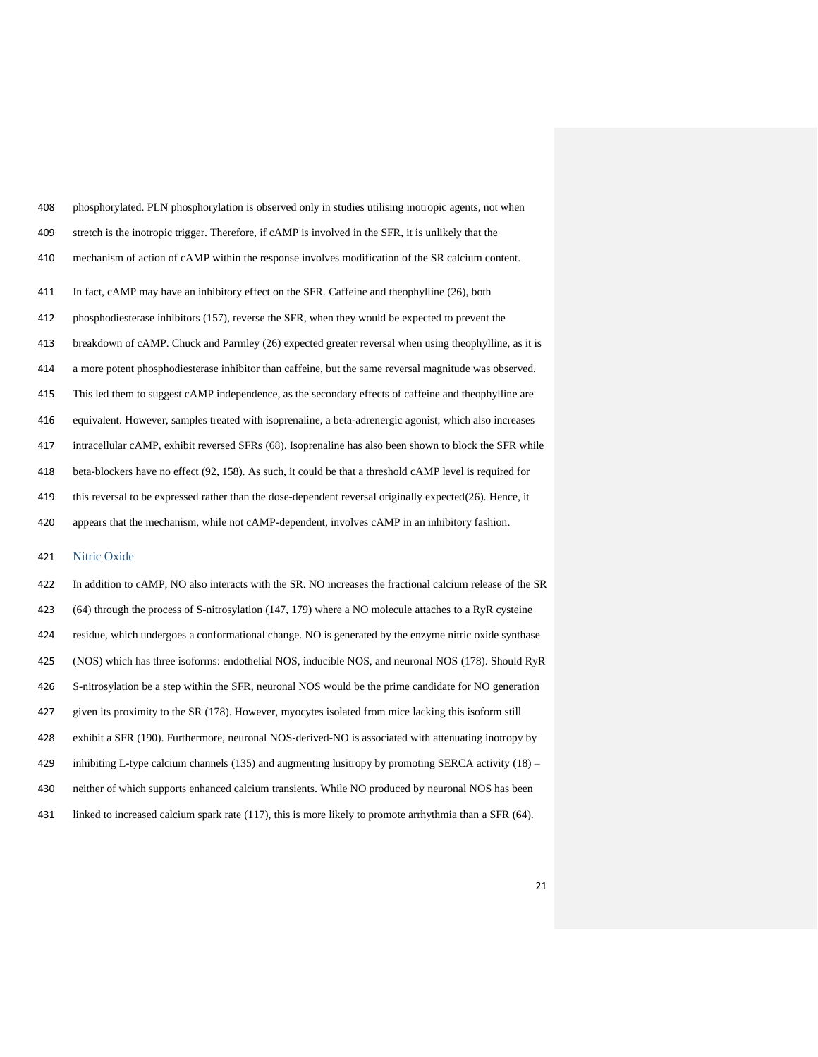| 408 | phosphorylated. PLN phosphorylation is observed only in studies utilising inotropic agents, not when         |
|-----|--------------------------------------------------------------------------------------------------------------|
| 409 | stretch is the inotropic trigger. Therefore, if cAMP is involved in the SFR, it is unlikely that the         |
| 410 | mechanism of action of cAMP within the response involves modification of the SR calcium content.             |
| 411 | In fact, cAMP may have an inhibitory effect on the SFR. Caffeine and theophylline (26), both                 |
| 412 | phosphodiesterase inhibitors (157), reverse the SFR, when they would be expected to prevent the              |
| 413 | breakdown of cAMP. Chuck and Parmley (26) expected greater reversal when using theophylline, as it is        |
| 414 | a more potent phosphodiesterase inhibitor than caffeine, but the same reversal magnitude was observed.       |
| 415 | This led them to suggest cAMP independence, as the secondary effects of caffeine and theophylline are        |
| 416 | equivalent. However, samples treated with isoprenaline, a beta-adrenergic agonist, which also increases      |
| 417 | intracellular cAMP, exhibit reversed SFRs (68). Isoprenaline has also been shown to block the SFR while      |
| 418 | beta-blockers have no effect (92, 158). As such, it could be that a threshold cAMP level is required for     |
| 419 | this reversal to be expressed rather than the dose-dependent reversal originally expected $(26)$ . Hence, it |
| 420 | appears that the mechanism, while not cAMP-dependent, involves cAMP in an inhibitory fashion.                |

# Nitric Oxide

| 422 | In addition to cAMP, NO also interacts with the SR. NO increases the fractional calcium release of the SR      |
|-----|----------------------------------------------------------------------------------------------------------------|
| 423 | $(64)$ through the process of S-nitrosylation (147, 179) where a NO molecule attaches to a RyR cysteine        |
| 424 | residue, which undergoes a conformational change. NO is generated by the enzyme nitric oxide synthase          |
| 425 | (NOS) which has three isoforms: endothelial NOS, inducible NOS, and neuronal NOS (178). Should RyR             |
| 426 | S-nitrosylation be a step within the SFR, neuronal NOS would be the prime candidate for NO generation          |
| 427 | given its proximity to the SR (178). However, myocytes isolated from mice lacking this isoform still           |
| 428 | exhibit a SFR (190). Furthermore, neuronal NOS-derived-NO is associated with attenuating inotropy by           |
| 429 | inhibiting L-type calcium channels (135) and augmenting lusitropy by promoting SERCA activity $(18)$ –         |
| 430 | neither of which supports enhanced calcium transients. While NO produced by neuronal NOS has been              |
| 431 | linked to increased calcium spark rate $(117)$ , this is more likely to promote arrhythmia than a SFR $(64)$ . |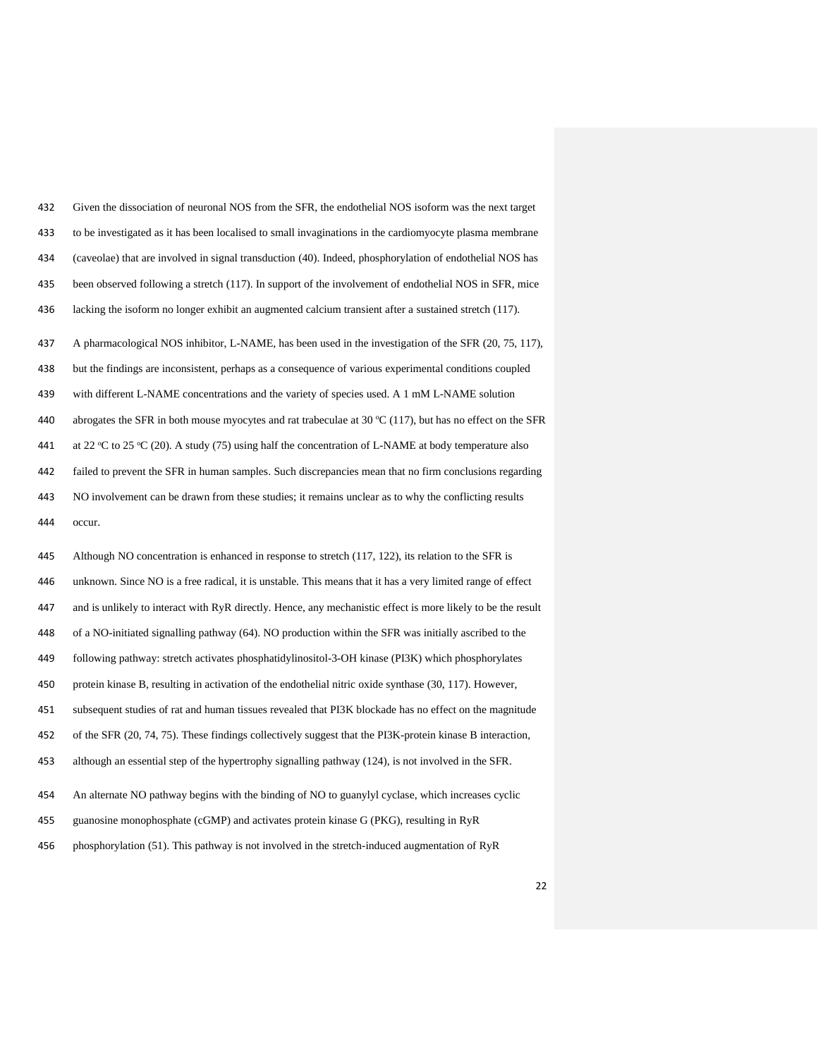| 432 | Given the dissociation of neuronal NOS from the SFR, the endothelial NOS isoform was the next target              |
|-----|-------------------------------------------------------------------------------------------------------------------|
| 433 | to be investigated as it has been localised to small invaginations in the cardiomyocyte plasma membrane           |
| 434 | (caveolae) that are involved in signal transduction (40). Indeed, phosphorylation of endothelial NOS has          |
| 435 | been observed following a stretch (117). In support of the involvement of endothelial NOS in SFR, mice            |
| 436 | lacking the isoform no longer exhibit an augmented calcium transient after a sustained stretch (117).             |
| 437 | A pharmacological NOS inhibitor, L-NAME, has been used in the investigation of the SFR (20, 75, 117),             |
| 438 | but the findings are inconsistent, perhaps as a consequence of various experimental conditions coupled            |
| 439 | with different L-NAME concentrations and the variety of species used. A 1 mM L-NAME solution                      |
| 440 | abrogates the SFR in both mouse myocytes and rat trabeculae at 30 $\degree$ C (117), but has no effect on the SFR |
| 441 | at 22 °C to 25 °C (20). A study (75) using half the concentration of L-NAME at body temperature also              |
| 442 | failed to prevent the SFR in human samples. Such discrepancies mean that no firm conclusions regarding            |
| 443 | NO involvement can be drawn from these studies; it remains unclear as to why the conflicting results              |
|     | occur.                                                                                                            |
| 444 |                                                                                                                   |
| 445 | Although NO concentration is enhanced in response to stretch (117, 122), its relation to the SFR is               |
| 446 | unknown. Since NO is a free radical, it is unstable. This means that it has a very limited range of effect        |
| 447 | and is unlikely to interact with RyR directly. Hence, any mechanistic effect is more likely to be the result      |
| 448 | of a NO-initiated signalling pathway (64). NO production within the SFR was initially ascribed to the             |
| 449 | following pathway: stretch activates phosphatidylinositol-3-OH kinase (PI3K) which phosphorylates                 |
| 450 | protein kinase B, resulting in activation of the endothelial nitric oxide synthase (30, 117). However,            |
| 451 | subsequent studies of rat and human tissues revealed that PI3K blockade has no effect on the magnitude            |
| 452 | of the SFR (20, 74, 75). These findings collectively suggest that the PI3K-protein kinase B interaction,          |
| 453 | although an essential step of the hypertrophy signalling pathway (124), is not involved in the SFR.               |
| 454 | An alternate NO pathway begins with the binding of NO to guanylyl cyclase, which increases cyclic                 |
| 455 | guanosine monophosphate (cGMP) and activates protein kinase G (PKG), resulting in RyR                             |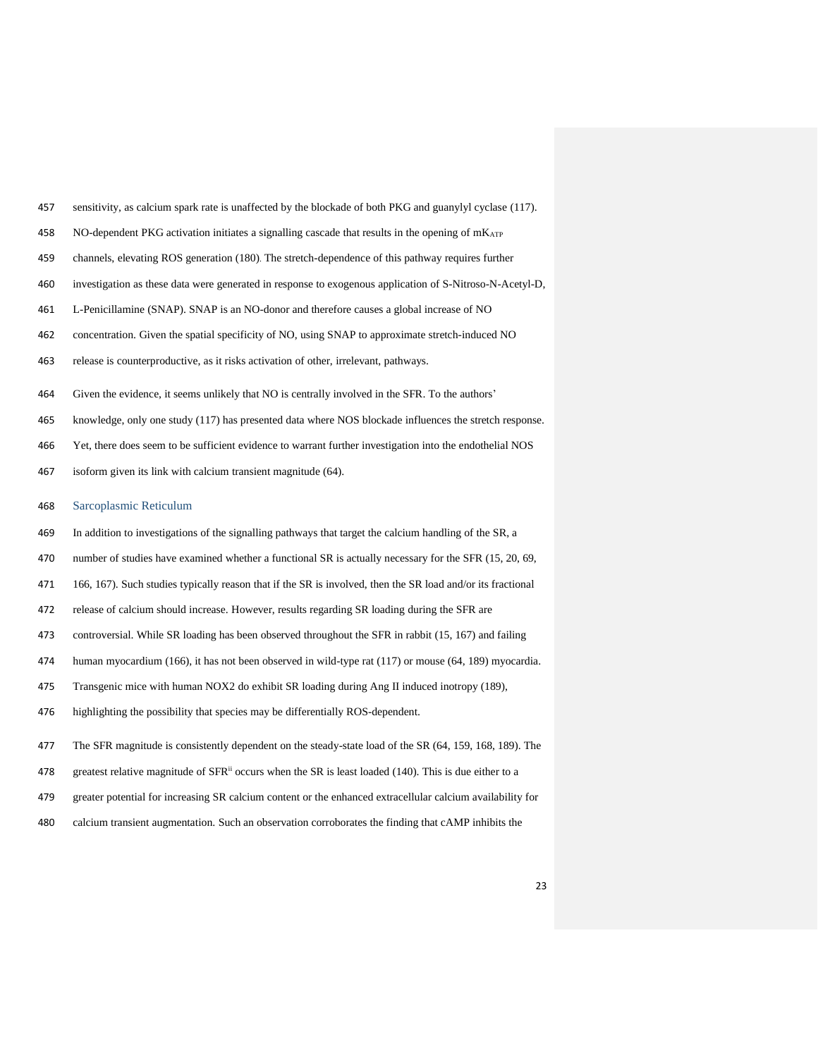- sensitivity, as calcium spark rate is unaffected by the blockade of both PKG and guanylyl cyclase (117).
- 458 NO-dependent PKG activation initiates a signalling cascade that results in the opening of  $m_{\text{ATP}}$
- channels, elevating ROS generation (180). The stretch-dependence of this pathway requires further
- investigation as these data were generated in response to exogenous application of S-Nitroso-N-Acetyl-D,
- L-Penicillamine (SNAP). SNAP is an NO-donor and therefore causes a global increase of NO
- concentration. Given the spatial specificity of NO, using SNAP to approximate stretch-induced NO
- release is counterproductive, as it risks activation of other, irrelevant, pathways.
- Given the evidence, it seems unlikely that NO is centrally involved in the SFR. To the authors'
- knowledge, only one study (117) has presented data where NOS blockade influences the stretch response.
- Yet, there does seem to be sufficient evidence to warrant further investigation into the endothelial NOS
- isoform given its link with calcium transient magnitude (64).
- Sarcoplasmic Reticulum
- In addition to investigations of the signalling pathways that target the calcium handling of the SR, a
- number of studies have examined whether a functional SR is actually necessary for the SFR (15, 20, 69,
- 166, 167). Such studies typically reason that if the SR is involved, then the SR load and/or its fractional
- release of calcium should increase. However, results regarding SR loading during the SFR are
- controversial. While SR loading has been observed throughout the SFR in rabbit (15, 167) and failing
- human myocardium (166), it has not been observed in wild-type rat (117) or mouse (64, 189) myocardia.
- Transgenic mice with human NOX2 do exhibit SR loading during Ang II induced inotropy (189),
- highlighting the possibility that species may be differentially ROS-dependent.
- The SFR magnitude is consistently dependent on the steady-state load of the SR (64, 159, 168, 189). The
- 478 greatest relative magnitude of  $SFR<sup>ii</sup>$  occurs when the SR is least loaded (140). This is due either to a
- greater potential for increasing SR calcium content or the enhanced extracellular calcium availability for
- calcium transient augmentation. Such an observation corroborates the finding that cAMP inhibits the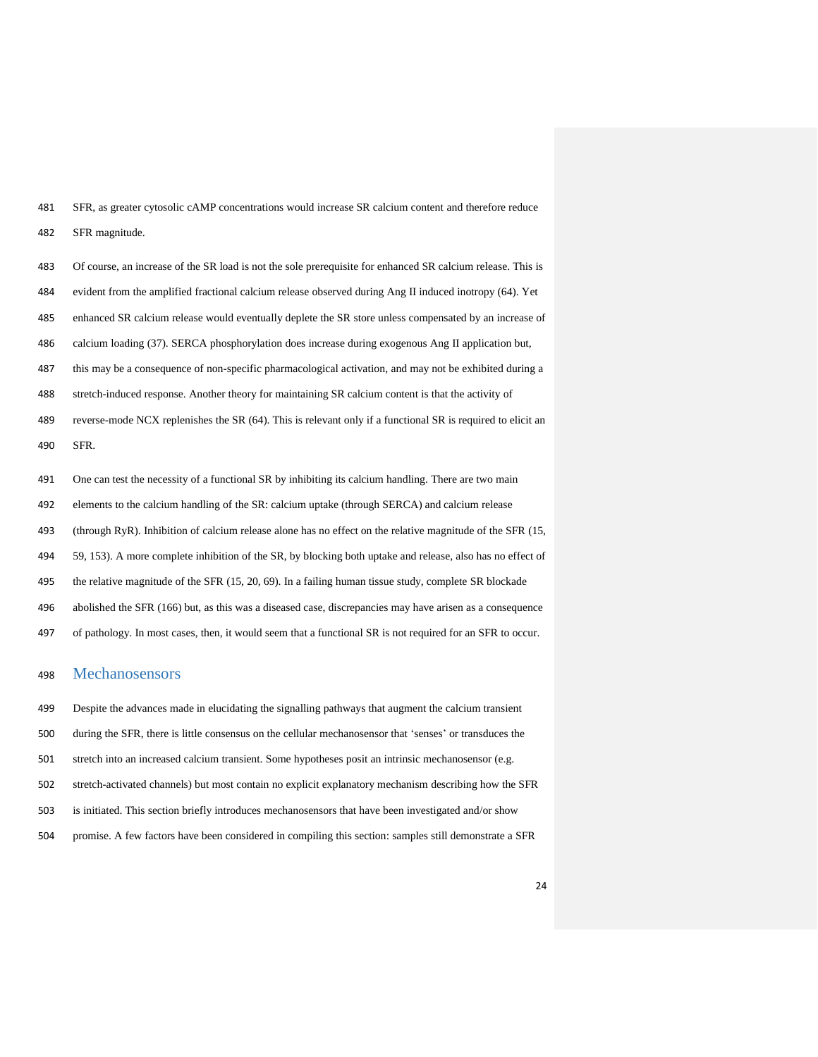SFR, as greater cytosolic cAMP concentrations would increase SR calcium content and therefore reduce SFR magnitude.

 Of course, an increase of the SR load is not the sole prerequisite for enhanced SR calcium release. This is evident from the amplified fractional calcium release observed during Ang II induced inotropy (64). Yet enhanced SR calcium release would eventually deplete the SR store unless compensated by an increase of calcium loading (37). SERCA phosphorylation does increase during exogenous Ang II application but, this may be a consequence of non-specific pharmacological activation, and may not be exhibited during a stretch-induced response. Another theory for maintaining SR calcium content is that the activity of 489 reverse-mode NCX replenishes the SR (64). This is relevant only if a functional SR is required to elicit an SFR. One can test the necessity of a functional SR by inhibiting its calcium handling. There are two main

elements to the calcium handling of the SR: calcium uptake (through SERCA) and calcium release

(through RyR). Inhibition of calcium release alone has no effect on the relative magnitude of the SFR (15,

59, 153). A more complete inhibition of the SR, by blocking both uptake and release, also has no effect of

the relative magnitude of the SFR (15, 20, 69). In a failing human tissue study, complete SR blockade

abolished the SFR (166) but, as this was a diseased case, discrepancies may have arisen as a consequence

of pathology. In most cases, then, it would seem that a functional SR is not required for an SFR to occur.

# Mechanosensors

 Despite the advances made in elucidating the signalling pathways that augment the calcium transient during the SFR, there is little consensus on the cellular mechanosensor that 'senses' or transduces the stretch into an increased calcium transient. Some hypotheses posit an intrinsic mechanosensor (e.g. stretch-activated channels) but most contain no explicit explanatory mechanism describing how the SFR is initiated. This section briefly introduces mechanosensors that have been investigated and/or show promise. A few factors have been considered in compiling this section: samples still demonstrate a SFR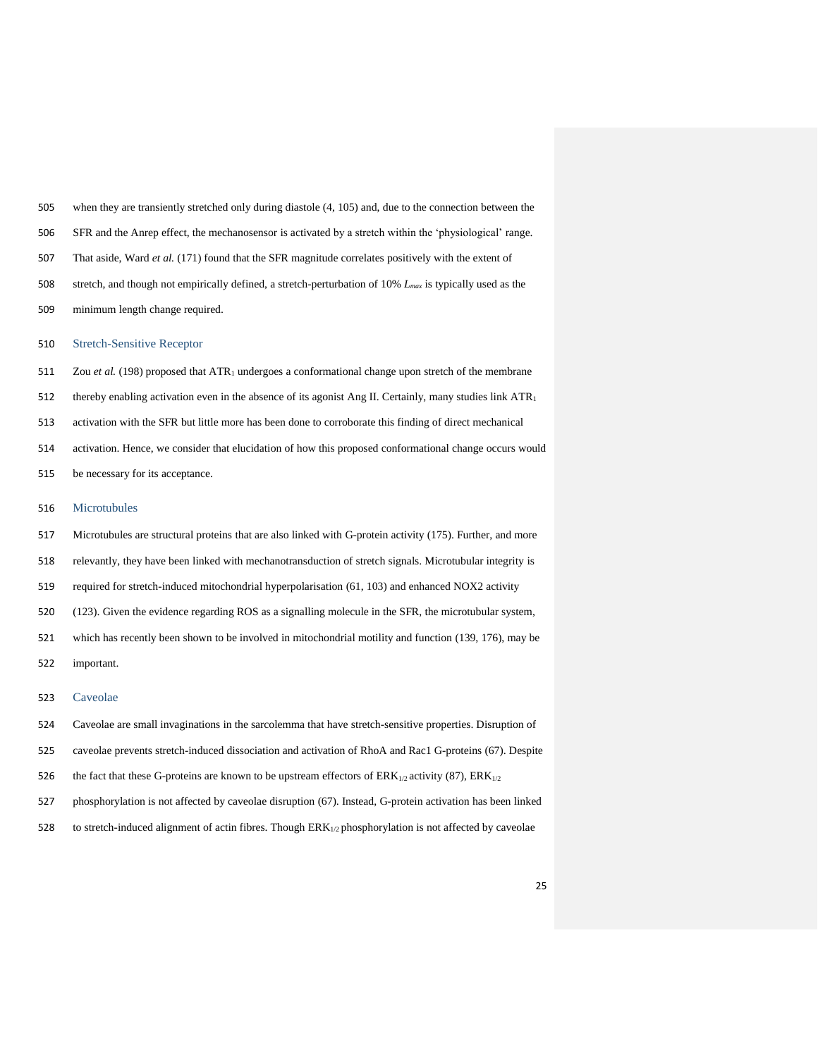when they are transiently stretched only during diastole (4, 105) and, due to the connection between the SFR and the Anrep effect, the mechanosensor is activated by a stretch within the 'physiological' range. That aside, Ward *et al.* (171) found that the SFR magnitude correlates positively with the extent of stretch, and though not empirically defined, a stretch-perturbation of 10% *Lmax* is typically used as the minimum length change required.

#### Stretch-Sensitive Receptor

511 Zou *et al.* (198) proposed that ATR<sub>1</sub> undergoes a conformational change upon stretch of the membrane 512 thereby enabling activation even in the absence of its agonist Ang II. Certainly, many studies link ATR<sub>1</sub> activation with the SFR but little more has been done to corroborate this finding of direct mechanical activation. Hence, we consider that elucidation of how this proposed conformational change occurs would be necessary for its acceptance.

# Microtubules

 Microtubules are structural proteins that are also linked with G-protein activity (175). Further, and more relevantly, they have been linked with mechanotransduction of stretch signals. Microtubular integrity is required for stretch-induced mitochondrial hyperpolarisation (61, 103) and enhanced NOX2 activity (123). Given the evidence regarding ROS as a signalling molecule in the SFR, the microtubular system, 521 which has recently been shown to be involved in mitochondrial motility and function (139, 176), may be

important.

# Caveolae

- Caveolae are small invaginations in the sarcolemma that have stretch-sensitive properties. Disruption of
- caveolae prevents stretch-induced dissociation and activation of RhoA and Rac1 G-proteins (67). Despite
- 526 the fact that these G-proteins are known to be upstream effectors of  $ERK_{1/2}$  activity (87),  $ERK_{1/2}$
- phosphorylation is not affected by caveolae disruption (67). Instead, G-protein activation has been linked
- 528 to stretch-induced alignment of actin fibres. Though ERK<sub>1/2</sub> phosphorylation is not affected by caveolae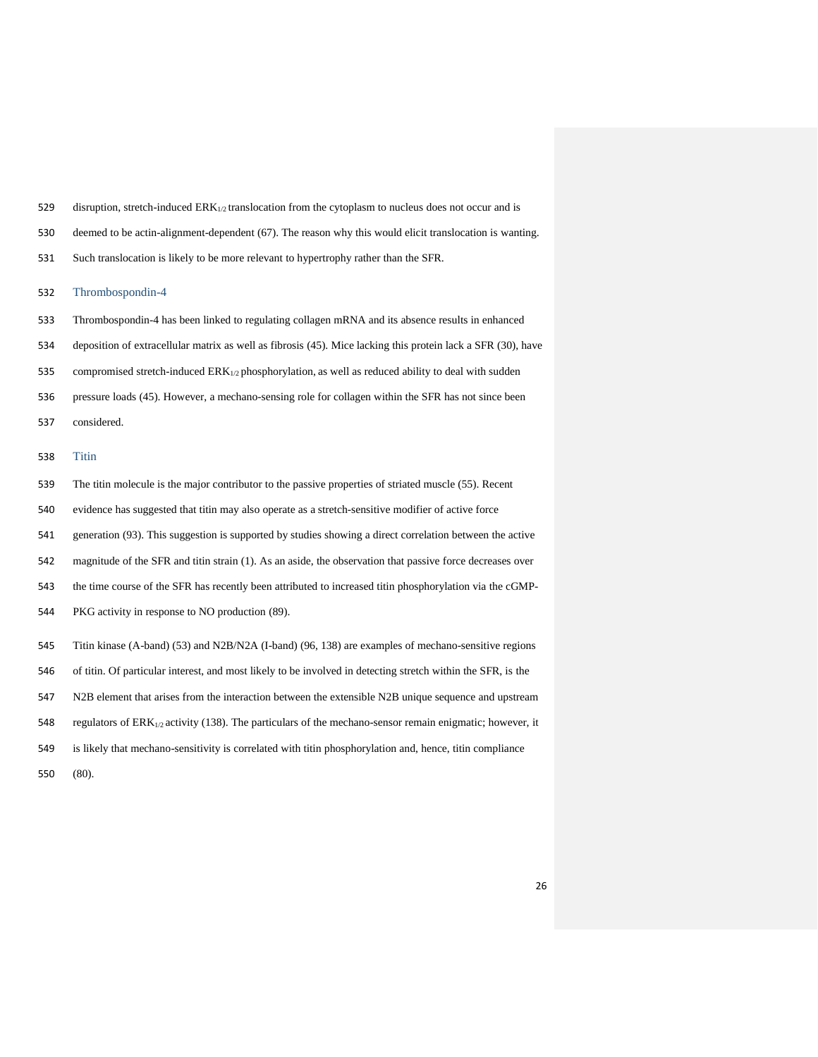|  |  | 529 disruption, stretch-induced $ERK_{1/2}$ translocation from the cytoplasm to nucleus does not occur and is |  |  |  |  |  |  |
|--|--|---------------------------------------------------------------------------------------------------------------|--|--|--|--|--|--|
|--|--|---------------------------------------------------------------------------------------------------------------|--|--|--|--|--|--|

- deemed to be actin-alignment-dependent (67). The reason why this would elicit translocation is wanting.
- Such translocation is likely to be more relevant to hypertrophy rather than the SFR.

## Thrombospondin-4

- Thrombospondin-4 has been linked to regulating collagen mRNA and its absence results in enhanced
- deposition of extracellular matrix as well as fibrosis (45). Mice lacking this protein lack a SFR (30), have
- 535 compromised stretch-induced  $\text{ERK}_{1/2}$  phosphorylation, as well as reduced ability to deal with sudden
- pressure loads (45). However, a mechano-sensing role for collagen within the SFR has not since been
- considered.

# Titin

 The titin molecule is the major contributor to the passive properties of striated muscle (55). Recent evidence has suggested that titin may also operate as a stretch-sensitive modifier of active force generation (93). This suggestion is supported by studies showing a direct correlation between the active magnitude of the SFR and titin strain (1). As an aside, the observation that passive force decreases over the time course of the SFR has recently been attributed to increased titin phosphorylation via the cGMP- PKG activity in response to NO production (89). Titin kinase (A-band) (53) and N2B/N2A (I-band) (96, 138) are examples of mechano-sensitive regions of titin. Of particular interest, and most likely to be involved in detecting stretch within the SFR, is the N2B element that arises from the interaction between the extensible N2B unique sequence and upstream

- 548 regulators of  $ERK_{1/2}$  activity (138). The particulars of the mechano-sensor remain enigmatic; however, it
- is likely that mechano-sensitivity is correlated with titin phosphorylation and, hence, titin compliance
- (80).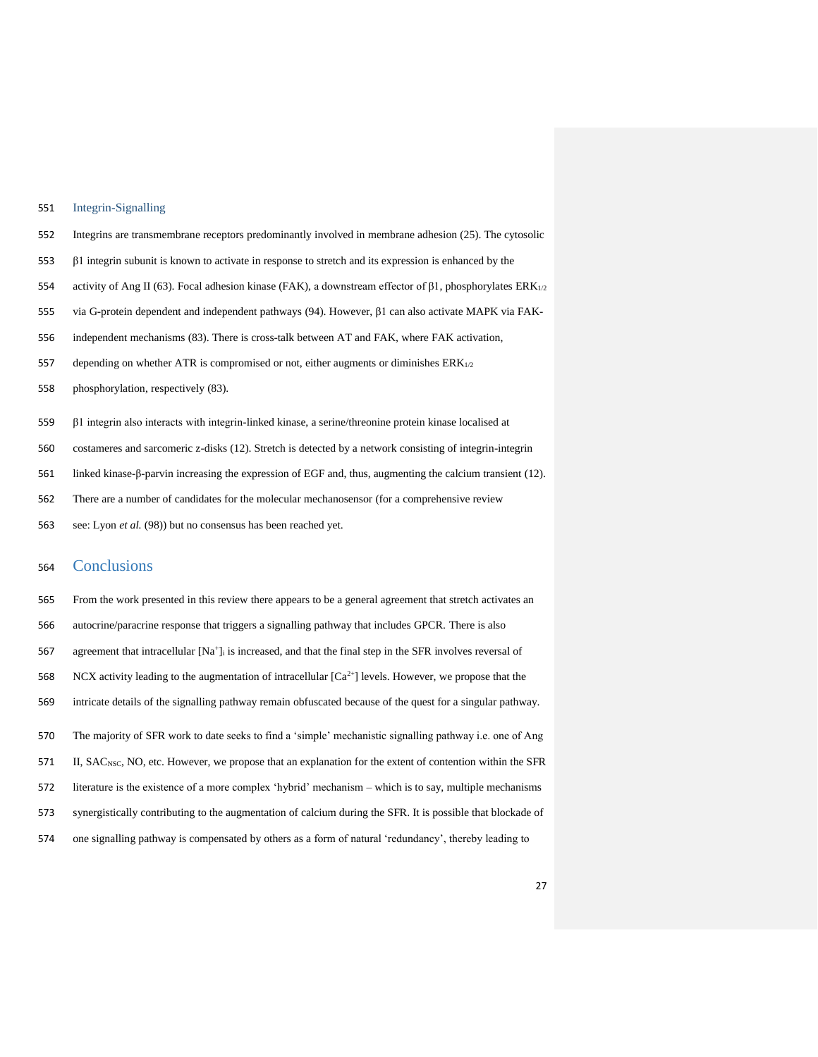## Integrin-Signalling

- Integrins are transmembrane receptors predominantly involved in membrane adhesion (25). The cytosolic
- β1 integrin subunit is known to activate in response to stretch and its expression is enhanced by the
- activity of Ang II (63). Focal adhesion kinase (FAK), a downstream effector of β1, phosphorylates ERK1/2
- via G-protein dependent and independent pathways (94). However, β1 can also activate MAPK via FAK-
- independent mechanisms (83). There is cross-talk between AT and FAK, where FAK activation,
- 557 depending on whether ATR is compromised or not, either augments or diminishes  $ERK_{1/2}$
- phosphorylation, respectively (83).
- β1 integrin also interacts with integrin-linked kinase, a serine/threonine protein kinase localised at
- costameres and sarcomeric z-disks (12). Stretch is detected by a network consisting of integrin-integrin
- linked kinase-β-parvin increasing the expression of EGF and, thus, augmenting the calcium transient (12).
- There are a number of candidates for the molecular mechanosensor (for a comprehensive review
- see: Lyon *et al.* (98)) but no consensus has been reached yet.

# Conclusions

 From the work presented in this review there appears to be a general agreement that stretch activates an autocrine/paracrine response that triggers a signalling pathway that includes GPCR. There is also 567 agreement that intracellular  $[Na^+]$  is increased, and that the final step in the SFR involves reversal of 568 NCX activity leading to the augmentation of intracellular  $[Ca^{2+}]$  levels. However, we propose that the intricate details of the signalling pathway remain obfuscated because of the quest for a singular pathway. The majority of SFR work to date seeks to find a 'simple' mechanistic signalling pathway i.e. one of Ang 571 II, SAC<sub>NSC</sub>, NO, etc. However, we propose that an explanation for the extent of contention within the SFR literature is the existence of a more complex 'hybrid' mechanism – which is to say, multiple mechanisms synergistically contributing to the augmentation of calcium during the SFR. It is possible that blockade of one signalling pathway is compensated by others as a form of natural 'redundancy', thereby leading to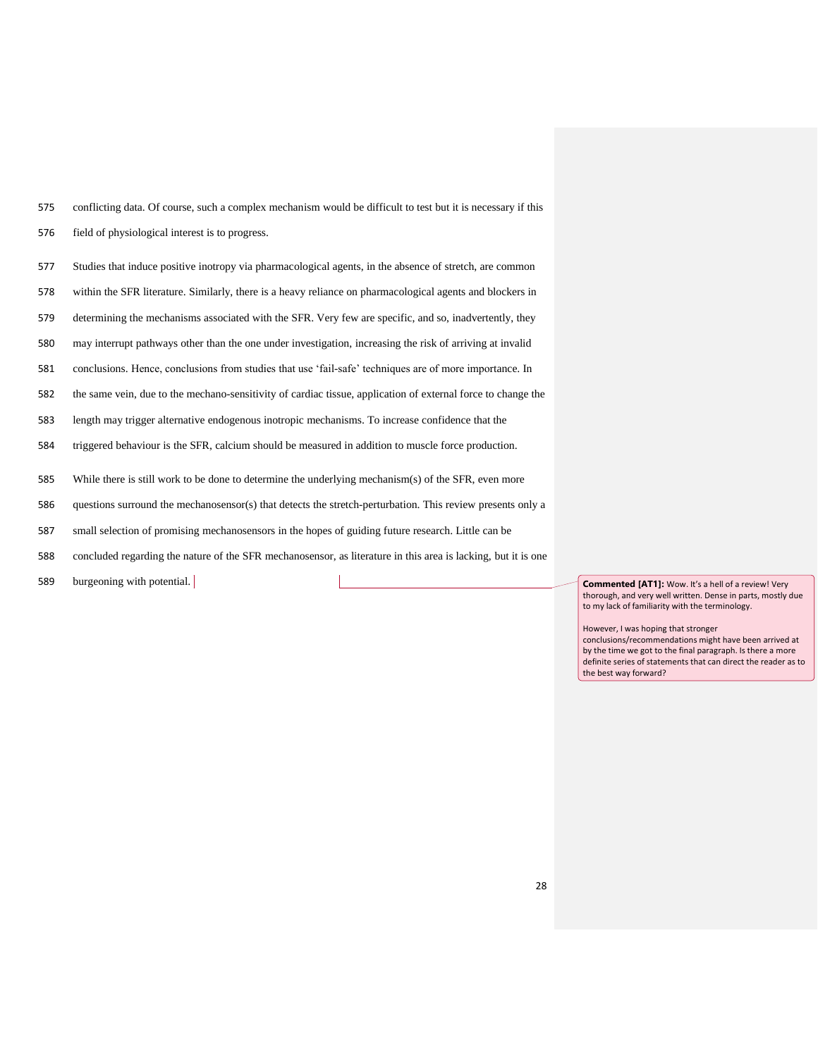conflicting data. Of course, such a complex mechanism would be difficult to test but it is necessary if this field of physiological interest is to progress.

Studies that induce positive inotropy via pharmacological agents, in the absence of stretch, are common

within the SFR literature. Similarly, there is a heavy reliance on pharmacological agents and blockers in

determining the mechanisms associated with the SFR. Very few are specific, and so, inadvertently, they

may interrupt pathways other than the one under investigation, increasing the risk of arriving at invalid

conclusions. Hence, conclusions from studies that use 'fail-safe' techniques are of more importance. In

the same vein, due to the mechano-sensitivity of cardiac tissue, application of external force to change the

length may trigger alternative endogenous inotropic mechanisms. To increase confidence that the

triggered behaviour is the SFR, calcium should be measured in addition to muscle force production.

While there is still work to be done to determine the underlying mechanism(s) of the SFR, even more

questions surround the mechanosensor(s) that detects the stretch-perturbation. This review presents only a

small selection of promising mechanosensors in the hopes of guiding future research. Little can be

concluded regarding the nature of the SFR mechanosensor, as literature in this area is lacking, but it is one

589 burgeoning with potential. **Commented [AT1]:** Wow. It's a hell of a review! Very

thorough, and very well written. Dense in parts, mostly due to my lack of familiarity with the terminology.

However, I was hoping that stronger conclusions/recommendations might have been arrived at by the time we got to the final paragraph. Is there a more definite series of statements that can direct the reader as to the best way forward?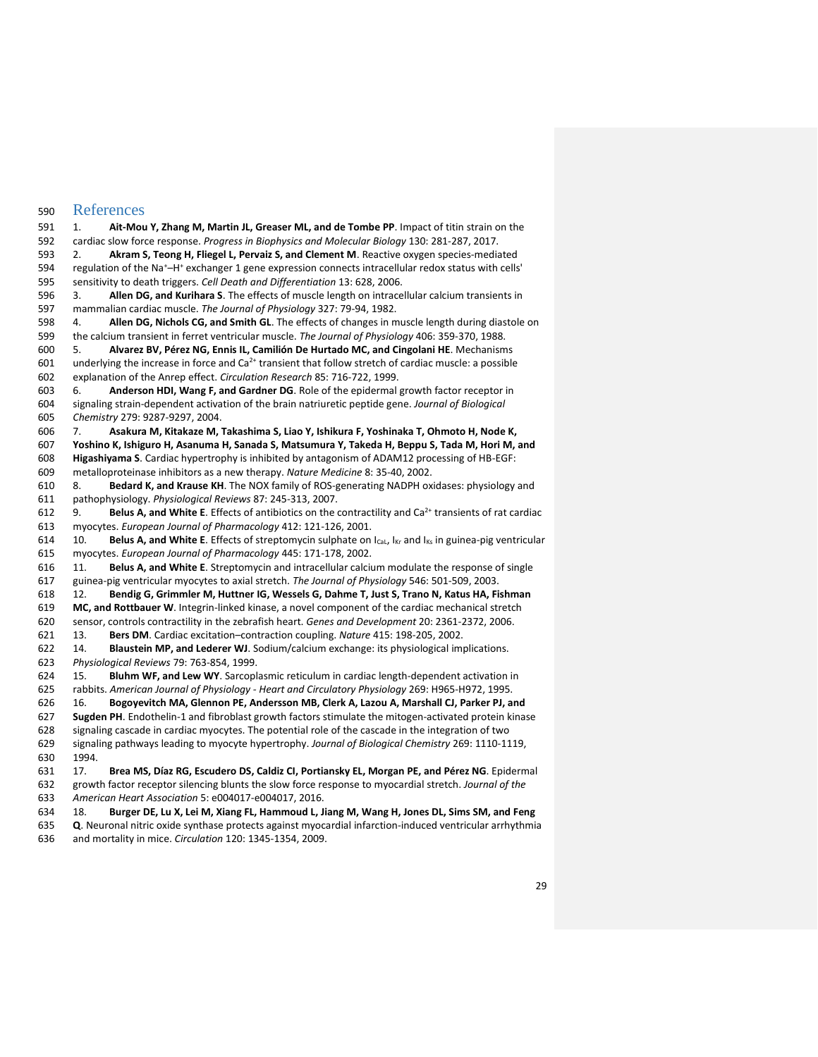# References

 1. **Ait-Mou Y, Zhang M, Martin JL, Greaser ML, and de Tombe PP**. Impact of titin strain on the cardiac slow force response. *Progress in Biophysics and Molecular Biology* 130: 281-287, 2017. 2. **Akram S, Teong H, Fliegel L, Pervaiz S, and Clement M**. Reactive oxygen species-mediated 594 regulation of the Na<sup>+</sup>-H<sup>+</sup> exchanger 1 gene expression connects intracellular redox status with cells' sensitivity to death triggers. *Cell Death and Differentiation* 13: 628, 2006. 3. **Allen DG, and Kurihara S**. The effects of muscle length on intracellular calcium transients in mammalian cardiac muscle. *The Journal of Physiology* 327: 79-94, 1982. 4. **Allen DG, Nichols CG, and Smith GL**. The effects of changes in muscle length during diastole on the calcium transient in ferret ventricular muscle. *The Journal of Physiology* 406: 359-370, 1988. 5. **Alvarez BV, Pérez NG, Ennis IL, Camilión De Hurtado MC, and Cingolani HE**. Mechanisms 601 underlying the increase in force and  $Ca<sup>2+</sup>$  transient that follow stretch of cardiac muscle: a possible explanation of the Anrep effect. *Circulation Research* 85: 716-722, 1999. 6. **Anderson HDI, Wang F, and Gardner DG**. Role of the epidermal growth factor receptor in signaling strain-dependent activation of the brain natriuretic peptide gene. *Journal of Biological Chemistry* 279: 9287-9297, 2004. 7. **Asakura M, Kitakaze M, Takashima S, Liao Y, Ishikura F, Yoshinaka T, Ohmoto H, Node K, Yoshino K, Ishiguro H, Asanuma H, Sanada S, Matsumura Y, Takeda H, Beppu S, Tada M, Hori M, and Higashiyama S**. Cardiac hypertrophy is inhibited by antagonism of ADAM12 processing of HB-EGF: metalloproteinase inhibitors as a new therapy. *Nature Medicine* 8: 35-40, 2002. 8. **Bedard K, and Krause KH**. The NOX family of ROS-generating NADPH oxidases: physiology and pathophysiology. *Physiological Reviews* 87: 245-313, 2007. 612 9. **Belus A, and White E**. Effects of antibiotics on the contractility and Ca<sup>2+</sup> transients of rat cardiac myocytes. *European Journal of Pharmacology* 412: 121-126, 2001. 10. **Belus A, and White E**. Effects of streptomycin sulphate on ICaL, IKr and IKs in guinea-pig ventricular myocytes. *European Journal of Pharmacology* 445: 171-178, 2002. 11. **Belus A, and White E**. Streptomycin and intracellular calcium modulate the response of single guinea-pig ventricular myocytes to axial stretch. *The Journal of Physiology* 546: 501-509, 2003. 12. **Bendig G, Grimmler M, Huttner IG, Wessels G, Dahme T, Just S, Trano N, Katus HA, Fishman MC, and Rottbauer W**. Integrin-linked kinase, a novel component of the cardiac mechanical stretch sensor, controls contractility in the zebrafish heart. *Genes and Development* 20: 2361-2372, 2006. 13. **Bers DM**. Cardiac excitation–contraction coupling. *Nature* 415: 198-205, 2002. 14. **Blaustein MP, and Lederer WJ**. Sodium/calcium exchange: its physiological implications. *Physiological Reviews* 79: 763-854, 1999. 15. **Bluhm WF, and Lew WY**. Sarcoplasmic reticulum in cardiac length-dependent activation in rabbits. *American Journal of Physiology - Heart and Circulatory Physiology* 269: H965-H972, 1995. 16. **Bogoyevitch MA, Glennon PE, Andersson MB, Clerk A, Lazou A, Marshall CJ, Parker PJ, and Sugden PH**. Endothelin-1 and fibroblast growth factors stimulate the mitogen-activated protein kinase signaling cascade in cardiac myocytes. The potential role of the cascade in the integration of two signaling pathways leading to myocyte hypertrophy. *Journal of Biological Chemistry* 269: 1110-1119, 1994. 17. **Brea MS, Díaz RG, Escudero DS, Caldiz CI, Portiansky EL, Morgan PE, and Pérez NG**. Epidermal growth factor receptor silencing blunts the slow force response to myocardial stretch. *Journal of the American Heart Association* 5: e004017-e004017, 2016. 18. **Burger DE, Lu X, Lei M, Xiang FL, Hammoud L, Jiang M, Wang H, Jones DL, Sims SM, and Feng Q**. Neuronal nitric oxide synthase protects against myocardial infarction-induced ventricular arrhythmia and mortality in mice. *Circulation* 120: 1345-1354, 2009.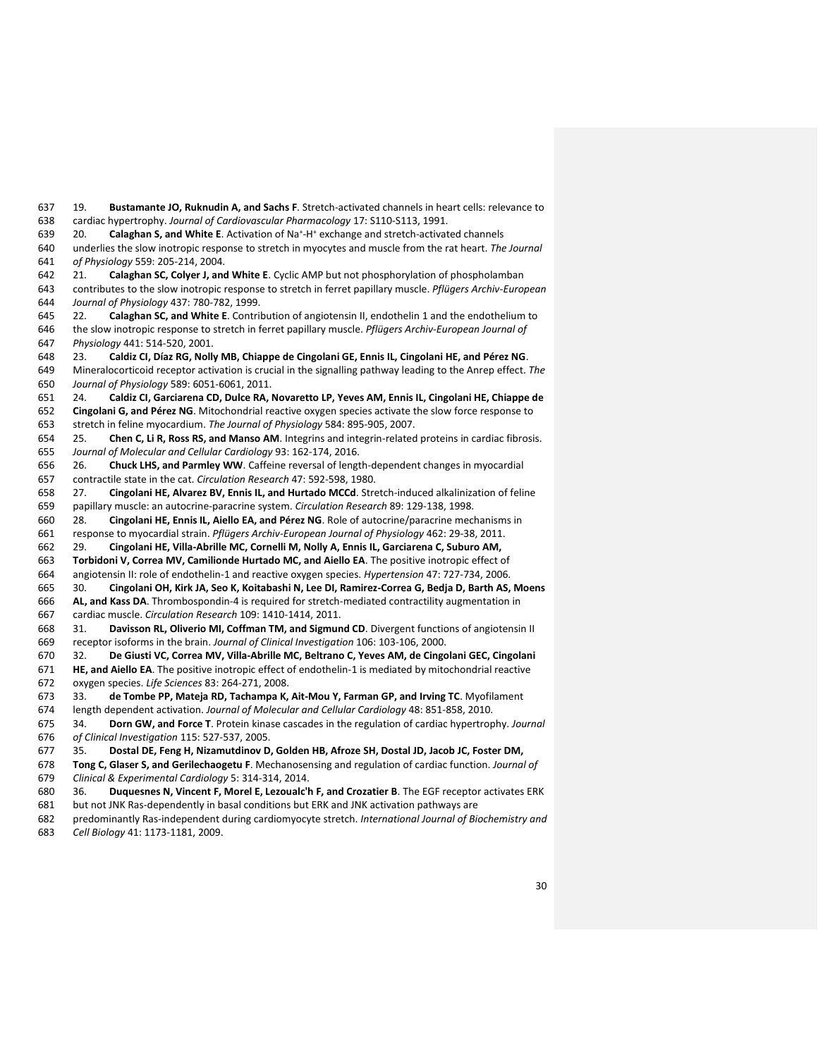19. **Bustamante JO, Ruknudin A, and Sachs F**. Stretch-activated channels in heart cells: relevance to cardiac hypertrophy. *Journal of Cardiovascular Pharmacology* 17: S110-S113, 1991.

639 20. **Calaghan S, and White E**. Activation of Na<sup>+</sup>-H<sup>+</sup> exchange and stretch-activated channels

 underlies the slow inotropic response to stretch in myocytes and muscle from the rat heart. *The Journal of Physiology* 559: 205-214, 2004.

 21. **Calaghan SC, Colyer J, and White E**. Cyclic AMP but not phosphorylation of phospholamban contributes to the slow inotropic response to stretch in ferret papillary muscle. *Pflügers Archiv-European Journal of Physiology* 437: 780-782, 1999.

 22. **Calaghan SC, and White E**. Contribution of angiotensin II, endothelin 1 and the endothelium to the slow inotropic response to stretch in ferret papillary muscle. *Pflügers Archiv-European Journal of Physiology* 441: 514-520, 2001.

23. **Caldiz CI, Díaz RG, Nolly MB, Chiappe de Cingolani GE, Ennis IL, Cingolani HE, and Pérez NG**.

 Mineralocorticoid receptor activation is crucial in the signalling pathway leading to the Anrep effect. *The Journal of Physiology* 589: 6051-6061, 2011.

 24. **Caldiz CI, Garciarena CD, Dulce RA, Novaretto LP, Yeves AM, Ennis IL, Cingolani HE, Chiappe de Cingolani G, and Pérez NG**. Mitochondrial reactive oxygen species activate the slow force response to

stretch in feline myocardium. *The Journal of Physiology* 584: 895-905, 2007.

 25. **Chen C, Li R, Ross RS, and Manso AM**. Integrins and integrin-related proteins in cardiac fibrosis. *Journal of Molecular and Cellular Cardiology* 93: 162-174, 2016.

 26. **Chuck LHS, and Parmley WW**. Caffeine reversal of length-dependent changes in myocardial contractile state in the cat. *Circulation Research* 47: 592-598, 1980.

 27. **Cingolani HE, Alvarez BV, Ennis IL, and Hurtado MCCd**. Stretch-induced alkalinization of feline papillary muscle: an autocrine-paracrine system. *Circulation Research* 89: 129-138, 1998.

28. **Cingolani HE, Ennis IL, Aiello EA, and Pérez NG**. Role of autocrine/paracrine mechanisms in

response to myocardial strain. *Pflügers Archiv-European Journal of Physiology* 462: 29-38, 2011.

29. **Cingolani HE, Villa-Abrille MC, Cornelli M, Nolly A, Ennis IL, Garciarena C, Suburo AM,** 

**Torbidoni V, Correa MV, Camilionde Hurtado MC, and Aiello EA**. The positive inotropic effect of

angiotensin II: role of endothelin-1 and reactive oxygen species. *Hypertension* 47: 727-734, 2006.

 30. **Cingolani OH, Kirk JA, Seo K, Koitabashi N, Lee DI, Ramirez-Correa G, Bedja D, Barth AS, Moens AL, and Kass DA**. Thrombospondin-4 is required for stretch-mediated contractility augmentation in cardiac muscle. *Circulation Research* 109: 1410-1414, 2011.

 31. **Davisson RL, Oliverio MI, Coffman TM, and Sigmund CD**. Divergent functions of angiotensin II receptor isoforms in the brain. *Journal of Clinical Investigation* 106: 103-106, 2000.

 32. **De Giusti VC, Correa MV, Villa-Abrille MC, Beltrano C, Yeves AM, de Cingolani GEC, Cingolani HE, and Aiello EA**. The positive inotropic effect of endothelin-1 is mediated by mitochondrial reactive

oxygen species. *Life Sciences* 83: 264-271, 2008.

33. **de Tombe PP, Mateja RD, Tachampa K, Ait-Mou Y, Farman GP, and Irving TC**. Myofilament

length dependent activation. *Journal of Molecular and Cellular Cardiology* 48: 851-858, 2010.

 34. **Dorn GW, and Force T**. Protein kinase cascades in the regulation of cardiac hypertrophy. *Journal of Clinical Investigation* 115: 527-537, 2005.

35. **Dostal DE, Feng H, Nizamutdinov D, Golden HB, Afroze SH, Dostal JD, Jacob JC, Foster DM,** 

 **Tong C, Glaser S, and Gerilechaogetu F**. Mechanosensing and regulation of cardiac function. *Journal of Clinical & Experimental Cardiology* 5: 314-314, 2014.

36. **Duquesnes N, Vincent F, Morel E, Lezoualc'h F, and Crozatier B**. The EGF receptor activates ERK

 but not JNK Ras-dependently in basal conditions but ERK and JNK activation pathways are predominantly Ras-independent during cardiomyocyte stretch. *International Journal of Biochemistry and* 

*Cell Biology* 41: 1173-1181, 2009.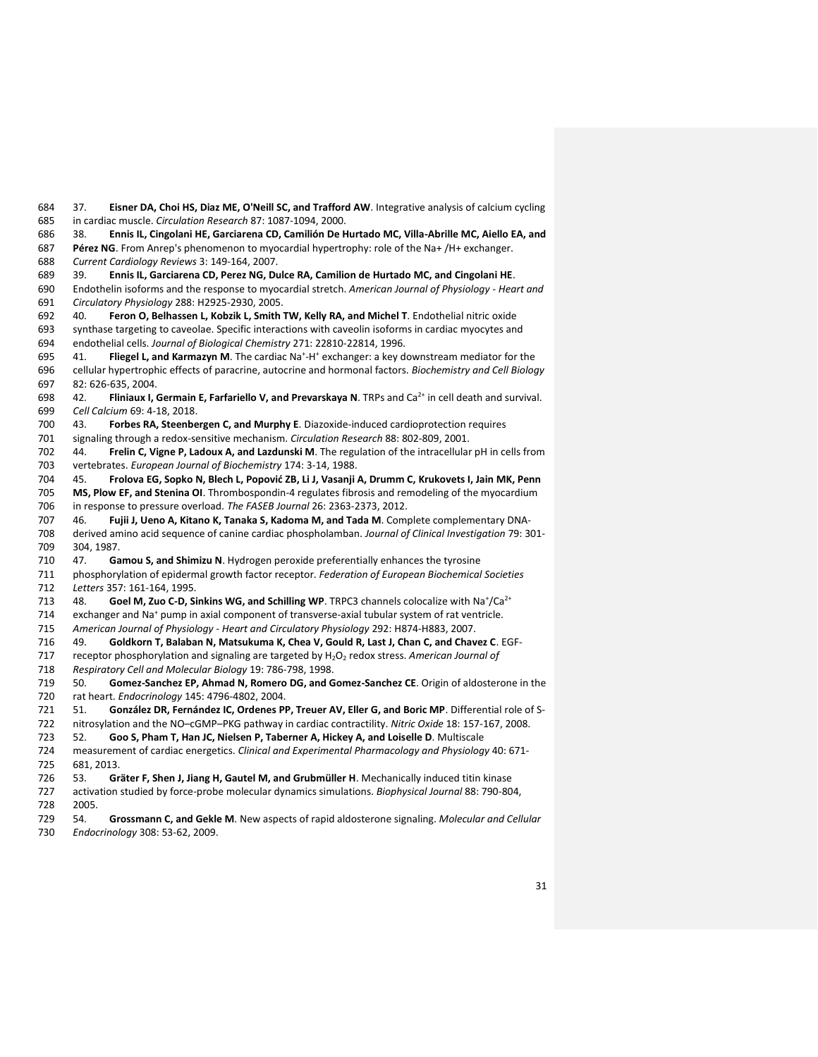in cardiac muscle. *Circulation Research* 87: 1087-1094, 2000. 38. **Ennis IL, Cingolani HE, Garciarena CD, Camilión De Hurtado MC, Villa-Abrille MC, Aiello EA, and Pérez NG**. From Anrep's phenomenon to myocardial hypertrophy: role of the Na+ /H+ exchanger. *Current Cardiology Reviews* 3: 149-164, 2007. 39. **Ennis IL, Garciarena CD, Perez NG, Dulce RA, Camilion de Hurtado MC, and Cingolani HE**. Endothelin isoforms and the response to myocardial stretch. *American Journal of Physiology - Heart and Circulatory Physiology* 288: H2925-2930, 2005. 40. **Feron O, Belhassen L, Kobzik L, Smith TW, Kelly RA, and Michel T**. Endothelial nitric oxide synthase targeting to caveolae. Specific interactions with caveolin isoforms in cardiac myocytes and endothelial cells. *Journal of Biological Chemistry* 271: 22810-22814, 1996. 695 41. **Fliegel L, and Karmazyn M**. The cardiac Na<sup>+</sup>-H<sup>+</sup> exchanger: a key downstream mediator for the cellular hypertrophic effects of paracrine, autocrine and hormonal factors. *Biochemistry and Cell Biology*  82: 626-635, 2004. 698 42. **Fliniaux I, Germain E, Farfariello V, and Prevarskaya N**. TRPs and Ca<sup>2+</sup> in cell death and survival. *Cell Calcium* 69: 4-18, 2018. 43. **Forbes RA, Steenbergen C, and Murphy E**. Diazoxide-induced cardioprotection requires signaling through a redox-sensitive mechanism. *Circulation Research* 88: 802-809, 2001. 44. **Frelin C, Vigne P, Ladoux A, and Lazdunski M**. The regulation of the intracellular pH in cells from vertebrates. *European Journal of Biochemistry* 174: 3-14, 1988. 45. **Frolova EG, Sopko N, Blech L, Popović ZB, Li J, Vasanji A, Drumm C, Krukovets I, Jain MK, Penn MS, Plow EF, and Stenina OI**. Thrombospondin-4 regulates fibrosis and remodeling of the myocardium in response to pressure overload. *The FASEB Journal* 26: 2363-2373, 2012. 46. **Fujii J, Ueno A, Kitano K, Tanaka S, Kadoma M, and Tada M**. Complete complementary DNA- derived amino acid sequence of canine cardiac phospholamban. *Journal of Clinical Investigation* 79: 301- 304, 1987. 47. **Gamou S, and Shimizu N**. Hydrogen peroxide preferentially enhances the tyrosine phosphorylation of epidermal growth factor receptor. *Federation of European Biochemical Societies Letters* 357: 161-164, 1995.  $48.$  Goel M, Zuo C-D, Sinkins WG, and Schilling WP. TRPC3 channels colocalize with Na<sup>+</sup>/Ca<sup>2+</sup> 714 exchanger and Na<sup>+</sup> pump in axial component of transverse-axial tubular system of rat ventricle. *American Journal of Physiology - Heart and Circulatory Physiology* 292: H874-H883, 2007. 49. **Goldkorn T, Balaban N, Matsukuma K, Chea V, Gould R, Last J, Chan C, and Chavez C**. EGF-717 receptor phosphorylation and signaling are targeted by H<sub>2</sub>O<sub>2</sub> redox stress. American Journal of *Respiratory Cell and Molecular Biology* 19: 786-798, 1998. 50. **Gomez-Sanchez EP, Ahmad N, Romero DG, and Gomez-Sanchez CE**. Origin of aldosterone in the rat heart. *Endocrinology* 145: 4796-4802, 2004. 51. **González DR, Fernández IC, Ordenes PP, Treuer AV, Eller G, and Boric MP**. Differential role of S- nitrosylation and the NO–cGMP–PKG pathway in cardiac contractility. *Nitric Oxide* 18: 157-167, 2008. 52. **Goo S, Pham T, Han JC, Nielsen P, Taberner A, Hickey A, and Loiselle D**. Multiscale measurement of cardiac energetics. *Clinical and Experimental Pharmacology and Physiology* 40: 671- 681, 2013. 53. **Gräter F, Shen J, Jiang H, Gautel M, and Grubmüller H**. Mechanically induced titin kinase activation studied by force-probe molecular dynamics simulations. *Biophysical Journal* 88: 790-804, 2005.

37. **Eisner DA, Choi HS, Diaz ME, O'Neill SC, and Trafford AW**. Integrative analysis of calcium cycling

 54. **Grossmann C, and Gekle M**. New aspects of rapid aldosterone signaling. *Molecular and Cellular Endocrinology* 308: 53-62, 2009.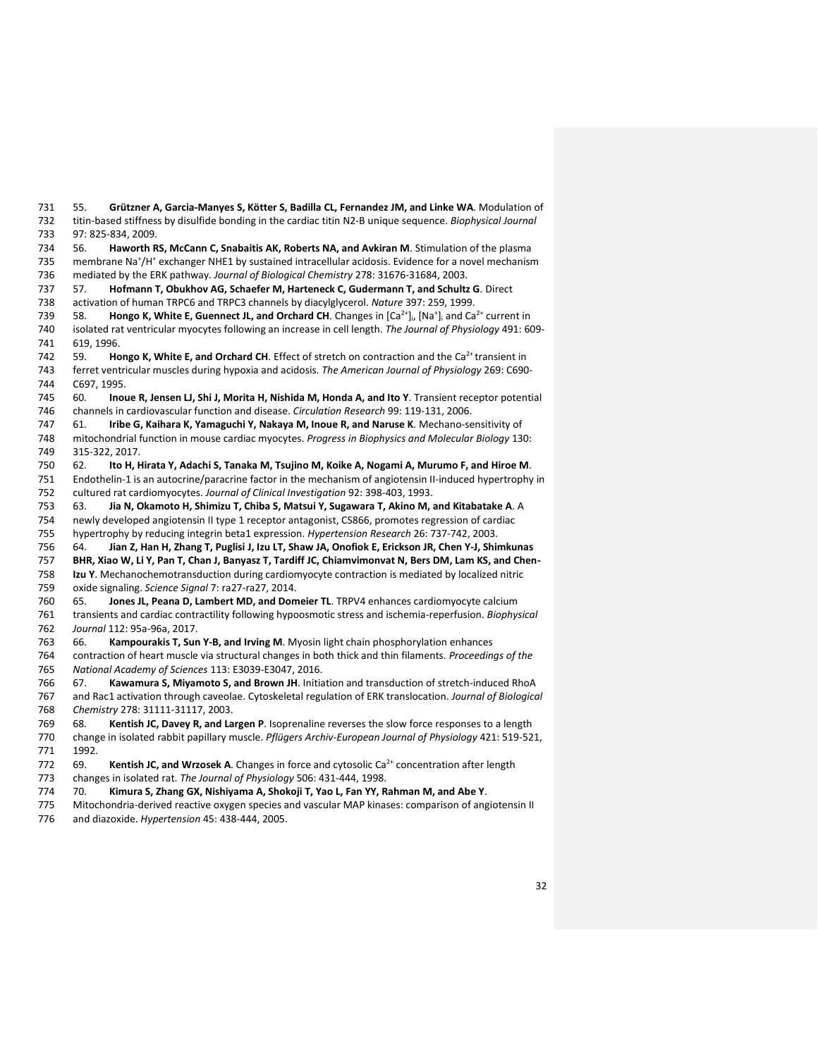55. **Grützner A, Garcia-Manyes S, Kötter S, Badilla CL, Fernandez JM, and Linke WA**. Modulation of titin-based stiffness by disulfide bonding in the cardiac titin N2-B unique sequence. *Biophysical Journal*  97: 825-834, 2009.

 56. **Haworth RS, McCann C, Snabaitis AK, Roberts NA, and Avkiran M**. Stimulation of the plasma 735 membrane Na<sup>+</sup>/H<sup>+</sup> exchanger NHE1 by sustained intracellular acidosis. Evidence for a novel mechanism

mediated by the ERK pathway. *Journal of Biological Chemistry* 278: 31676-31684, 2003.

 57. **Hofmann T, Obukhov AG, Schaefer M, Harteneck C, Gudermann T, and Schultz G**. Direct activation of human TRPC6 and TRPC3 channels by diacylglycerol. *Nature* 397: 259, 1999.

739 58. **Hongo K, White E, Guennect JL, and Orchard CH**. Changes in [Ca<sup>2+</sup>]<sub>i</sub>, [Na<sup>+</sup>]<sub>i</sub> and Ca<sup>2+</sup> current in isolated rat ventricular myocytes following an increase in cell length. *The Journal of Physiology* 491: 609- 619, 1996.

59. **Hongo K, White E, and Orchard CH**. Effect of stretch on contraction and the Ca<sup>2+</sup> transient in ferret ventricular muscles during hypoxia and acidosis. *The American Journal of Physiology* 269: C690- C697, 1995.

 60. **Inoue R, Jensen LJ, Shi J, Morita H, Nishida M, Honda A, and Ito Y**. Transient receptor potential channels in cardiovascular function and disease. *Circulation Research* 99: 119-131, 2006.

 61. **Iribe G, Kaihara K, Yamaguchi Y, Nakaya M, Inoue R, and Naruse K**. Mechano-sensitivity of mitochondrial function in mouse cardiac myocytes. *Progress in Biophysics and Molecular Biology* 130: 315-322, 2017.

 62. **Ito H, Hirata Y, Adachi S, Tanaka M, Tsujino M, Koike A, Nogami A, Murumo F, and Hiroe M**. Endothelin-1 is an autocrine/paracrine factor in the mechanism of angiotensin II-induced hypertrophy in cultured rat cardiomyocytes. *Journal of Clinical Investigation* 92: 398-403, 1993.

 63. **Jia N, Okamoto H, Shimizu T, Chiba S, Matsui Y, Sugawara T, Akino M, and Kitabatake A**. A newly developed angiotensin II type 1 receptor antagonist, CS866, promotes regression of cardiac

hypertrophy by reducing integrin beta1 expression. *Hypertension Research* 26: 737-742, 2003.

64. **Jian Z, Han H, Zhang T, Puglisi J, Izu LT, Shaw JA, Onofiok E, Erickson JR, Chen Y-J, Shimkunas** 

**BHR, Xiao W, Li Y, Pan T, Chan J, Banyasz T, Tardiff JC, Chiamvimonvat N, Bers DM, Lam KS, and Chen-**

 **Izu Y**. Mechanochemotransduction during cardiomyocyte contraction is mediated by localized nitric oxide signaling. *Science Signal* 7: ra27-ra27, 2014.

 65. **Jones JL, Peana D, Lambert MD, and Domeier TL**. TRPV4 enhances cardiomyocyte calcium transients and cardiac contractility following hypoosmotic stress and ischemia-reperfusion. *Biophysical Journal* 112: 95a-96a, 2017.

66. **Kampourakis T, Sun Y-B, and Irving M**. Myosin light chain phosphorylation enhances

 contraction of heart muscle via structural changes in both thick and thin filaments. *Proceedings of the National Academy of Sciences* 113: E3039-E3047, 2016.

 67. **Kawamura S, Miyamoto S, and Brown JH**. Initiation and transduction of stretch-induced RhoA and Rac1 activation through caveolae. Cytoskeletal regulation of ERK translocation. *Journal of Biological Chemistry* 278: 31111-31117, 2003.

68. **Kentish JC, Davey R, and Largen P**. Isoprenaline reverses the slow force responses to a length

 change in isolated rabbit papillary muscle. *Pflügers Archiv-European Journal of Physiology* 421: 519-521, 1992.

772 69. **Kentish JC, and Wrzosek A**. Changes in force and cytosolic Ca<sup>2+</sup> concentration after length

- changes in isolated rat. *The Journal of Physiology* 506: 431-444, 1998.
- 70. **Kimura S, Zhang GX, Nishiyama A, Shokoji T, Yao L, Fan YY, Rahman M, and Abe Y**.

 Mitochondria-derived reactive oxygen species and vascular MAP kinases: comparison of angiotensin II and diazoxide. *Hypertension* 45: 438-444, 2005.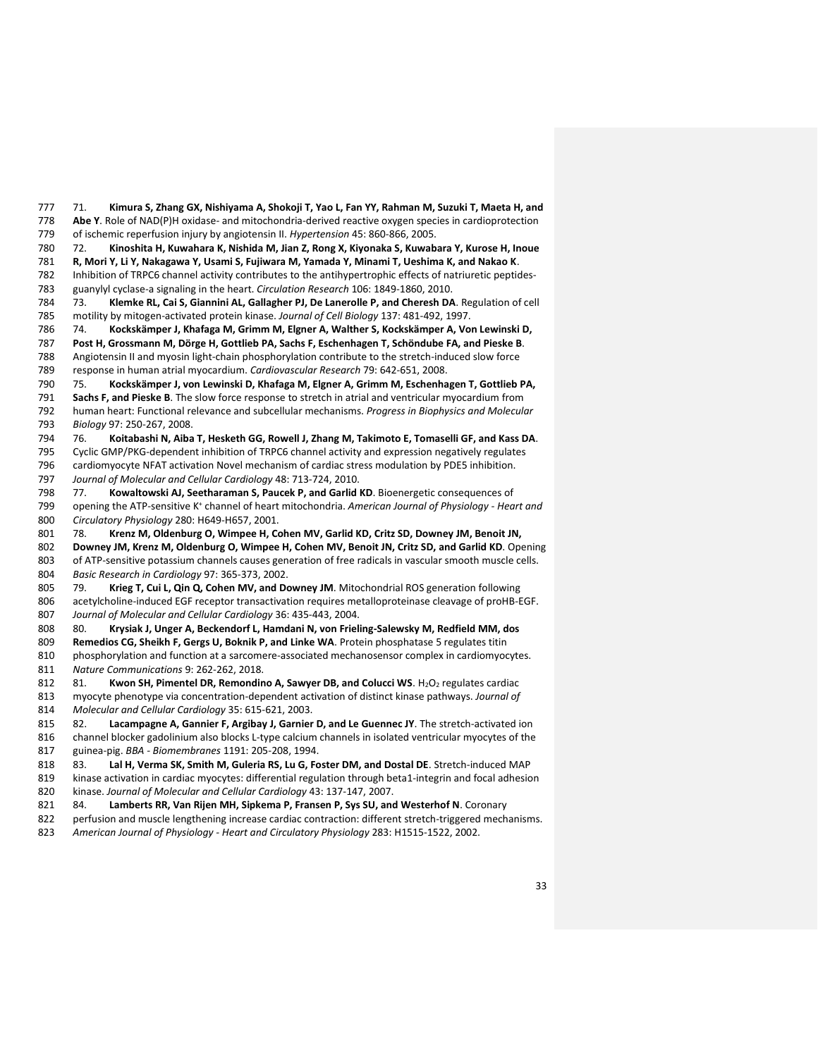71. **Kimura S, Zhang GX, Nishiyama A, Shokoji T, Yao L, Fan YY, Rahman M, Suzuki T, Maeta H, and Abe Y**. Role of NAD(P)H oxidase- and mitochondria-derived reactive oxygen species in cardioprotection of ischemic reperfusion injury by angiotensin II. *Hypertension* 45: 860-866, 2005.

72. **Kinoshita H, Kuwahara K, Nishida M, Jian Z, Rong X, Kiyonaka S, Kuwabara Y, Kurose H, Inoue** 

**R, Mori Y, Li Y, Nakagawa Y, Usami S, Fujiwara M, Yamada Y, Minami T, Ueshima K, and Nakao K**.

 Inhibition of TRPC6 channel activity contributes to the antihypertrophic effects of natriuretic peptides-guanylyl cyclase-a signaling in the heart. *Circulation Research* 106: 1849-1860, 2010.

 73. **Klemke RL, Cai S, Giannini AL, Gallagher PJ, De Lanerolle P, and Cheresh DA**. Regulation of cell motility by mitogen-activated protein kinase. *Journal of Cell Biology* 137: 481-492, 1997.

74. **Kockskämper J, Khafaga M, Grimm M, Elgner A, Walther S, Kockskämper A, Von Lewinski D,** 

 **Post H, Grossmann M, Dörge H, Gottlieb PA, Sachs F, Eschenhagen T, Schöndube FA, and Pieske B**. Angiotensin II and myosin light-chain phosphorylation contribute to the stretch-induced slow force

response in human atrial myocardium. *Cardiovascular Research* 79: 642-651, 2008.

75. **Kockskämper J, von Lewinski D, Khafaga M, Elgner A, Grimm M, Eschenhagen T, Gottlieb PA,** 

**Sachs F, and Pieske B**. The slow force response to stretch in atrial and ventricular myocardium from

 human heart: Functional relevance and subcellular mechanisms. *Progress in Biophysics and Molecular Biology* 97: 250-267, 2008.

76. **Koitabashi N, Aiba T, Hesketh GG, Rowell J, Zhang M, Takimoto E, Tomaselli GF, and Kass DA**.

 Cyclic GMP/PKG-dependent inhibition of TRPC6 channel activity and expression negatively regulates cardiomyocyte NFAT activation Novel mechanism of cardiac stress modulation by PDE5 inhibition. *Journal of Molecular and Cellular Cardiology* 48: 713-724, 2010.

 77. **Kowaltowski AJ, Seetharaman S, Paucek P, and Garlid KD**. Bioenergetic consequences of 799 opening the ATP-sensitive K<sup>+</sup> channel of heart mitochondria. American Journal of Physiology - Heart and *Circulatory Physiology* 280: H649-H657, 2001.

 78. **Krenz M, Oldenburg O, Wimpee H, Cohen MV, Garlid KD, Critz SD, Downey JM, Benoit JN, Downey JM, Krenz M, Oldenburg O, Wimpee H, Cohen MV, Benoit JN, Critz SD, and Garlid KD**. Opening of ATP-sensitive potassium channels causes generation of free radicals in vascular smooth muscle cells. *Basic Research in Cardiology* 97: 365-373, 2002.

 79. **Krieg T, Cui L, Qin Q, Cohen MV, and Downey JM**. Mitochondrial ROS generation following acetylcholine-induced EGF receptor transactivation requires metalloproteinase cleavage of proHB-EGF. *Journal of Molecular and Cellular Cardiology* 36: 435-443, 2004.

80. **Krysiak J, Unger A, Beckendorf L, Hamdani N, von Frieling-Salewsky M, Redfield MM, dos** 

 **Remedios CG, Sheikh F, Gergs U, Boknik P, and Linke WA**. Protein phosphatase 5 regulates titin phosphorylation and function at a sarcomere-associated mechanosensor complex in cardiomyocytes. *Nature Communications* 9: 262-262, 2018.

812 81. **Kwon SH, Pimentel DR, Remondino A, Sawyer DB, and Colucci WS**. H<sub>2</sub>O<sub>2</sub> regulates cardiac

 myocyte phenotype via concentration-dependent activation of distinct kinase pathways. *Journal of Molecular and Cellular Cardiology* 35: 615-621, 2003.

 82. **Lacampagne A, Gannier F, Argibay J, Garnier D, and Le Guennec JY**. The stretch-activated ion channel blocker gadolinium also blocks L-type calcium channels in isolated ventricular myocytes of the

guinea-pig. *BBA - Biomembranes* 1191: 205-208, 1994.

83. **Lal H, Verma SK, Smith M, Guleria RS, Lu G, Foster DM, and Dostal DE**. Stretch-induced MAP

 kinase activation in cardiac myocytes: differential regulation through beta1-integrin and focal adhesion kinase. *Journal of Molecular and Cellular Cardiology* 43: 137-147, 2007.

84. **Lamberts RR, Van Rijen MH, Sipkema P, Fransen P, Sys SU, and Westerhof N**. Coronary

perfusion and muscle lengthening increase cardiac contraction: different stretch-triggered mechanisms.

*American Journal of Physiology - Heart and Circulatory Physiology* 283: H1515-1522, 2002.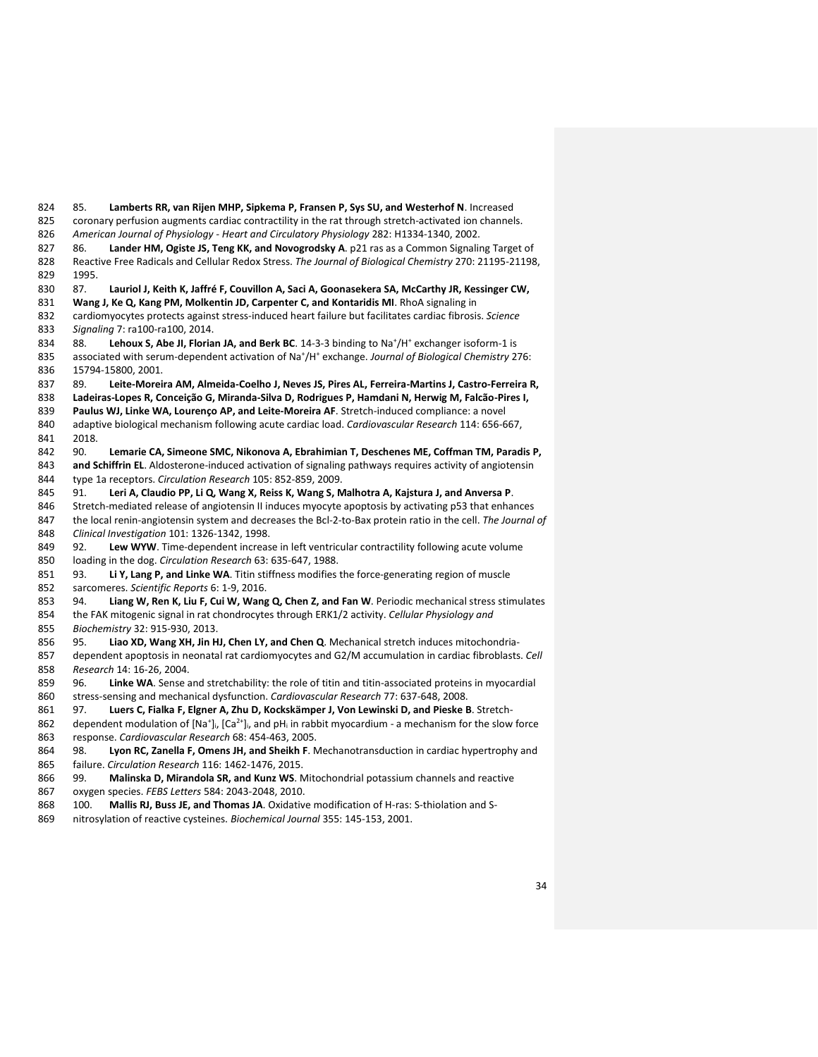85. **Lamberts RR, van Rijen MHP, Sipkema P, Fransen P, Sys SU, and Westerhof N**. Increased 825 coronary perfusion augments cardiac contractility in the rat through stretch-activated ion channels. *American Journal of Physiology - Heart and Circulatory Physiology* 282: H1334-1340, 2002. 86. **Lander HM, Ogiste JS, Teng KK, and Novogrodsky A**. p21 ras as a Common Signaling Target of Reactive Free Radicals and Cellular Redox Stress. *The Journal of Biological Chemistry* 270: 21195-21198, 1995. 87. **Lauriol J, Keith K, Jaffré F, Couvillon A, Saci A, Goonasekera SA, McCarthy JR, Kessinger CW, Wang J, Ke Q, Kang PM, Molkentin JD, Carpenter C, and Kontaridis MI**. RhoA signaling in cardiomyocytes protects against stress-induced heart failure but facilitates cardiac fibrosis. *Science Signaling* 7: ra100-ra100, 2014. 834 88. Lehoux S, Abe JI, Florian JA, and Berk BC. 14-3-3 binding to Na<sup>+</sup>/H<sup>+</sup> exchanger isoform-1 is 835 associated with serum-dependent activation of Na<sup>+</sup>/H<sup>+</sup> exchange. *Journal of Biological Chemistry* 276: 15794-15800, 2001. 89. **Leite-Moreira AM, Almeida-Coelho J, Neves JS, Pires AL, Ferreira-Martins J, Castro-Ferreira R, Ladeiras-Lopes R, Conceição G, Miranda-Silva D, Rodrigues P, Hamdani N, Herwig M, Falcão-Pires I, Paulus WJ, Linke WA, Lourenço AP, and Leite-Moreira AF**. Stretch-induced compliance: a novel adaptive biological mechanism following acute cardiac load. *Cardiovascular Research* 114: 656-667, 2018. 90. **Lemarie CA, Simeone SMC, Nikonova A, Ebrahimian T, Deschenes ME, Coffman TM, Paradis P, and Schiffrin EL**. Aldosterone-induced activation of signaling pathways requires activity of angiotensin type 1a receptors. *Circulation Research* 105: 852-859, 2009. 91. **Leri A, Claudio PP, Li Q, Wang X, Reiss K, Wang S, Malhotra A, Kajstura J, and Anversa P**. Stretch-mediated release of angiotensin II induces myocyte apoptosis by activating p53 that enhances the local renin-angiotensin system and decreases the Bcl-2-to-Bax protein ratio in the cell. *The Journal of Clinical Investigation* 101: 1326-1342, 1998. 849 92. Lew WYW. Time-dependent increase in left ventricular contractility following acute volume loading in the dog. *Circulation Research* 63: 635-647, 1988. 93. **Li Y, Lang P, and Linke WA**. Titin stiffness modifies the force-generating region of muscle sarcomeres. *Scientific Reports* 6: 1-9, 2016. 94. **Liang W, Ren K, Liu F, Cui W, Wang Q, Chen Z, and Fan W**. Periodic mechanical stress stimulates the FAK mitogenic signal in rat chondrocytes through ERK1/2 activity. *Cellular Physiology and Biochemistry* 32: 915-930, 2013. 95. **Liao XD, Wang XH, Jin HJ, Chen LY, and Chen Q**. Mechanical stretch induces mitochondria- dependent apoptosis in neonatal rat cardiomyocytes and G2/M accumulation in cardiac fibroblasts. *Cell Research* 14: 16-26, 2004. 96. **Linke WA**. Sense and stretchability: the role of titin and titin-associated proteins in myocardial stress-sensing and mechanical dysfunction. *Cardiovascular Research* 77: 637-648, 2008. 97. **Luers C, Fialka F, Elgner A, Zhu D, Kockskämper J, Von Lewinski D, and Pieske B**. Stretch-862 dependent modulation of  $[Na^+]$ ,  $[Ca^{2+}]$ , and pH<sub>i</sub> in rabbit myocardium - a mechanism for the slow force response. *Cardiovascular Research* 68: 454-463, 2005. 98. **Lyon RC, Zanella F, Omens JH, and Sheikh F**. Mechanotransduction in cardiac hypertrophy and failure. *Circulation Research* 116: 1462-1476, 2015. 99. **Malinska D, Mirandola SR, and Kunz WS**. Mitochondrial potassium channels and reactive

- oxygen species. *FEBS Letters* 584: 2043-2048, 2010.
- 100. **Mallis RJ, Buss JE, and Thomas JA**. Oxidative modification of H-ras: S-thiolation and S-
- nitrosylation of reactive cysteines. *Biochemical Journal* 355: 145-153, 2001.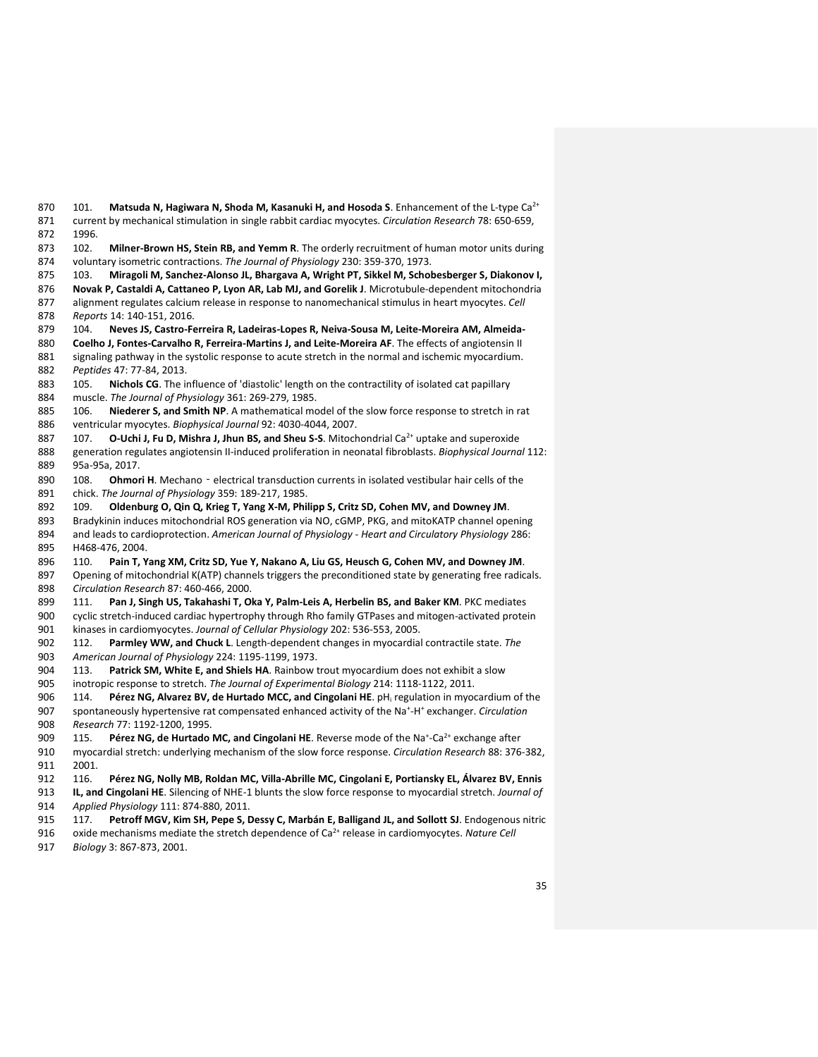870 101. Matsuda N, Hagiwara N, Shoda M, Kasanuki H, and Hosoda S. Enhancement of the L-type Ca<sup>2+</sup> current by mechanical stimulation in single rabbit cardiac myocytes. *Circulation Research* 78: 650-659, 1996. 102. **Milner-Brown HS, Stein RB, and Yemm R**. The orderly recruitment of human motor units during voluntary isometric contractions. *The Journal of Physiology* 230: 359-370, 1973. 103. **Miragoli M, Sanchez-Alonso JL, Bhargava A, Wright PT, Sikkel M, Schobesberger S, Diakonov I, Novak P, Castaldi A, Cattaneo P, Lyon AR, Lab MJ, and Gorelik J**. Microtubule-dependent mitochondria alignment regulates calcium release in response to nanomechanical stimulus in heart myocytes. *Cell Reports* 14: 140-151, 2016. 104. **Neves JS, Castro-Ferreira R, Ladeiras-Lopes R, Neiva-Sousa M, Leite-Moreira AM, Almeida- Coelho J, Fontes-Carvalho R, Ferreira-Martins J, and Leite-Moreira AF**. The effects of angiotensin II 881 signaling pathway in the systolic response to acute stretch in the normal and ischemic myocardium. *Peptides* 47: 77-84, 2013. 105. **Nichols CG**. The influence of 'diastolic' length on the contractility of isolated cat papillary muscle. *The Journal of Physiology* 361: 269-279, 1985. 106. **Niederer S, and Smith NP**. A mathematical model of the slow force response to stretch in rat ventricular myocytes. *Biophysical Journal* 92: 4030-4044, 2007. **107. O-Uchi J, Fu D, Mishra J, Jhun BS, and Sheu S-S**. Mitochondrial Ca<sup>2+</sup> uptake and superoxide generation regulates angiotensin II-induced proliferation in neonatal fibroblasts. *Biophysical Journal* 112: 95a-95a, 2017. 890 108. **Ohmori H**. Mechano - electrical transduction currents in isolated vestibular hair cells of the chick. *The Journal of Physiology* 359: 189-217, 1985. 109. **Oldenburg O, Qin Q, Krieg T, Yang X-M, Philipp S, Critz SD, Cohen MV, and Downey JM**. Bradykinin induces mitochondrial ROS generation via NO, cGMP, PKG, and mitoKATP channel opening and leads to cardioprotection. *American Journal of Physiology - Heart and Circulatory Physiology* 286: H468-476, 2004. 110. **Pain T, Yang XM, Critz SD, Yue Y, Nakano A, Liu GS, Heusch G, Cohen MV, and Downey JM**. Opening of mitochondrial K(ATP) channels triggers the preconditioned state by generating free radicals. *Circulation Research* 87: 460-466, 2000. 111. **Pan J, Singh US, Takahashi T, Oka Y, Palm-Leis A, Herbelin BS, and Baker KM**. PKC mediates cyclic stretch-induced cardiac hypertrophy through Rho family GTPases and mitogen-activated protein kinases in cardiomyocytes. *Journal of Cellular Physiology* 202: 536-553, 2005. 112. **Parmley WW, and Chuck L**. Length-dependent changes in myocardial contractile state. *The American Journal of Physiology* 224: 1195-1199, 1973. 113. **Patrick SM, White E, and Shiels HA**. Rainbow trout myocardium does not exhibit a slow inotropic response to stretch. *The Journal of Experimental Biology* 214: 1118-1122, 2011. 114. **Pérez NG, Alvarez BV, de Hurtado MCC, and Cingolani HE**. pH<sup>i</sup> regulation in myocardium of the 907 spontaneously hypertensive rat compensated enhanced activity of the Na<sup>+</sup>-H<sup>+</sup> exchanger. *Circulation Research* 77: 1192-1200, 1995. 909 115. Pérez NG, de Hurtado MC, and Cingolani HE. Reverse mode of the Na<sup>+</sup>-Ca<sup>2+</sup> exchange after myocardial stretch: underlying mechanism of the slow force response. *Circulation Research* 88: 376-382, 2001. 116. **Pérez NG, Nolly MB, Roldan MC, Villa-Abrille MC, Cingolani E, Portiansky EL, Álvarez BV, Ennis IL, and Cingolani HE**. Silencing of NHE-1 blunts the slow force response to myocardial stretch. *Journal of Applied Physiology* 111: 874-880, 2011. 117. **Petroff MGV, Kim SH, Pepe S, Dessy C, Marbán E, Balligand JL, and Sollott SJ**. Endogenous nitric 916 oxide mechanisms mediate the stretch dependence of Ca<sup>2+</sup> release in cardiomyocytes. *Nature Cell* 

*Biology* 3: 867-873, 2001.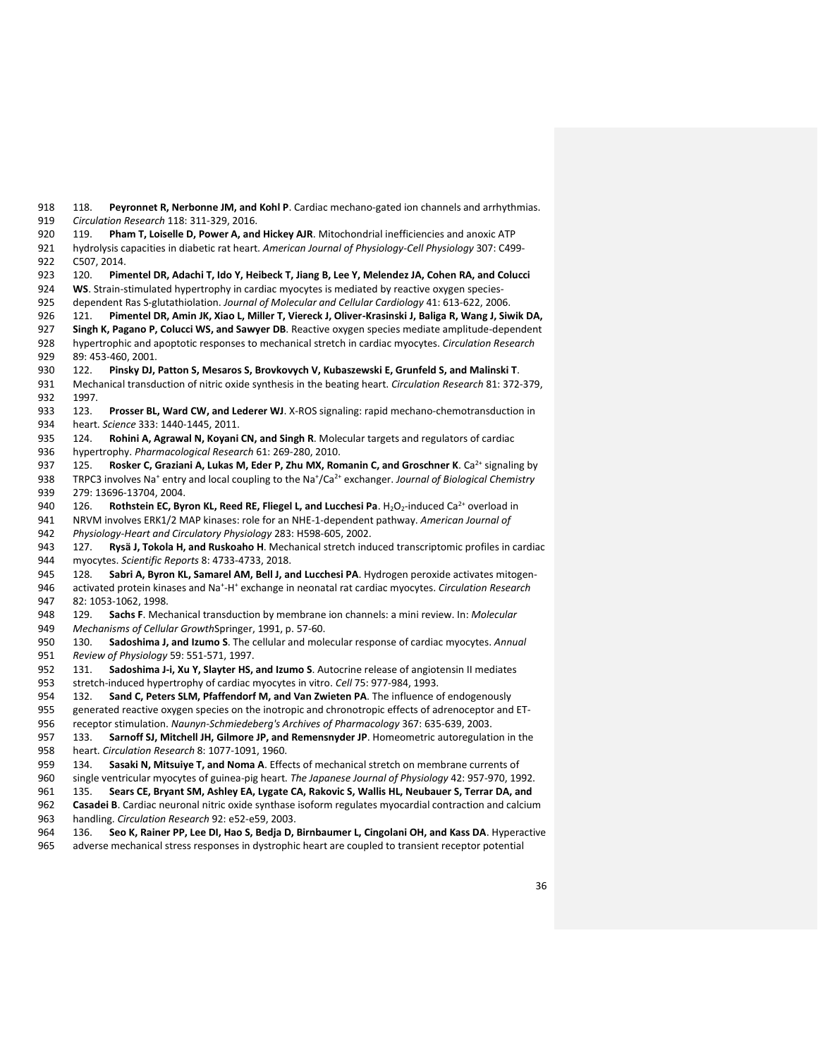118. **Peyronnet R, Nerbonne JM, and Kohl P**. Cardiac mechano-gated ion channels and arrhythmias. *Circulation Research* 118: 311-329, 2016.

 119. **Pham T, Loiselle D, Power A, and Hickey AJR**. Mitochondrial inefficiencies and anoxic ATP hydrolysis capacities in diabetic rat heart. *American Journal of Physiology-Cell Physiology* 307: C499- C507, 2014.

120. **Pimentel DR, Adachi T, Ido Y, Heibeck T, Jiang B, Lee Y, Melendez JA, Cohen RA, and Colucci** 

**WS**. Strain-stimulated hypertrophy in cardiac myocytes is mediated by reactive oxygen species-

dependent Ras S-glutathiolation. *Journal of Molecular and Cellular Cardiology* 41: 613-622, 2006.

121. **Pimentel DR, Amin JK, Xiao L, Miller T, Viereck J, Oliver-Krasinski J, Baliga R, Wang J, Siwik DA,** 

 **Singh K, Pagano P, Colucci WS, and Sawyer DB**. Reactive oxygen species mediate amplitude-dependent hypertrophic and apoptotic responses to mechanical stretch in cardiac myocytes. *Circulation Research*  89: 453-460, 2001.

122. **Pinsky DJ, Patton S, Mesaros S, Brovkovych V, Kubaszewski E, Grunfeld S, and Malinski T**.

- Mechanical transduction of nitric oxide synthesis in the beating heart. *Circulation Research* 81: 372-379, 1997.
- 123. **Prosser BL, Ward CW, and Lederer WJ**. X-ROS signaling: rapid mechano-chemotransduction in heart. *Science* 333: 1440-1445, 2011.

 124. **Rohini A, Agrawal N, Koyani CN, and Singh R**. Molecular targets and regulators of cardiac hypertrophy. *Pharmacological Research* 61: 269-280, 2010.

937 125. **Rosker C, Graziani A, Lukas M, Eder P, Zhu MX, Romanin C, and Groschner K**. Ca<sup>2+</sup> signaling by 938 TRPC3 involves Na<sup>+</sup> entry and local coupling to the Na<sup>+</sup>/Ca<sup>2+</sup> exchanger. *Journal of Biological Chemistry* 279: 13696-13704, 2004.

940 126. **Rothstein EC, Byron KL, Reed RE, Fliegel L, and Lucchesi Pa**. H<sub>2</sub>O<sub>2</sub>-induced Ca<sup>2+</sup> overload in

NRVM involves ERK1/2 MAP kinases: role for an NHE-1-dependent pathway. *American Journal of* 

*Physiology-Heart and Circulatory Physiology* 283: H598-605, 2002.

 127. **Rysä J, Tokola H, and Ruskoaho H**. Mechanical stretch induced transcriptomic profiles in cardiac myocytes. *Scientific Reports* 8: 4733-4733, 2018.

128. **Sabri A, Byron KL, Samarel AM, Bell J, and Lucchesi PA**. Hydrogen peroxide activates mitogen-

946 activated protein kinases and Na<sup>+</sup>-H<sup>+</sup> exchange in neonatal rat cardiac myocytes. *Circulation Research* 82: 1053-1062, 1998.

 129. **Sachs F**. Mechanical transduction by membrane ion channels: a mini review. In: *Molecular Mechanisms of Cellular Growth*Springer, 1991, p. 57-60.

 130. **Sadoshima J, and Izumo S**. The cellular and molecular response of cardiac myocytes. *Annual Review of Physiology* 59: 551-571, 1997.

 131. **Sadoshima J-i, Xu Y, Slayter HS, and Izumo S**. Autocrine release of angiotensin II mediates stretch-induced hypertrophy of cardiac myocytes in vitro. *Cell* 75: 977-984, 1993.

132. **Sand C, Peters SLM, Pfaffendorf M, and Van Zwieten PA**. The influence of endogenously

 generated reactive oxygen species on the inotropic and chronotropic effects of adrenoceptor and ET-receptor stimulation. *Naunyn-Schmiedeberg's Archives of Pharmacology* 367: 635-639, 2003.

 133. **Sarnoff SJ, Mitchell JH, Gilmore JP, and Remensnyder JP**. Homeometric autoregulation in the heart. *Circulation Research* 8: 1077-1091, 1960.

134. **Sasaki N, Mitsuiye T, and Noma A**. Effects of mechanical stretch on membrane currents of

single ventricular myocytes of guinea-pig heart. *The Japanese Journal of Physiology* 42: 957-970, 1992.

135. **Sears CE, Bryant SM, Ashley EA, Lygate CA, Rakovic S, Wallis HL, Neubauer S, Terrar DA, and** 

**Casadei B**. Cardiac neuronal nitric oxide synthase isoform regulates myocardial contraction and calcium

- handling. *Circulation Research* 92: e52-e59, 2003.
- 136. **Seo K, Rainer PP, Lee DI, Hao S, Bedja D, Birnbaumer L, Cingolani OH, and Kass DA**. Hyperactive
- adverse mechanical stress responses in dystrophic heart are coupled to transient receptor potential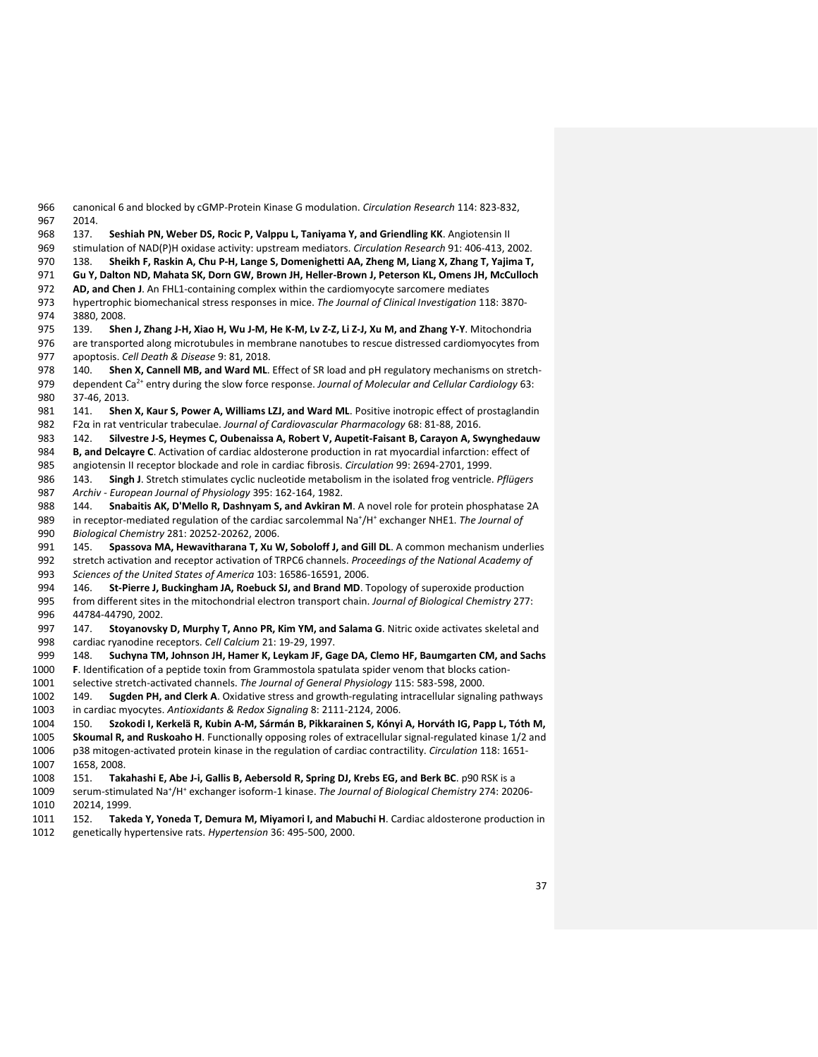canonical 6 and blocked by cGMP-Protein Kinase G modulation. *Circulation Research* 114: 823-832, 2014.

137. **Seshiah PN, Weber DS, Rocic P, Valppu L, Taniyama Y, and Griendling KK**. Angiotensin II

stimulation of NAD(P)H oxidase activity: upstream mediators. *Circulation Research* 91: 406-413, 2002.

138. **Sheikh F, Raskin A, Chu P-H, Lange S, Domenighetti AA, Zheng M, Liang X, Zhang T, Yajima T,** 

**Gu Y, Dalton ND, Mahata SK, Dorn GW, Brown JH, Heller-Brown J, Peterson KL, Omens JH, McCulloch** 

**AD, and Chen J**. An FHL1-containing complex within the cardiomyocyte sarcomere mediates

 hypertrophic biomechanical stress responses in mice. *The Journal of Clinical Investigation* 118: 3870- 3880, 2008.

 139. **Shen J, Zhang J-H, Xiao H, Wu J-M, He K-M, Lv Z-Z, Li Z-J, Xu M, and Zhang Y-Y**. Mitochondria are transported along microtubules in membrane nanotubes to rescue distressed cardiomyocytes from apoptosis. *Cell Death & Disease* 9: 81, 2018.

- 140. **Shen X, Cannell MB, and Ward ML**. Effect of SR load and pH regulatory mechanisms on stretch-979 dependent Ca<sup>2+</sup> entry during the slow force response. *Journal of Molecular and Cellular Cardiology* 63: 37-46, 2013.
- 141. **Shen X, Kaur S, Power A, Williams LZJ, and Ward ML**. Positive inotropic effect of prostaglandin F2α in rat ventricular trabeculae. *Journal of Cardiovascular Pharmacology* 68: 81-88, 2016.

142. **Silvestre J-S, Heymes C, Oubenaissa A, Robert V, Aupetit-Faisant B, Carayon A, Swynghedauw** 

 **B, and Delcayre C**. Activation of cardiac aldosterone production in rat myocardial infarction: effect of angiotensin II receptor blockade and role in cardiac fibrosis. *Circulation* 99: 2694-2701, 1999.

 143. **Singh J**. Stretch stimulates cyclic nucleotide metabolism in the isolated frog ventricle. *Pflügers Archiv - European Journal of Physiology* 395: 162-164, 1982.

 144. **Snabaitis AK, D'Mello R, Dashnyam S, and Avkiran M**. A novel role for protein phosphatase 2A 989 in receptor-mediated regulation of the cardiac sarcolemmal Na<sup>+</sup>/H<sup>+</sup> exchanger NHE1. *The Journal of Biological Chemistry* 281: 20252-20262, 2006.

 145. **Spassova MA, Hewavitharana T, Xu W, Soboloff J, and Gill DL**. A common mechanism underlies stretch activation and receptor activation of TRPC6 channels. *Proceedings of the National Academy of Sciences of the United States of America* 103: 16586-16591, 2006.

 146. **St-Pierre J, Buckingham JA, Roebuck SJ, and Brand MD**. Topology of superoxide production from different sites in the mitochondrial electron transport chain. *Journal of Biological Chemistry* 277:

 147. **Stoyanovsky D, Murphy T, Anno PR, Kim YM, and Salama G**. Nitric oxide activates skeletal and cardiac ryanodine receptors. *Cell Calcium* 21: 19-29, 1997.

148. **Suchyna TM, Johnson JH, Hamer K, Leykam JF, Gage DA, Clemo HF, Baumgarten CM, and Sachs** 

 **F**. Identification of a peptide toxin from Grammostola spatulata spider venom that blocks cation-selective stretch-activated channels. *The Journal of General Physiology* 115: 583-598, 2000.

44784-44790, 2002.

 149. **Sugden PH, and Clerk A**. Oxidative stress and growth-regulating intracellular signaling pathways in cardiac myocytes. *Antioxidants & Redox Signaling* 8: 2111-2124, 2006.

150. **Szokodi I, Kerkelä R, Kubin A-M, Sármán B, Pikkarainen S, Kónyi A, Horváth IG, Papp L, Tóth M,** 

 **Skoumal R, and Ruskoaho H**. Functionally opposing roles of extracellular signal-regulated kinase 1/2 and p38 mitogen-activated protein kinase in the regulation of cardiac contractility. *Circulation* 118: 1651- 1658, 2008.

151. **Takahashi E, Abe J-i, Gallis B, Aebersold R, Spring DJ, Krebs EG, and Berk BC**. p90 RSK is a

1009 serum-stimulated Na<sup>+</sup>/H<sup>+</sup> exchanger isoform-1 kinase. The Journal of Biological Chemistry 274: 20206-20214, 1999.

 152. **Takeda Y, Yoneda T, Demura M, Miyamori I, and Mabuchi H**. Cardiac aldosterone production in genetically hypertensive rats. *Hypertension* 36: 495-500, 2000.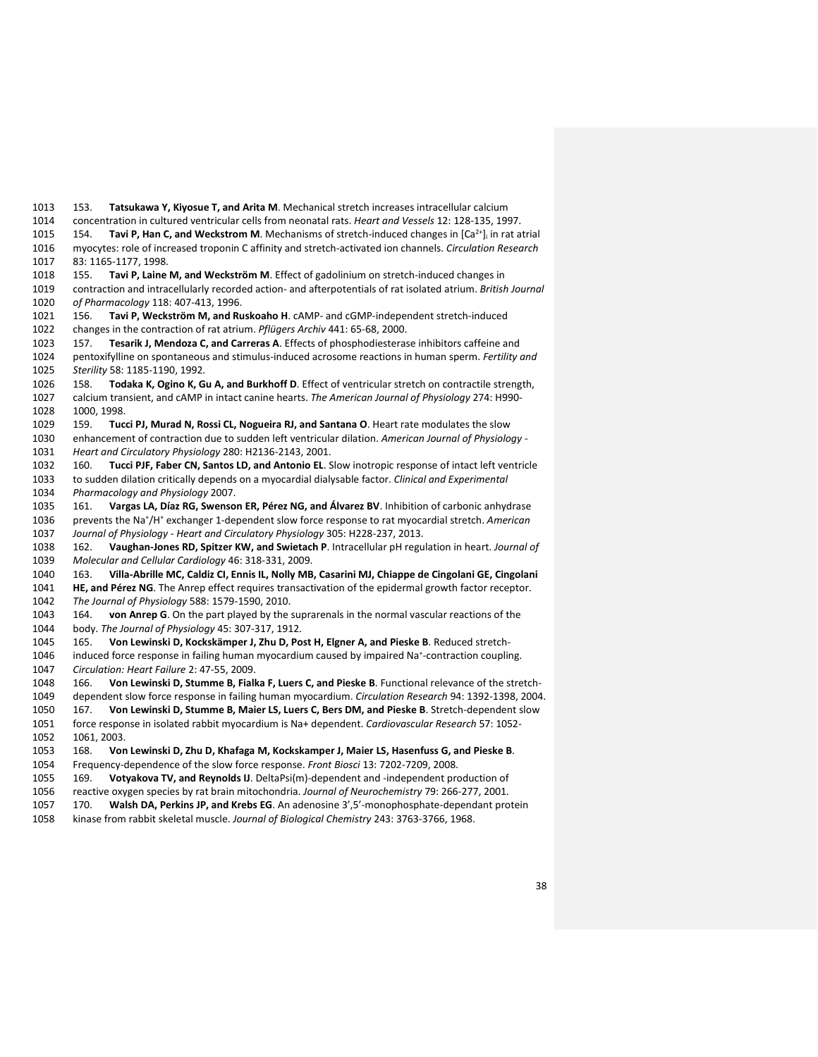153. **Tatsukawa Y, Kiyosue T, and Arita M**. Mechanical stretch increases intracellular calcium concentration in cultured ventricular cells from neonatal rats. *Heart and Vessels* 12: 128-135, 1997. 1015 154. **Tavi P, Han C, and Weckstrom M**. Mechanisms of stretch-induced changes in [Ca<sup>2+</sup>]<sub>i</sub> in rat atrial myocytes: role of increased troponin C affinity and stretch-activated ion channels. *Circulation Research*  83: 1165-1177, 1998. 155. **Tavi P, Laine M, and Weckström M**. Effect of gadolinium on stretch-induced changes in contraction and intracellularly recorded action- and afterpotentials of rat isolated atrium. *British Journal of Pharmacology* 118: 407-413, 1996. 156. **Tavi P, Weckström M, and Ruskoaho H**. cAMP- and cGMP-independent stretch-induced changes in the contraction of rat atrium. *Pflügers Archiv* 441: 65-68, 2000. 157. **Tesarik J, Mendoza C, and Carreras A**. Effects of phosphodiesterase inhibitors caffeine and pentoxifylline on spontaneous and stimulus-induced acrosome reactions in human sperm. *Fertility and Sterility* 58: 1185-1190, 1992. 158. **Todaka K, Ogino K, Gu A, and Burkhoff D**. Effect of ventricular stretch on contractile strength, calcium transient, and cAMP in intact canine hearts. *The American Journal of Physiology* 274: H990- 1000, 1998. 159. **Tucci PJ, Murad N, Rossi CL, Nogueira RJ, and Santana O**. Heart rate modulates the slow enhancement of contraction due to sudden left ventricular dilation. *American Journal of Physiology - Heart and Circulatory Physiology* 280: H2136-2143, 2001. 160. **Tucci PJF, Faber CN, Santos LD, and Antonio EL**. Slow inotropic response of intact left ventricle to sudden dilation critically depends on a myocardial dialysable factor. *Clinical and Experimental Pharmacology and Physiology* 2007. 161. **Vargas LA, Díaz RG, Swenson ER, Pérez NG, and Álvarez BV**. Inhibition of carbonic anhydrase 1036 prevents the Na<sup>+</sup>/H<sup>+</sup> exchanger 1-dependent slow force response to rat myocardial stretch. American *Journal of Physiology - Heart and Circulatory Physiology* 305: H228-237, 2013. 162. **Vaughan-Jones RD, Spitzer KW, and Swietach P**. Intracellular pH regulation in heart. *Journal of Molecular and Cellular Cardiology* 46: 318-331, 2009. 163. **Villa-Abrille MC, Caldiz CI, Ennis IL, Nolly MB, Casarini MJ, Chiappe de Cingolani GE, Cingolani HE, and Pérez NG**. The Anrep effect requires transactivation of the epidermal growth factor receptor. *The Journal of Physiology* 588: 1579-1590, 2010. 164. **von Anrep G**. On the part played by the suprarenals in the normal vascular reactions of the body. *The Journal of Physiology* 45: 307-317, 1912. 165. **Von Lewinski D, Kockskämper J, Zhu D, Post H, Elgner A, and Pieske B**. Reduced stretch-1046 induced force response in failing human myocardium caused by impaired Na<sup>+</sup>-contraction coupling. *Circulation: Heart Failure* 2: 47-55, 2009. 166. **Von Lewinski D, Stumme B, Fialka F, Luers C, and Pieske B**. Functional relevance of the stretch- dependent slow force response in failing human myocardium. *Circulation Research* 94: 1392-1398, 2004. 167. **Von Lewinski D, Stumme B, Maier LS, Luers C, Bers DM, and Pieske B**. Stretch-dependent slow force response in isolated rabbit myocardium is Na+ dependent. *Cardiovascular Research* 57: 1052- 1061, 2003. 168. **Von Lewinski D, Zhu D, Khafaga M, Kockskamper J, Maier LS, Hasenfuss G, and Pieske B**. Frequency-dependence of the slow force response. *Front Biosci* 13: 7202-7209, 2008. 169. **Votyakova TV, and Reynolds IJ**. DeltaPsi(m)-dependent and -independent production of reactive oxygen species by rat brain mitochondria. *Journal of Neurochemistry* 79: 266-277, 2001. 170. **Walsh DA, Perkins JP, and Krebs EG**. An adenosine 3',5'-monophosphate-dependant protein kinase from rabbit skeletal muscle. *Journal of Biological Chemistry* 243: 3763-3766, 1968.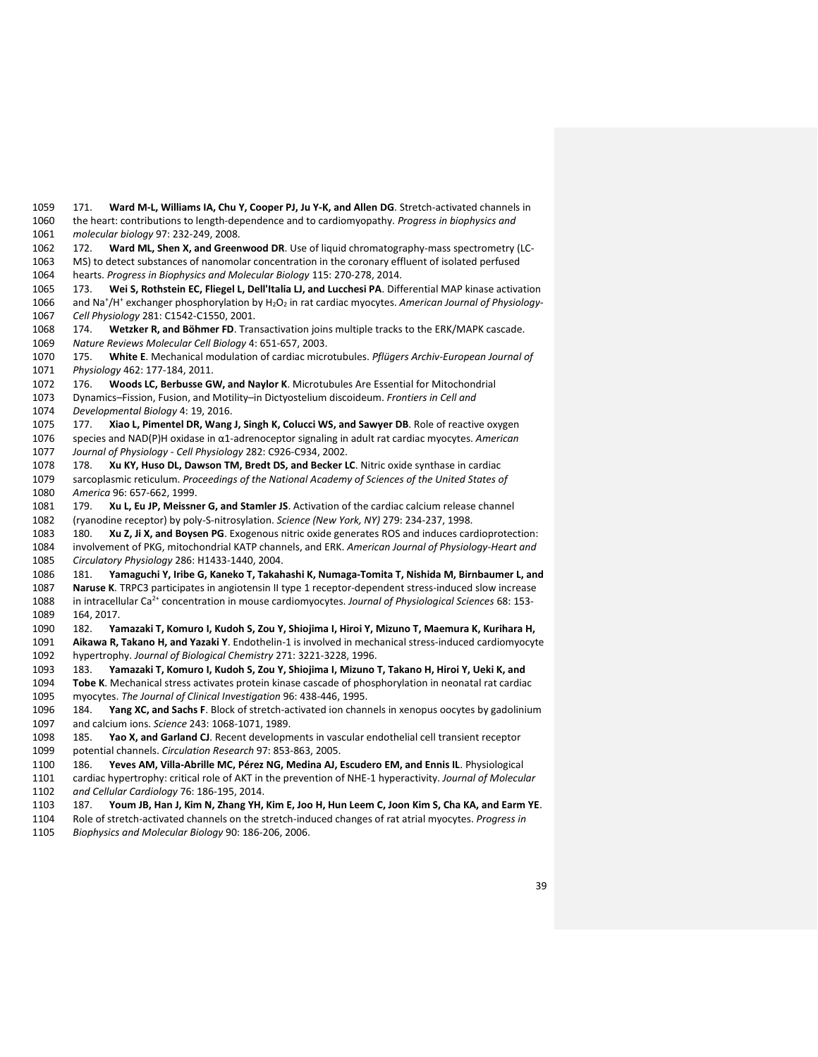171. **Ward M-L, Williams IA, Chu Y, Cooper PJ, Ju Y-K, and Allen DG**. Stretch-activated channels in the heart: contributions to length-dependence and to cardiomyopathy. *Progress in biophysics and molecular biology* 97: 232-249, 2008.

172. **Ward ML, Shen X, and Greenwood DR**. Use of liquid chromatography-mass spectrometry (LC-

MS) to detect substances of nanomolar concentration in the coronary effluent of isolated perfused

hearts. *Progress in Biophysics and Molecular Biology* 115: 270-278, 2014.

 173. **Wei S, Rothstein EC, Fliegel L, Dell'Italia LJ, and Lucchesi PA**. Differential MAP kinase activation 1066 and Na<sup>+</sup>/H<sup>+</sup> exchanger phosphorylation by H<sub>2</sub>O<sub>2</sub> in rat cardiac myocytes. American Journal of Physiology-*Cell Physiology* 281: C1542-C1550, 2001.

 174. **Wetzker R, and Böhmer FD**. Transactivation joins multiple tracks to the ERK/MAPK cascade. *Nature Reviews Molecular Cell Biology* 4: 651-657, 2003.

 175. **White E**. Mechanical modulation of cardiac microtubules. *Pflügers Archiv-European Journal of Physiology* 462: 177-184, 2011.

176. **Woods LC, Berbusse GW, and Naylor K**. Microtubules Are Essential for Mitochondrial

Dynamics–Fission, Fusion, and Motility–in Dictyostelium discoideum. *Frontiers in Cell and* 

*Developmental Biology* 4: 19, 2016.

 177. **Xiao L, Pimentel DR, Wang J, Singh K, Colucci WS, and Sawyer DB**. Role of reactive oxygen species and NAD(P)H oxidase in α1-adrenoceptor signaling in adult rat cardiac myocytes. *American Journal of Physiology - Cell Physiology* 282: C926-C934, 2002.

 178. **Xu KY, Huso DL, Dawson TM, Bredt DS, and Becker LC**. Nitric oxide synthase in cardiac sarcoplasmic reticulum. *Proceedings of the National Academy of Sciences of the United States of America* 96: 657-662, 1999.

 179. **Xu L, Eu JP, Meissner G, and Stamler JS**. Activation of the cardiac calcium release channel (ryanodine receptor) by poly-S-nitrosylation. *Science (New York, NY)* 279: 234-237, 1998.

 180. **Xu Z, Ji X, and Boysen PG**. Exogenous nitric oxide generates ROS and induces cardioprotection: involvement of PKG, mitochondrial KATP channels, and ERK. *American Journal of Physiology-Heart and Circulatory Physiology* 286: H1433-1440, 2004.

 181. **Yamaguchi Y, Iribe G, Kaneko T, Takahashi K, Numaga-Tomita T, Nishida M, Birnbaumer L, and Naruse K**. TRPC3 participates in angiotensin II type 1 receptor-dependent stress-induced slow increase 1088 in intracellular Ca<sup>2+</sup> concentration in mouse cardiomyocytes. *Journal of Physiological Sciences* 68: 153-164, 2017.

 182. **Yamazaki T, Komuro I, Kudoh S, Zou Y, Shiojima I, Hiroi Y, Mizuno T, Maemura K, Kurihara H, Aikawa R, Takano H, and Yazaki Y**. Endothelin-1 is involved in mechanical stress-induced cardiomyocyte

hypertrophy. *Journal of Biological Chemistry* 271: 3221-3228, 1996.

 183. **Yamazaki T, Komuro I, Kudoh S, Zou Y, Shiojima I, Mizuno T, Takano H, Hiroi Y, Ueki K, and Tobe K**. Mechanical stress activates protein kinase cascade of phosphorylation in neonatal rat cardiac myocytes. *The Journal of Clinical Investigation* 96: 438-446, 1995.

 184. **Yang XC, and Sachs F**. Block of stretch-activated ion channels in xenopus oocytes by gadolinium and calcium ions. *Science* 243: 1068-1071, 1989.

 185. **Yao X, and Garland CJ**. Recent developments in vascular endothelial cell transient receptor potential channels. *Circulation Research* 97: 853-863, 2005.

186. **Yeves AM, Villa-Abrille MC, Pérez NG, Medina AJ, Escudero EM, and Ennis IL**. Physiological

 cardiac hypertrophy: critical role of AKT in the prevention of NHE-1 hyperactivity. *Journal of Molecular and Cellular Cardiology* 76: 186-195, 2014.

187. **Youm JB, Han J, Kim N, Zhang YH, Kim E, Joo H, Hun Leem C, Joon Kim S, Cha KA, and Earm YE**.

Role of stretch-activated channels on the stretch-induced changes of rat atrial myocytes. *Progress in* 

*Biophysics and Molecular Biology* 90: 186-206, 2006.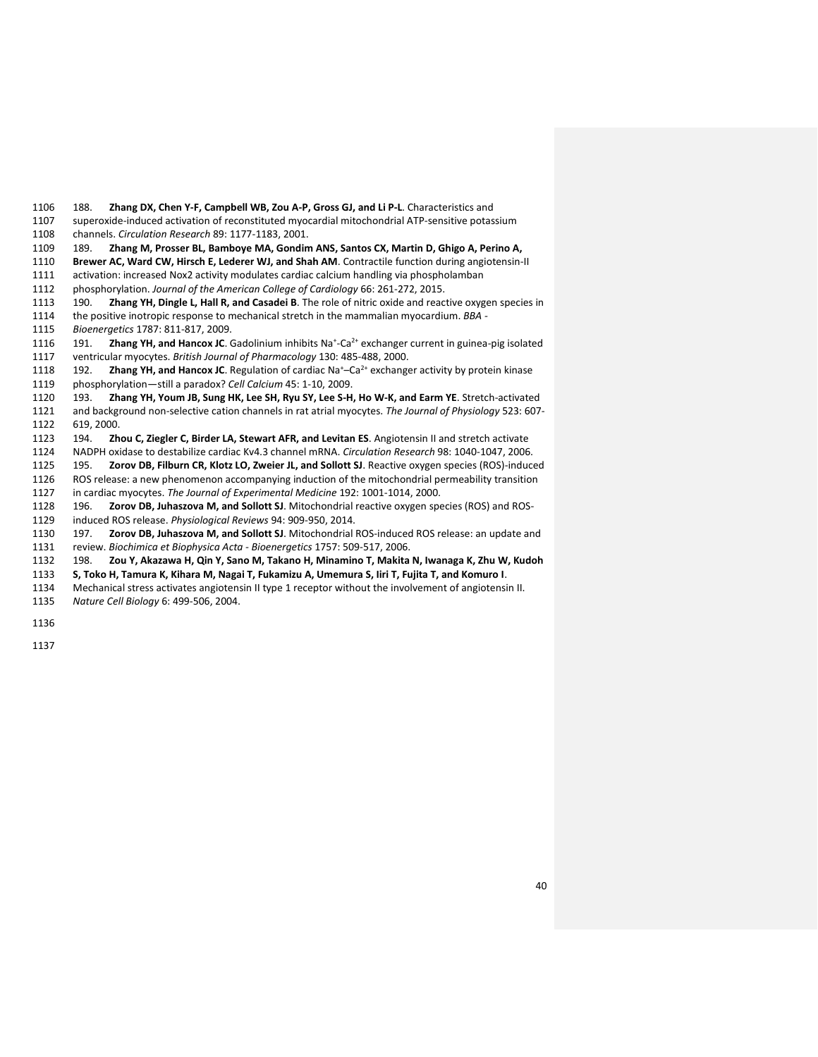188. **Zhang DX, Chen Y-F, Campbell WB, Zou A-P, Gross GJ, and Li P-L**. Characteristics and

superoxide-induced activation of reconstituted myocardial mitochondrial ATP-sensitive potassium

channels. *Circulation Research* 89: 1177-1183, 2001.

189. **Zhang M, Prosser BL, Bamboye MA, Gondim ANS, Santos CX, Martin D, Ghigo A, Perino A,** 

**Brewer AC, Ward CW, Hirsch E, Lederer WJ, and Shah AM**. Contractile function during angiotensin-II

activation: increased Nox2 activity modulates cardiac calcium handling via phospholamban

phosphorylation. *Journal of the American College of Cardiology* 66: 261-272, 2015.

 190. **Zhang YH, Dingle L, Hall R, and Casadei B**. The role of nitric oxide and reactive oxygen species in the positive inotropic response to mechanical stretch in the mammalian myocardium. *BBA -*

*Bioenergetics* 1787: 811-817, 2009.

1116 191. Zhang YH, and Hancox JC. Gadolinium inhibits Na<sup>+</sup>-Ca<sup>2+</sup> exchanger current in guinea-pig isolated ventricular myocytes. *British Journal of Pharmacology* 130: 485-488, 2000.

1118 192. **Zhang YH, and Hancox JC**. Regulation of cardiac Na<sup>+</sup>–Ca<sup>2+</sup> exchanger activity by protein kinase

phosphorylation—still a paradox? *Cell Calcium* 45: 1-10, 2009.

 193. **Zhang YH, Youm JB, Sung HK, Lee SH, Ryu SY, Lee S-H, Ho W-K, and Earm YE**. Stretch-activated and background non-selective cation channels in rat atrial myocytes. *The Journal of Physiology* 523: 607- 619, 2000.

194. **Zhou C, Ziegler C, Birder LA, Stewart AFR, and Levitan ES**. Angiotensin II and stretch activate

NADPH oxidase to destabilize cardiac Kv4.3 channel mRNA. *Circulation Research* 98: 1040-1047, 2006.

 195. **Zorov DB, Filburn CR, Klotz LO, Zweier JL, and Sollott SJ**. Reactive oxygen species (ROS)-induced ROS release: a new phenomenon accompanying induction of the mitochondrial permeability transition

in cardiac myocytes. *The Journal of Experimental Medicine* 192: 1001-1014, 2000.

 196. **Zorov DB, Juhaszova M, and Sollott SJ**. Mitochondrial reactive oxygen species (ROS) and ROS-induced ROS release. *Physiological Reviews* 94: 909-950, 2014.

 197. **Zorov DB, Juhaszova M, and Sollott SJ**. Mitochondrial ROS-induced ROS release: an update and review. *Biochimica et Biophysica Acta - Bioenergetics* 1757: 509-517, 2006.

198. **Zou Y, Akazawa H, Qin Y, Sano M, Takano H, Minamino T, Makita N, Iwanaga K, Zhu W, Kudoh** 

**S, Toko H, Tamura K, Kihara M, Nagai T, Fukamizu A, Umemura S, Iiri T, Fujita T, and Komuro I**.

Mechanical stress activates angiotensin II type 1 receptor without the involvement of angiotensin II.

*Nature Cell Biology* 6: 499-506, 2004.